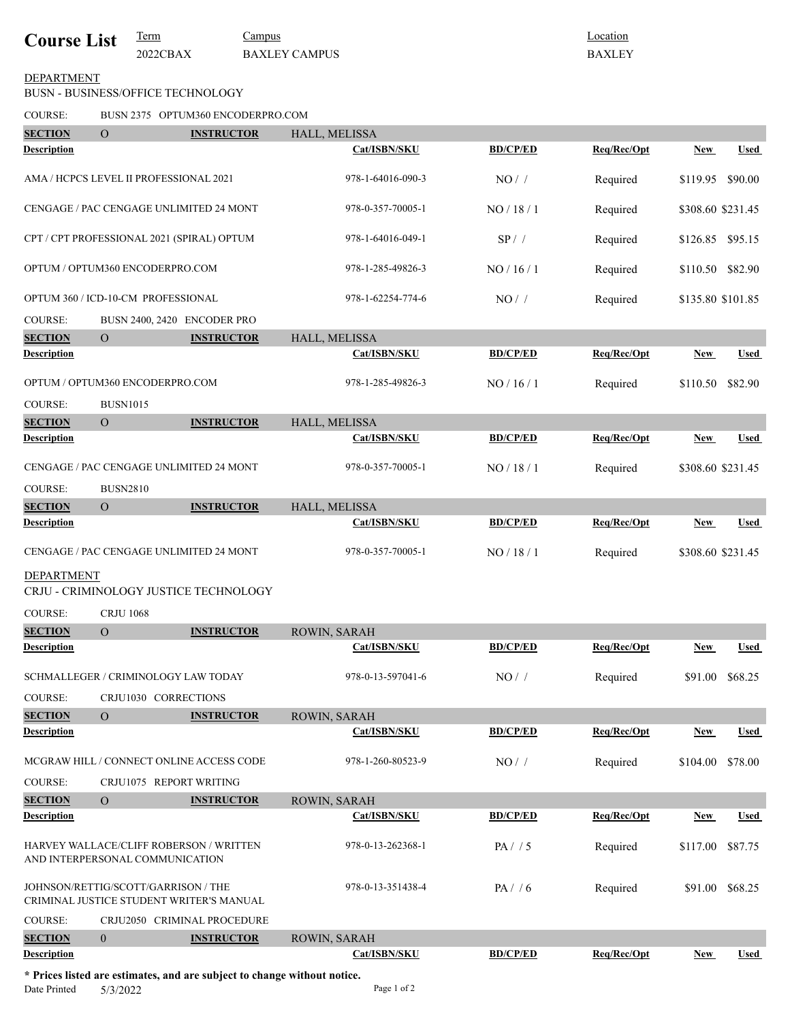| <b>Course List</b> | l'erm    | Campus               |
|--------------------|----------|----------------------|
|                    | 2022CBAX | <b>BAXLEY CAMPUS</b> |

Location BAXLEY

## BUSN - BUSINESS/OFFICE TECHNOLOGY DEPARTMENT

COURSE: BUSN 2375 OPTUM360 ENCODERPRO.COM

| COURSE:            |                                        | BUSIN 2373 OP LUMS00 ENCODERPROTOM                                       |                   |                 |             |                   |             |
|--------------------|----------------------------------------|--------------------------------------------------------------------------|-------------------|-----------------|-------------|-------------------|-------------|
| <b>SECTION</b>     | $\overline{O}$                         | <b>INSTRUCTOR</b>                                                        | HALL, MELISSA     |                 |             |                   |             |
| <b>Description</b> |                                        |                                                                          | Cat/ISBN/SKU      | <b>BD/CP/ED</b> | Req/Rec/Opt | New               | Used        |
|                    | AMA / HCPCS LEVEL II PROFESSIONAL 2021 |                                                                          | 978-1-64016-090-3 | $NO/$ /         | Required    | \$119.95          | \$90.00     |
|                    |                                        | CENGAGE / PAC CENGAGE UNLIMITED 24 MONT                                  | 978-0-357-70005-1 | NO/18/1         | Required    | \$308.60 \$231.45 |             |
|                    |                                        | CPT / CPT PROFESSIONAL 2021 (SPIRAL) OPTUM                               | 978-1-64016-049-1 | SP / /          | Required    | \$126.85          | \$95.15     |
|                    | OPTUM / OPTUM360 ENCODERPRO.COM        |                                                                          | 978-1-285-49826-3 | NO/16/1         | Required    | \$110.50          | \$82.90     |
|                    | OPTUM 360 / ICD-10-CM PROFESSIONAL     |                                                                          | 978-1-62254-774-6 | $NO/$ /         | Required    | \$135.80 \$101.85 |             |
| <b>COURSE:</b>     |                                        | BUSN 2400, 2420 ENCODER PRO                                              |                   |                 |             |                   |             |
| <b>SECTION</b>     | $\mathbf{O}$                           | <b>INSTRUCTOR</b>                                                        | HALL, MELISSA     |                 |             |                   |             |
| <b>Description</b> |                                        |                                                                          | Cat/ISBN/SKU      | <b>BD/CP/ED</b> | Req/Rec/Opt | New               | <b>Used</b> |
|                    | OPTUM / OPTUM360 ENCODERPRO.COM        |                                                                          | 978-1-285-49826-3 | NO/16/1         | Required    | \$110.50          | \$82.90     |
| <b>COURSE:</b>     | <b>BUSN1015</b>                        |                                                                          |                   |                 |             |                   |             |
| <b>SECTION</b>     | $\overline{O}$                         | <b>INSTRUCTOR</b>                                                        | HALL, MELISSA     |                 |             |                   |             |
| <b>Description</b> |                                        |                                                                          | Cat/ISBN/SKU      | <b>BD/CP/ED</b> | Req/Rec/Opt | New               | <b>Used</b> |
|                    |                                        | CENGAGE / PAC CENGAGE UNLIMITED 24 MONT                                  | 978-0-357-70005-1 | NO / 18 / 1     | Required    | \$308.60 \$231.45 |             |
| <b>COURSE:</b>     | <b>BUSN2810</b>                        |                                                                          |                   |                 |             |                   |             |
| <b>SECTION</b>     | $\overline{O}$                         | <b>INSTRUCTOR</b>                                                        | HALL, MELISSA     |                 |             |                   |             |
| <b>Description</b> |                                        |                                                                          | Cat/ISBN/SKU      | <b>BD/CP/ED</b> | Req/Rec/Opt | New               | <b>Used</b> |
|                    |                                        | CENGAGE / PAC CENGAGE UNLIMITED 24 MONT                                  | 978-0-357-70005-1 | NO / 18 / 1     | Required    | \$308.60 \$231.45 |             |
| <b>DEPARTMENT</b>  |                                        | CRJU - CRIMINOLOGY JUSTICE TECHNOLOGY                                    |                   |                 |             |                   |             |
| <b>COURSE:</b>     | <b>CRJU 1068</b>                       |                                                                          |                   |                 |             |                   |             |
| <b>SECTION</b>     | $\overline{O}$                         | <b>INSTRUCTOR</b>                                                        | ROWIN, SARAH      |                 |             |                   |             |
| Description        |                                        |                                                                          | Cat/ISBN/SKU      | <b>BD/CP/ED</b> | Req/Rec/Opt | New               | <b>Used</b> |
|                    | SCHMALLEGER / CRIMINOLOGY LAW TODAY    |                                                                          | 978-0-13-597041-6 | NO/             | Required    | \$91.00           | \$68.25     |
| COURSE:            | CRJU1030 CORRECTIONS                   |                                                                          |                   |                 |             |                   |             |
| <b>SECTION</b>     | $\overline{O}$                         | <b>INSTRUCTOR</b>                                                        | ROWIN, SARAH      |                 |             |                   |             |
| <b>Description</b> |                                        |                                                                          | Cat/ISBN/SKU      | <b>BD/CP/ED</b> | Req/Rec/Opt | <b>New</b>        | <b>Used</b> |
|                    |                                        | MCGRAW HILL / CONNECT ONLINE ACCESS CODE                                 | 978-1-260-80523-9 | $NO/$ /         | Required    | \$104.00          | \$78.00     |
| COURSE:            |                                        | CRJU1075 REPORT WRITING                                                  |                   |                 |             |                   |             |
| <b>SECTION</b>     | $\Omega$                               | <b>INSTRUCTOR</b>                                                        | ROWIN, SARAH      |                 |             |                   |             |
| <b>Description</b> |                                        |                                                                          | Cat/ISBN/SKU      | <b>BD/CP/ED</b> | Req/Rec/Opt | <b>New</b>        | <b>Used</b> |
|                    | AND INTERPERSONAL COMMUNICATION        | HARVEY WALLACE/CLIFF ROBERSON / WRITTEN                                  | 978-0-13-262368-1 | PA/ / 5         | Required    | \$117.00          | \$87.75     |
|                    | JOHNSON/RETTIG/SCOTT/GARRISON / THE    | CRIMINAL JUSTICE STUDENT WRITER'S MANUAL                                 | 978-0-13-351438-4 | PA/ / 6         | Required    | \$91.00           | \$68.25     |
| <b>COURSE:</b>     |                                        | CRJU2050 CRIMINAL PROCEDURE                                              |                   |                 |             |                   |             |
| <b>SECTION</b>     | $\overline{0}$                         | <b>INSTRUCTOR</b>                                                        | ROWIN, SARAH      |                 |             |                   |             |
| <b>Description</b> |                                        |                                                                          | Cat/ISBN/SKU      | <b>BD/CP/ED</b> | Req/Rec/Opt | <b>New</b>        | <b>Used</b> |
|                    |                                        | * Prices listed are estimates, and are subject to change without notice. |                   |                 |             |                   |             |

\* Prices listed are estimates, and are subject to change without notice.<br>Date Printed  $5/3/2022$  Page 1 of 2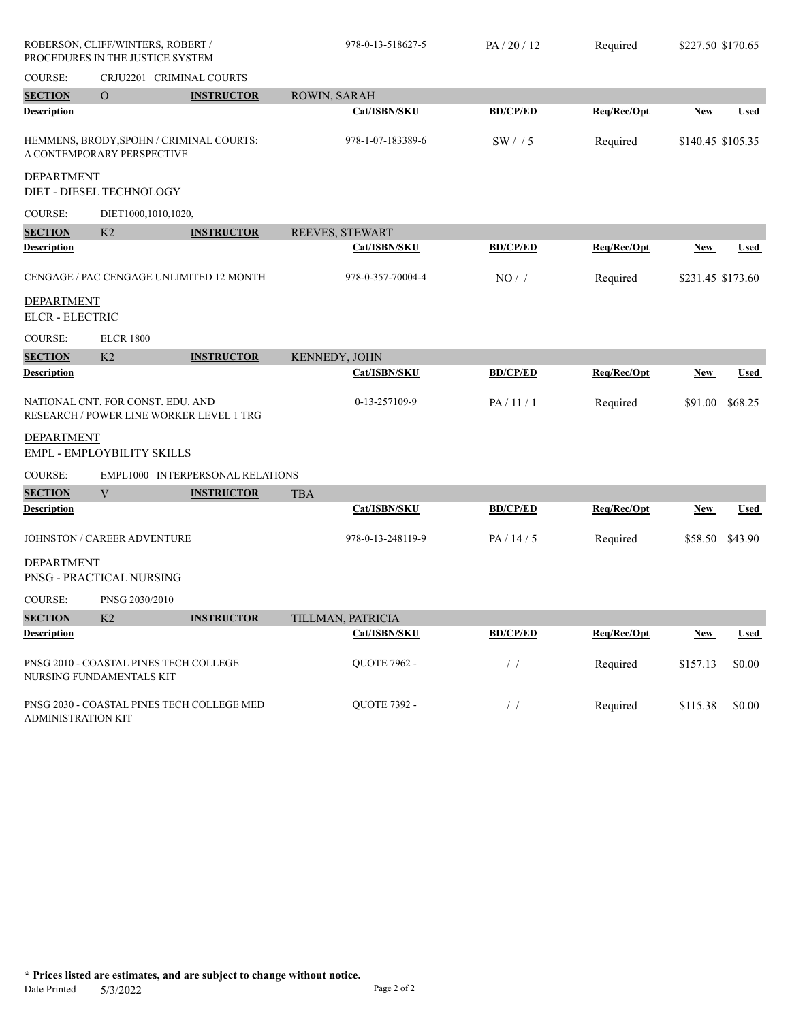|                                                                               | ROBERSON, CLIFF/WINTERS, ROBERT /<br>PROCEDURES IN THE JUSTICE SYSTEM |                                            | 978-0-13-518627-5   | PA/20/12                          | Required    | \$227.50 \$170.65 |             |
|-------------------------------------------------------------------------------|-----------------------------------------------------------------------|--------------------------------------------|---------------------|-----------------------------------|-------------|-------------------|-------------|
| COURSE:                                                                       |                                                                       | CRJU2201 CRIMINAL COURTS                   |                     |                                   |             |                   |             |
| <b>SECTION</b>                                                                | $\overline{O}$                                                        | <b>INSTRUCTOR</b>                          | ROWIN, SARAH        |                                   |             |                   |             |
| <b>Description</b>                                                            |                                                                       |                                            | Cat/ISBN/SKU        | <b>BD/CP/ED</b>                   | Req/Rec/Opt | <b>New</b>        | <b>Used</b> |
|                                                                               | A CONTEMPORARY PERSPECTIVE                                            | HEMMENS, BRODY, SPOHN / CRIMINAL COURTS:   | 978-1-07-183389-6   | SW/15                             | Required    | \$140.45 \$105.35 |             |
| <b>DEPARTMENT</b>                                                             | DIET - DIESEL TECHNOLOGY                                              |                                            |                     |                                   |             |                   |             |
| COURSE:                                                                       | DIET1000,1010,1020,                                                   |                                            |                     |                                   |             |                   |             |
| <b>SECTION</b>                                                                | K2                                                                    | <b>INSTRUCTOR</b>                          | REEVES, STEWART     |                                   |             |                   |             |
| <b>Description</b>                                                            |                                                                       |                                            | Cat/ISBN/SKU        | <b>BD/CP/ED</b>                   | Req/Rec/Opt | New               | Used        |
|                                                                               |                                                                       | CENGAGE / PAC CENGAGE UNLIMITED 12 MONTH   | 978-0-357-70004-4   | NO/                               | Required    | \$231.45 \$173.60 |             |
| <b>DEPARTMENT</b><br><b>ELCR - ELECTRIC</b>                                   |                                                                       |                                            |                     |                                   |             |                   |             |
| COURSE:                                                                       | <b>ELCR 1800</b>                                                      |                                            |                     |                                   |             |                   |             |
| <b>SECTION</b>                                                                | K2                                                                    | <b>INSTRUCTOR</b>                          | KENNEDY, JOHN       |                                   |             |                   |             |
| <b>Description</b>                                                            |                                                                       |                                            | Cat/ISBN/SKU        | <b>BD/CP/ED</b>                   | Req/Rec/Opt | <b>New</b>        | Used        |
| NATIONAL CNT. FOR CONST. EDU. AND<br>RESEARCH / POWER LINE WORKER LEVEL 1 TRG |                                                                       | 0-13-257109-9                              | PA/11/1             | Required                          | \$91.00     | \$68.25           |             |
| <b>DEPARTMENT</b>                                                             | EMPL - EMPLOYBILITY SKILLS                                            |                                            |                     |                                   |             |                   |             |
| <b>COURSE:</b>                                                                |                                                                       | EMPL1000 INTERPERSONAL RELATIONS           |                     |                                   |             |                   |             |
| <b>SECTION</b>                                                                | V                                                                     | <b>INSTRUCTOR</b>                          | <b>TBA</b>          |                                   |             |                   |             |
| <b>Description</b>                                                            |                                                                       |                                            | Cat/ISBN/SKU        | <b>BD/CP/ED</b>                   | Req/Rec/Opt | <b>New</b>        | <b>Used</b> |
|                                                                               | JOHNSTON / CAREER ADVENTURE                                           |                                            | 978-0-13-248119-9   | PA/14/5                           | Required    | \$58.50           | \$43.90     |
| <b>DEPARTMENT</b>                                                             | PNSG - PRACTICAL NURSING                                              |                                            |                     |                                   |             |                   |             |
| <b>COURSE:</b>                                                                | PNSG 2030/2010                                                        |                                            |                     |                                   |             |                   |             |
| <b>SECTION</b>                                                                | K2                                                                    | <b>INSTRUCTOR</b>                          | TILLMAN, PATRICIA   |                                   |             |                   |             |
| <b>Description</b>                                                            |                                                                       |                                            | Cat/ISBN/SKU        | <b>BD/CP/ED</b>                   | Req/Rec/Opt | <b>New</b>        | <b>Used</b> |
|                                                                               | NURSING FUNDAMENTALS KIT                                              | PNSG 2010 - COASTAL PINES TECH COLLEGE     | <b>QUOTE 7962 -</b> | $\left/ \right.$ $\left/ \right.$ | Required    | \$157.13          | \$0.00      |
| <b>ADMINISTRATION KIT</b>                                                     |                                                                       | PNSG 2030 - COASTAL PINES TECH COLLEGE MED | <b>QUOTE 7392 -</b> | $\frac{1}{2}$                     | Required    | \$115.38          | \$0.00      |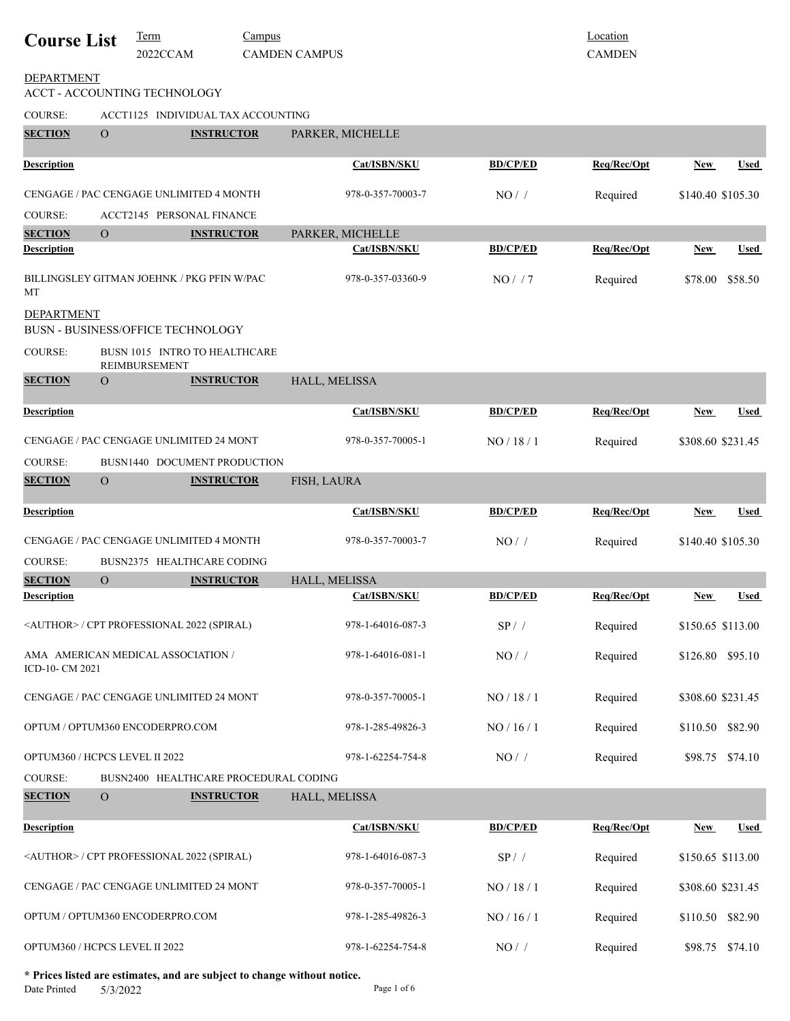| <b>Course List</b>             |                                    | <b>Term</b><br>2022CCAM                            | Campus | <b>CAMDEN CAMPUS</b> |                   |                 | Location<br><b>CAMDEN</b> |                   |                 |
|--------------------------------|------------------------------------|----------------------------------------------------|--------|----------------------|-------------------|-----------------|---------------------------|-------------------|-----------------|
| <b>DEPARTMENT</b>              |                                    | ACCT - ACCOUNTING TECHNOLOGY                       |        |                      |                   |                 |                           |                   |                 |
| COURSE:                        | ACCT1125 INDIVIDUAL TAX ACCOUNTING |                                                    |        |                      |                   |                 |                           |                   |                 |
| <b>SECTION</b>                 | $\Omega$                           | <b>INSTRUCTOR</b>                                  |        | PARKER, MICHELLE     |                   |                 |                           |                   |                 |
| <b>Description</b>             |                                    |                                                    |        |                      | Cat/ISBN/SKU      | <b>BD/CP/ED</b> | Req/Rec/Opt               | New               | Used            |
|                                |                                    | CENGAGE / PAC CENGAGE UNLIMITED 4 MONTH            |        |                      | 978-0-357-70003-7 | NO/             | Required                  | \$140.40 \$105.30 |                 |
| COURSE:                        |                                    | <b>ACCT2145 PERSONAL FINANCE</b>                   |        |                      |                   |                 |                           |                   |                 |
| <b>SECTION</b>                 | $\overline{O}$                     | <b>INSTRUCTOR</b>                                  |        | PARKER, MICHELLE     |                   |                 |                           |                   |                 |
| <b>Description</b>             |                                    |                                                    |        |                      | Cat/ISBN/SKU      | <b>BD/CP/ED</b> | Req/Rec/Opt               | New               | <b>Used</b>     |
| MT                             |                                    | BILLINGSLEY GITMAN JOEHNK / PKG PFIN W/PAC         |        |                      | 978-0-357-03360-9 | NO/7            | Required                  | \$78.00           | \$58.50         |
| <b>DEPARTMENT</b>              |                                    | BUSN - BUSINESS/OFFICE TECHNOLOGY                  |        |                      |                   |                 |                           |                   |                 |
| <b>COURSE:</b>                 |                                    | BUSN 1015 INTRO TO HEALTHCARE<br>REIMBURSEMENT     |        |                      |                   |                 |                           |                   |                 |
| <b>SECTION</b>                 | $\Omega$                           | <b>INSTRUCTOR</b>                                  |        | HALL, MELISSA        |                   |                 |                           |                   |                 |
| <b>Description</b>             |                                    |                                                    |        |                      | Cat/ISBN/SKU      | <b>BD/CP/ED</b> | Req/Rec/Opt               | <u>New</u>        | <b>Used</b>     |
|                                |                                    | CENGAGE / PAC CENGAGE UNLIMITED 24 MONT            |        |                      | 978-0-357-70005-1 | NO / 18 / 1     | Required                  | \$308.60 \$231.45 |                 |
| <b>COURSE:</b>                 |                                    | BUSN1440 DOCUMENT PRODUCTION                       |        |                      |                   |                 |                           |                   |                 |
| <b>SECTION</b>                 | $\overline{O}$                     | <b>INSTRUCTOR</b>                                  |        | FISH, LAURA          |                   |                 |                           |                   |                 |
| <b>Description</b>             |                                    |                                                    |        |                      | Cat/ISBN/SKU      | <b>BD/CP/ED</b> | Req/Rec/Opt               | New               | Used            |
|                                |                                    | CENGAGE / PAC CENGAGE UNLIMITED 4 MONTH            |        |                      | 978-0-357-70003-7 | NO/             | Required                  | \$140.40 \$105.30 |                 |
| COURSE:                        |                                    | BUSN2375 HEALTHCARE CODING                         |        |                      |                   |                 |                           |                   |                 |
| <b>SECTION</b>                 | $\mathbf O$                        | <b>INSTRUCTOR</b>                                  |        | HALL, MELISSA        |                   |                 |                           |                   |                 |
| <b>Description</b>             |                                    |                                                    |        |                      | Cat/ISBN/SKU      | <b>BD/CP/ED</b> | Req/Rec/Opt               | New               | Used            |
|                                |                                    | <author> / CPT PROFESSIONAL 2022 (SPIRAL)</author> |        |                      | 978-1-64016-087-3 | $SP/$ /         | Required                  | \$150.65 \$113.00 |                 |
| ICD-10- CM 2021                |                                    | AMA AMERICAN MEDICAL ASSOCIATION /                 |        |                      | 978-1-64016-081-1 | $NO/$ /         | Required                  | \$126.80 \$95.10  |                 |
|                                |                                    | CENGAGE / PAC CENGAGE UNLIMITED 24 MONT            |        |                      | 978-0-357-70005-1 | NO / 18 / 1     | Required                  | \$308.60 \$231.45 |                 |
|                                |                                    | OPTUM / OPTUM360 ENCODERPRO.COM                    |        |                      | 978-1-285-49826-3 | NO / 16 / 1     | Required                  | \$110.50 \$82.90  |                 |
| OPTUM360 / HCPCS LEVEL II 2022 |                                    |                                                    |        |                      | 978-1-62254-754-8 | $NO/$ /         | Required                  |                   | \$98.75 \$74.10 |
| COURSE:                        |                                    | BUSN2400 HEALTHCARE PROCEDURAL CODING              |        |                      |                   |                 |                           |                   |                 |
| <b>SECTION</b>                 | $\mathbf{O}$                       | <b>INSTRUCTOR</b>                                  |        | HALL, MELISSA        |                   |                 |                           |                   |                 |
| <b>Description</b>             |                                    |                                                    |        |                      | Cat/ISBN/SKU      | <b>BD/CP/ED</b> | Req/Rec/Opt               | New               | <b>Used</b>     |
|                                |                                    | <author> / CPT PROFESSIONAL 2022 (SPIRAL)</author> |        |                      | 978-1-64016-087-3 | $SP/$ /         | Required                  | \$150.65 \$113.00 |                 |
|                                |                                    | CENGAGE / PAC CENGAGE UNLIMITED 24 MONT            |        |                      | 978-0-357-70005-1 | NO / 18 / 1     | Required                  | \$308.60 \$231.45 |                 |
|                                |                                    | OPTUM / OPTUM360 ENCODERPRO.COM                    |        |                      | 978-1-285-49826-3 | NO / 16 / 1     | Required                  | \$110.50          | \$82.90         |
| OPTUM360 / HCPCS LEVEL II 2022 |                                    |                                                    |        |                      | 978-1-62254-754-8 | $NO/$ /         | Required                  | \$98.75           | \$74.10         |

**\* Prices listed are estimates, and are subject to change without notice.**  $5/3/2022$  Page 1 of 6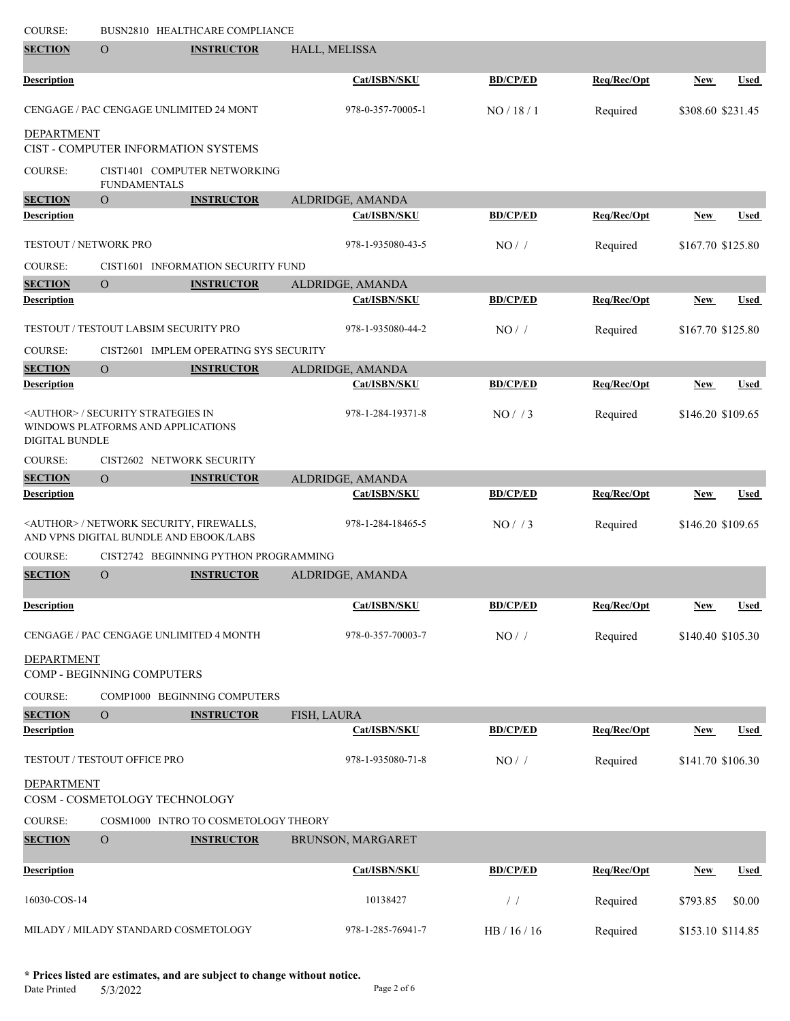| <b>COURSE:</b>            |                                                                                   | BUSN2810 HEALTHCARE COMPLIANCE                            |                   |                 |             |                   |             |
|---------------------------|-----------------------------------------------------------------------------------|-----------------------------------------------------------|-------------------|-----------------|-------------|-------------------|-------------|
| <b>SECTION</b>            | $\overline{O}$                                                                    | <b>INSTRUCTOR</b>                                         | HALL, MELISSA     |                 |             |                   |             |
| <b>Description</b>        |                                                                                   |                                                           | Cat/ISBN/SKU      | <b>BD/CP/ED</b> | Req/Rec/Opt | <b>New</b>        | <u>Used</u> |
|                           |                                                                                   | CENGAGE / PAC CENGAGE UNLIMITED 24 MONT                   | 978-0-357-70005-1 | NO/18/1         | Required    | \$308.60 \$231.45 |             |
| <b>DEPARTMENT</b>         |                                                                                   | CIST - COMPUTER INFORMATION SYSTEMS                       |                   |                 |             |                   |             |
| COURSE:                   | <b>FUNDAMENTALS</b>                                                               | CIST1401 COMPUTER NETWORKING                              |                   |                 |             |                   |             |
| <b>SECTION</b>            | $\overline{O}$                                                                    | <b>INSTRUCTOR</b>                                         | ALDRIDGE, AMANDA  |                 |             |                   |             |
| <b>Description</b>        |                                                                                   |                                                           | Cat/ISBN/SKU      | <b>BD/CP/ED</b> | Req/Rec/Opt | New               | Used        |
| TESTOUT / NETWORK PRO     |                                                                                   |                                                           | 978-1-935080-43-5 | NO/             | Required    | \$167.70 \$125.80 |             |
| <b>COURSE:</b>            |                                                                                   | CIST1601 INFORMATION SECURITY FUND                        |                   |                 |             |                   |             |
| <b>SECTION</b>            | $\overline{O}$                                                                    | <b>INSTRUCTOR</b>                                         | ALDRIDGE, AMANDA  |                 |             |                   |             |
| <b>Description</b>        |                                                                                   |                                                           | Cat/ISBN/SKU      | <b>BD/CP/ED</b> | Req/Rec/Opt | <b>New</b>        | <b>Used</b> |
|                           | TESTOUT / TESTOUT LABSIM SECURITY PRO                                             |                                                           | 978-1-935080-44-2 | NO/             | Required    | \$167.70 \$125.80 |             |
| COURSE:                   |                                                                                   | CIST2601 IMPLEM OPERATING SYS SECURITY                    |                   |                 |             |                   |             |
| <b>SECTION</b>            | $\overline{O}$                                                                    | <b>INSTRUCTOR</b>                                         | ALDRIDGE, AMANDA  |                 |             |                   |             |
| <b>Description</b>        |                                                                                   |                                                           | Cat/ISBN/SKU      | <b>BD/CP/ED</b> | Req/Rec/Opt | <b>New</b>        | Used        |
| <b>DIGITAL BUNDLE</b>     | <author> / SECURITY STRATEGIES IN<br/>WINDOWS PLATFORMS AND APPLICATIONS</author> |                                                           | 978-1-284-19371-8 | NO/ / 3         | Required    | \$146.20 \$109.65 |             |
| COURSE:                   |                                                                                   | CIST2602 NETWORK SECURITY                                 |                   |                 |             |                   |             |
| <b>SECTION</b>            | $\overline{O}$                                                                    | <b>INSTRUCTOR</b>                                         | ALDRIDGE, AMANDA  |                 |             |                   |             |
| <b>Description</b>        |                                                                                   |                                                           | Cat/ISBN/SKU      | <b>BD/CP/ED</b> | Req/Rec/Opt | <b>New</b>        | Used        |
|                           | AND VPNS DIGITAL BUNDLE AND EBOOK/LABS                                            | <author> / NETWORK SECURITY, FIREWALLS,</author>          | 978-1-284-18465-5 | NO/ / 3         | Required    | \$146.20 \$109.65 |             |
| <b>COURSE:</b>            |                                                                                   | CIST2742 BEGINNING PYTHON PROGRAMMING                     |                   |                 |             |                   |             |
| <b>SECTION</b>            | $\Omega$                                                                          | <b>INSTRUCTOR</b>                                         | ALDRIDGE, AMANDA  |                 |             |                   |             |
| <b>Description</b>        |                                                                                   |                                                           | Cat/ISBN/SKU      | <b>BD/CP/ED</b> | Req/Rec/Opt | <b>New</b>        | <b>Used</b> |
|                           |                                                                                   | CENGAGE / PAC CENGAGE UNLIMITED 4 MONTH                   | 978-0-357-70003-7 | $NO/$ /         | Required    | \$140.40 \$105.30 |             |
| <b>DEPARTMENT</b>         | COMP - BEGINNING COMPUTERS                                                        |                                                           |                   |                 |             |                   |             |
| <b>COURSE:</b>            |                                                                                   | COMP1000 BEGINNING COMPUTERS                              |                   |                 |             |                   |             |
| <b>SECTION</b>            | $\mathbf{O}$                                                                      | <b>INSTRUCTOR</b>                                         | FISH, LAURA       |                 |             |                   |             |
| <b>Description</b>        |                                                                                   |                                                           | Cat/ISBN/SKU      | <b>BD/CP/ED</b> | Req/Rec/Opt | <b>New</b>        | <u>Used</u> |
|                           | TESTOUT / TESTOUT OFFICE PRO                                                      |                                                           | 978-1-935080-71-8 | NO/             | Required    | \$141.70 \$106.30 |             |
| <b>DEPARTMENT</b>         |                                                                                   |                                                           |                   |                 |             |                   |             |
|                           | COSM - COSMETOLOGY TECHNOLOGY                                                     |                                                           |                   |                 |             |                   |             |
| COURSE:<br><b>SECTION</b> | $\overline{O}$                                                                    | COSM1000 INTRO TO COSMETOLOGY THEORY<br><b>INSTRUCTOR</b> | BRUNSON, MARGARET |                 |             |                   |             |
|                           |                                                                                   |                                                           |                   |                 |             |                   |             |
| <b>Description</b>        |                                                                                   |                                                           | Cat/ISBN/SKU      | <b>BD/CP/ED</b> | Req/Rec/Opt | <b>New</b>        | <b>Used</b> |
| 16030-COS-14              |                                                                                   |                                                           | 10138427          | $\prime\,$ /    | Required    | \$793.85          | \$0.00      |
|                           | MILADY / MILADY STANDARD COSMETOLOGY                                              |                                                           | 978-1-285-76941-7 | HB / 16 / 16    | Required    | \$153.10 \$114.85 |             |

**\* Prices listed are estimates, and are subject to change without notice.**  $5/3/2022$  Page 2 of 6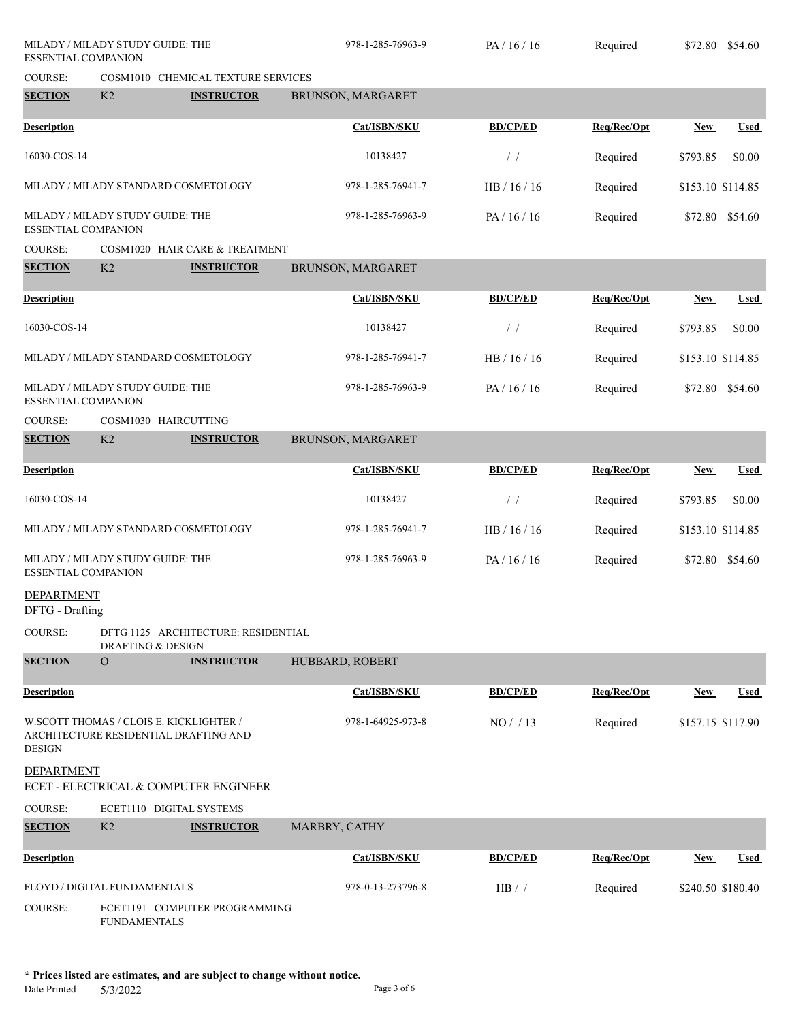| MILADY / MILADY STUDY GUIDE: THE<br>ESSENTIAL COMPANION |                                         | 978-1-285-76963-9                     | PA/16/16          | Required        | \$72.80     | \$54.60           |             |
|---------------------------------------------------------|-----------------------------------------|---------------------------------------|-------------------|-----------------|-------------|-------------------|-------------|
| COURSE:                                                 |                                         | COSM1010 CHEMICAL TEXTURE SERVICES    |                   |                 |             |                   |             |
| <b>SECTION</b>                                          | K2                                      | <b>INSTRUCTOR</b>                     | BRUNSON, MARGARET |                 |             |                   |             |
| <b>Description</b>                                      |                                         |                                       | Cat/ISBN/SKU      | <b>BD/CP/ED</b> | Req/Rec/Opt | <b>New</b>        | <b>Used</b> |
| 16030-COS-14                                            |                                         |                                       | 10138427          | $\frac{1}{2}$   | Required    | \$793.85          | \$0.00      |
|                                                         |                                         | MILADY / MILADY STANDARD COSMETOLOGY  | 978-1-285-76941-7 | HB / 16 / 16    | Required    | \$153.10 \$114.85 |             |
| ESSENTIAL COMPANION                                     | MILADY / MILADY STUDY GUIDE: THE        |                                       | 978-1-285-76963-9 | PA/16/16        | Required    | \$72.80 \$54.60   |             |
| <b>COURSE:</b>                                          |                                         | COSM1020 HAIR CARE & TREATMENT        |                   |                 |             |                   |             |
| <b>SECTION</b>                                          | K2                                      | <b>INSTRUCTOR</b>                     | BRUNSON, MARGARET |                 |             |                   |             |
| <b>Description</b>                                      |                                         |                                       | Cat/ISBN/SKU      | <b>BD/CP/ED</b> | Req/Rec/Opt | New               | <b>Used</b> |
| 16030-COS-14                                            |                                         |                                       | 10138427          | $\frac{1}{2}$   | Required    | \$793.85          | \$0.00      |
|                                                         |                                         | MILADY / MILADY STANDARD COSMETOLOGY  | 978-1-285-76941-7 | HB / 16 / 16    | Required    | \$153.10 \$114.85 |             |
| ESSENTIAL COMPANION                                     | MILADY / MILADY STUDY GUIDE: THE        |                                       | 978-1-285-76963-9 | PA/16/16        | Required    | \$72.80 \$54.60   |             |
| <b>COURSE:</b>                                          | COSM1030 HAIRCUTTING                    |                                       |                   |                 |             |                   |             |
| <b>SECTION</b>                                          | K2                                      | <b>INSTRUCTOR</b>                     | BRUNSON, MARGARET |                 |             |                   |             |
| <b>Description</b>                                      |                                         |                                       | Cat/ISBN/SKU      | <b>BD/CP/ED</b> | Req/Rec/Opt | <b>New</b>        | <b>Used</b> |
| 16030-COS-14                                            |                                         |                                       | 10138427          | $\frac{1}{2}$   | Required    | \$793.85          | \$0.00      |
|                                                         |                                         | MILADY / MILADY STANDARD COSMETOLOGY  | 978-1-285-76941-7 | HB / 16 / 16    | Required    | \$153.10 \$114.85 |             |
| ESSENTIAL COMPANION                                     | MILADY / MILADY STUDY GUIDE: THE        |                                       | 978-1-285-76963-9 | PA/16/16        | Required    | \$72.80 \$54.60   |             |
| <b>DEPARTMENT</b><br>DFTG - Drafting                    |                                         |                                       |                   |                 |             |                   |             |
| <b>COURSE:</b>                                          | <b>DRAFTING &amp; DESIGN</b>            | DFTG 1125 ARCHITECTURE: RESIDENTIAL   |                   |                 |             |                   |             |
| <b>SECTION</b>                                          | $\overline{O}$                          | <b>INSTRUCTOR</b>                     | HUBBARD, ROBERT   |                 |             |                   |             |
| <b>Description</b>                                      |                                         |                                       | Cat/ISBN/SKU      | <b>BD/CP/ED</b> | Req/Rec/Opt | <b>New</b>        | Used        |
| <b>DESIGN</b>                                           | W.SCOTT THOMAS / CLOIS E. KICKLIGHTER / | ARCHITECTURE RESIDENTIAL DRAFTING AND | 978-1-64925-973-8 | NO/13           | Required    | \$157.15 \$117.90 |             |
| DEPARTMENT                                              |                                         | ECET - ELECTRICAL & COMPUTER ENGINEER |                   |                 |             |                   |             |
| COURSE:                                                 |                                         | ECET1110 DIGITAL SYSTEMS              |                   |                 |             |                   |             |
| <b>SECTION</b>                                          | K <sub>2</sub>                          | <b>INSTRUCTOR</b>                     | MARBRY, CATHY     |                 |             |                   |             |
| <b>Description</b>                                      |                                         |                                       | Cat/ISBN/SKU      | <b>BD/CP/ED</b> | Req/Rec/Opt | <b>New</b>        | <b>Used</b> |
|                                                         | FLOYD / DIGITAL FUNDAMENTALS            |                                       | 978-0-13-273796-8 | HB / /          | Required    | \$240.50 \$180.40 |             |
| <b>COURSE:</b>                                          | <b>FUNDAMENTALS</b>                     | ECET1191 COMPUTER PROGRAMMING         |                   |                 |             |                   |             |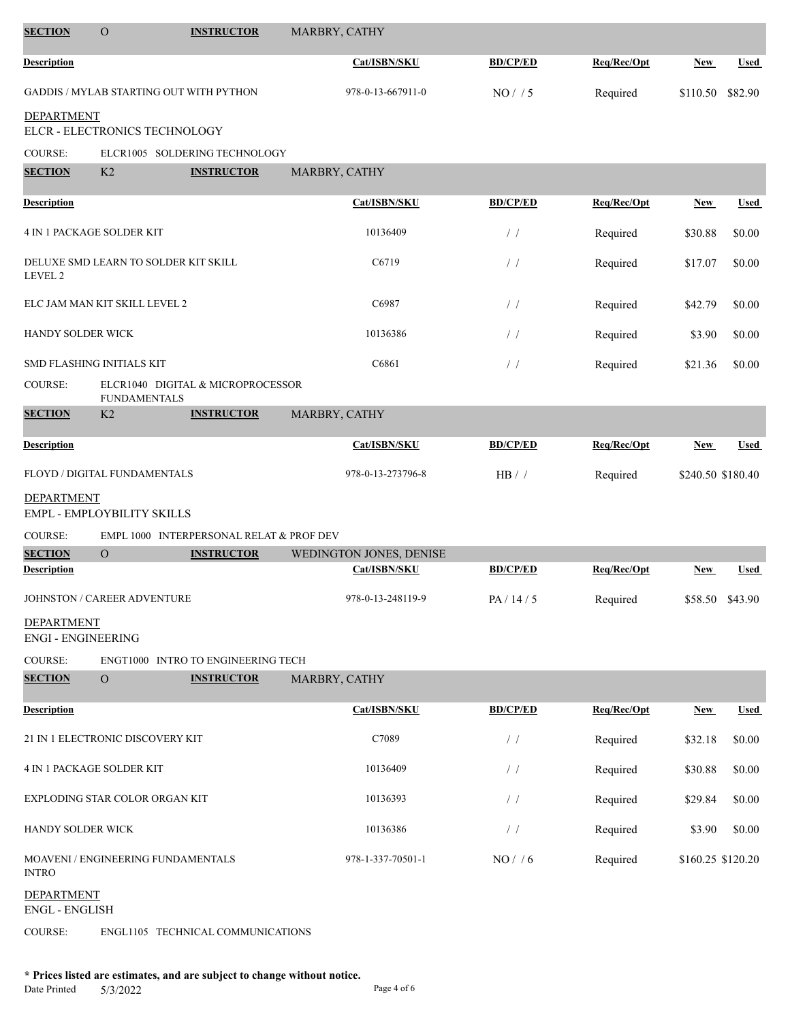| <b>SECTION</b>                                  | $\mathcal{O}$                             | <b>INSTRUCTOR</b>                        | MARBRY, CATHY |                                         |                 |             |                   |                 |
|-------------------------------------------------|-------------------------------------------|------------------------------------------|---------------|-----------------------------------------|-----------------|-------------|-------------------|-----------------|
| <b>Description</b>                              |                                           |                                          |               | Cat/ISBN/SKU                            | <b>BD/CP/ED</b> | Req/Rec/Opt | <b>New</b>        | <b>Used</b>     |
|                                                 | GADDIS / MYLAB STARTING OUT WITH PYTHON   |                                          |               | 978-0-13-667911-0                       | NO/ / 5         | Required    | \$110.50          | \$82.90         |
| <b>DEPARTMENT</b>                               | ELCR - ELECTRONICS TECHNOLOGY             |                                          |               |                                         |                 |             |                   |                 |
| COURSE:                                         |                                           | ELCR1005 SOLDERING TECHNOLOGY            |               |                                         |                 |             |                   |                 |
| <b>SECTION</b>                                  | K <sub>2</sub>                            | <b>INSTRUCTOR</b>                        | MARBRY, CATHY |                                         |                 |             |                   |                 |
| <b>Description</b>                              |                                           |                                          |               | Cat/ISBN/SKU                            | <b>BD/CP/ED</b> | Req/Rec/Opt | <b>New</b>        | <b>Used</b>     |
| <b>4 IN 1 PACKAGE SOLDER KIT</b>                |                                           |                                          |               | 10136409                                | $\frac{1}{2}$   | Required    | \$30.88           | \$0.00          |
| LEVEL 2                                         | DELUXE SMD LEARN TO SOLDER KIT SKILL      |                                          |               | C6719                                   | $\frac{1}{2}$   | Required    | \$17.07           | \$0.00          |
|                                                 | ELC JAM MAN KIT SKILL LEVEL 2             |                                          |               | C6987                                   | /               | Required    | \$42.79           | \$0.00          |
| <b>HANDY SOLDER WICK</b>                        |                                           |                                          |               | 10136386                                | $\frac{1}{2}$   | Required    | \$3.90            | \$0.00          |
|                                                 | SMD FLASHING INITIALS KIT                 |                                          |               | C6861                                   | $/$ /           | Required    | \$21.36           | \$0.00          |
| <b>COURSE:</b>                                  | <b>FUNDAMENTALS</b>                       | ELCR1040 DIGITAL & MICROPROCESSOR        |               |                                         |                 |             |                   |                 |
| <b>SECTION</b>                                  | K <sub>2</sub>                            | <b>INSTRUCTOR</b>                        | MARBRY, CATHY |                                         |                 |             |                   |                 |
| <b>Description</b>                              |                                           |                                          |               | Cat/ISBN/SKU                            | <b>BD/CP/ED</b> | Req/Rec/Opt | <b>New</b>        | Used            |
| FLOYD / DIGITAL FUNDAMENTALS                    |                                           |                                          |               | 978-0-13-273796-8                       | HB / /          | Required    | \$240.50 \$180.40 |                 |
| <b>DEPARTMENT</b><br>EMPL - EMPLOYBILITY SKILLS |                                           |                                          |               |                                         |                 |             |                   |                 |
| COURSE:                                         |                                           | EMPL 1000 INTERPERSONAL RELAT & PROF DEV |               |                                         |                 |             |                   |                 |
| <b>SECTION</b><br><b>Description</b>            | $\overline{O}$                            | <b>INSTRUCTOR</b>                        |               | WEDINGTON JONES, DENISE<br>Cat/ISBN/SKU | <b>BD/CP/ED</b> | Req/Rec/Opt | <b>New</b>        | <b>Used</b>     |
|                                                 |                                           |                                          |               |                                         |                 |             |                   |                 |
| <b>DEPARTMENT</b>                               | JOHNSTON / CAREER ADVENTURE               |                                          |               | 978-0-13-248119-9                       | PA/14/5         | Required    |                   | \$58.50 \$43.90 |
| <b>ENGI - ENGINEERING</b>                       |                                           |                                          |               |                                         |                 |             |                   |                 |
| COURSE:                                         |                                           | ENGT1000 INTRO TO ENGINEERING TECH       |               |                                         |                 |             |                   |                 |
| <b>SECTION</b>                                  | $\Omega$                                  | <b>INSTRUCTOR</b>                        | MARBRY, CATHY |                                         |                 |             |                   |                 |
| <b>Description</b>                              |                                           |                                          |               | Cat/ISBN/SKU                            | <b>BD/CP/ED</b> | Req/Rec/Opt | <b>New</b>        | <b>Used</b>     |
|                                                 | 21 IN 1 ELECTRONIC DISCOVERY KIT          |                                          |               | C7089                                   | $/$ /           | Required    | \$32.18           | \$0.00          |
| <b>4 IN 1 PACKAGE SOLDER KIT</b>                |                                           |                                          |               | 10136409                                | $/$ /           | Required    | \$30.88           | \$0.00          |
|                                                 | EXPLODING STAR COLOR ORGAN KIT            |                                          |               | 10136393                                | $/$ /           | Required    | \$29.84           | \$0.00          |
| HANDY SOLDER WICK                               |                                           |                                          |               | 10136386                                | $\prime\,$ /    | Required    | \$3.90            | \$0.00          |
| <b>INTRO</b>                                    | <b>MOAVENI / ENGINEERING FUNDAMENTALS</b> |                                          |               | 978-1-337-70501-1                       | NO/ / 6         | Required    | \$160.25 \$120.20 |                 |
| <b>DEPARTMENT</b><br><b>ENGL - ENGLISH</b>      |                                           |                                          |               |                                         |                 |             |                   |                 |
|                                                 |                                           |                                          |               |                                         |                 |             |                   |                 |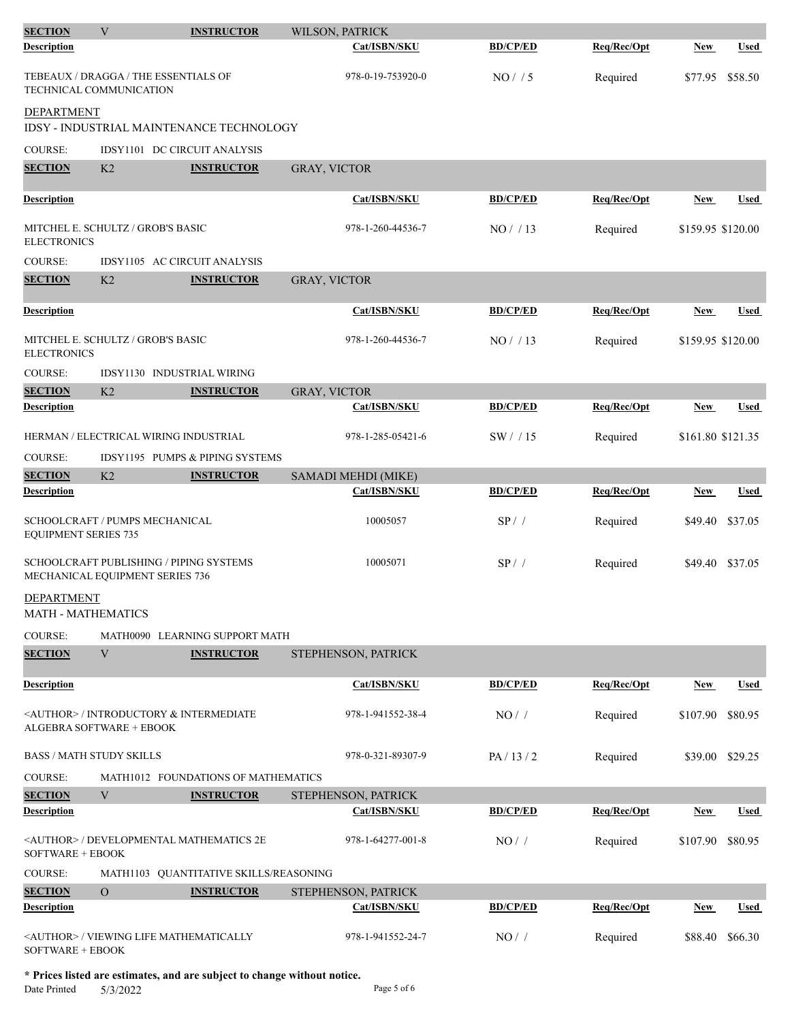| <b>SECTION</b>                                                | V                                                                                 | <b>INSTRUCTOR</b>                        | WILSON, PATRICK     |                     |                 |             |                   |                 |
|---------------------------------------------------------------|-----------------------------------------------------------------------------------|------------------------------------------|---------------------|---------------------|-----------------|-------------|-------------------|-----------------|
| <b>Description</b>                                            |                                                                                   |                                          |                     | Cat/ISBN/SKU        | <b>BD/CP/ED</b> | Req/Rec/Opt | <b>New</b>        | Used            |
|                                                               | TEBEAUX / DRAGGA / THE ESSENTIALS OF<br>TECHNICAL COMMUNICATION                   |                                          |                     | 978-0-19-753920-0   | NO/ / 5         | Required    | \$77.95           | \$58.50         |
| <b>DEPARTMENT</b>                                             |                                                                                   | IDSY - INDUSTRIAL MAINTENANCE TECHNOLOGY |                     |                     |                 |             |                   |                 |
| <b>COURSE:</b>                                                | IDSY1101 DC CIRCUIT ANALYSIS                                                      |                                          |                     |                     |                 |             |                   |                 |
| <b>SECTION</b>                                                | K <sub>2</sub>                                                                    | <b>INSTRUCTOR</b>                        | GRAY, VICTOR        |                     |                 |             |                   |                 |
|                                                               |                                                                                   |                                          |                     |                     |                 |             |                   |                 |
| <b>Description</b>                                            |                                                                                   |                                          |                     | Cat/ISBN/SKU        | <b>BD/CP/ED</b> | Req/Rec/Opt | New               | <b>Used</b>     |
| <b>ELECTRONICS</b>                                            | MITCHEL E. SCHULTZ / GROB'S BASIC                                                 |                                          |                     | 978-1-260-44536-7   | NO/13           | Required    | \$159.95 \$120.00 |                 |
| COURSE:                                                       | IDSY1105 AC CIRCUIT ANALYSIS                                                      |                                          |                     |                     |                 |             |                   |                 |
| <b>SECTION</b>                                                | K2                                                                                | <b>INSTRUCTOR</b>                        | GRAY, VICTOR        |                     |                 |             |                   |                 |
| <b>Description</b>                                            |                                                                                   |                                          |                     | Cat/ISBN/SKU        | <b>BD/CP/ED</b> | Req/Rec/Opt | New               | <b>Used</b>     |
| <b>ELECTRONICS</b>                                            | MITCHEL E. SCHULTZ / GROB'S BASIC                                                 |                                          |                     | 978-1-260-44536-7   | NO/13           | Required    | \$159.95 \$120.00 |                 |
| <b>COURSE:</b>                                                | IDSY1130 INDUSTRIAL WIRING                                                        |                                          |                     |                     |                 |             |                   |                 |
| <b>SECTION</b>                                                | K <sub>2</sub>                                                                    | <b>INSTRUCTOR</b>                        | <b>GRAY, VICTOR</b> |                     |                 |             |                   |                 |
| <b>Description</b>                                            |                                                                                   |                                          |                     | Cat/ISBN/SKU        | <b>BD/CP/ED</b> | Req/Rec/Opt | New               | <b>Used</b>     |
|                                                               | HERMAN / ELECTRICAL WIRING INDUSTRIAL                                             |                                          |                     | 978-1-285-05421-6   | SW/15           | Required    | \$161.80 \$121.35 |                 |
| <b>COURSE:</b>                                                | IDSY1195 PUMPS & PIPING SYSTEMS                                                   |                                          |                     |                     |                 |             |                   |                 |
| <b>SECTION</b>                                                | K <sub>2</sub>                                                                    | <b>INSTRUCTOR</b>                        |                     | SAMADI MEHDI (MIKE) |                 |             |                   |                 |
| <b>Description</b>                                            |                                                                                   |                                          |                     | <b>Cat/ISBN/SKU</b> | <b>BD/CP/ED</b> | Req/Rec/Opt | <b>New</b>        | <b>Used</b>     |
| SCHOOLCRAFT / PUMPS MECHANICAL<br><b>EQUIPMENT SERIES 735</b> |                                                                                   |                                          | 10005057            | $SP/$ /             | Required        | \$49.40     | \$37.05           |                 |
|                                                               | <b>SCHOOLCRAFT PUBLISHING / PIPING SYSTEMS</b><br>MECHANICAL EQUIPMENT SERIES 736 |                                          |                     | 10005071            | $SP/$ /         | Required    |                   | \$49.40 \$37.05 |
| <b>DEPARTMENT</b><br>MATH - MATHEMATICS                       |                                                                                   |                                          |                     |                     |                 |             |                   |                 |
| COURSE:                                                       |                                                                                   | MATH0090 LEARNING SUPPORT MATH           |                     |                     |                 |             |                   |                 |
| <b>SECTION</b>                                                | V                                                                                 | <b>INSTRUCTOR</b>                        |                     | STEPHENSON, PATRICK |                 |             |                   |                 |
|                                                               |                                                                                   |                                          |                     |                     |                 |             |                   |                 |
| <b>Description</b>                                            |                                                                                   |                                          |                     | Cat/ISBN/SKU        | <b>BD/CP/ED</b> | Req/Rec/Opt | <b>New</b>        | <b>Used</b>     |
|                                                               | <author> / INTRODUCTORY &amp; INTERMEDIATE<br/>ALGEBRA SOFTWARE + EBOOK</author>  |                                          |                     | 978-1-941552-38-4   | NO/             | Required    | \$107.90          | \$80.95         |
| BASS / MATH STUDY SKILLS                                      |                                                                                   |                                          |                     | 978-0-321-89307-9   | PA/13/2         | Required    |                   | \$39.00 \$29.25 |
| <b>COURSE:</b>                                                |                                                                                   | MATH1012 FOUNDATIONS OF MATHEMATICS      |                     |                     |                 |             |                   |                 |
| <b>SECTION</b>                                                | V                                                                                 | <b>INSTRUCTOR</b>                        |                     | STEPHENSON, PATRICK |                 |             |                   |                 |
| <b>Description</b>                                            |                                                                                   |                                          |                     | Cat/ISBN/SKU        | <b>BD/CP/ED</b> | Req/Rec/Opt | <b>New</b>        | <b>Used</b>     |
| SOFTWARE + EBOOK                                              | <author> / DEVELOPMENTAL MATHEMATICS 2E</author>                                  |                                          |                     | 978-1-64277-001-8   | NO/             | Required    | \$107.90          | \$80.95         |
| COURSE:                                                       |                                                                                   | MATH1103 QUANTITATIVE SKILLS/REASONING   |                     |                     |                 |             |                   |                 |
| <b>SECTION</b>                                                | $\mathbf O$                                                                       | <b>INSTRUCTOR</b>                        |                     | STEPHENSON, PATRICK |                 |             |                   |                 |
| <b>Description</b>                                            |                                                                                   |                                          |                     | Cat/ISBN/SKU        | <b>BD/CP/ED</b> | Req/Rec/Opt | New               | <b>Used</b>     |
| SOFTWARE + EBOOK                                              | <author> / VIEWING LIFE MATHEMATICALLY</author>                                   |                                          |                     | 978-1-941552-24-7   | NO/             | Required    | \$88.40           | \$66.30         |

**\* Prices listed are estimates, and are subject to change without notice.**  $5/3/2022$  Page 5 of 6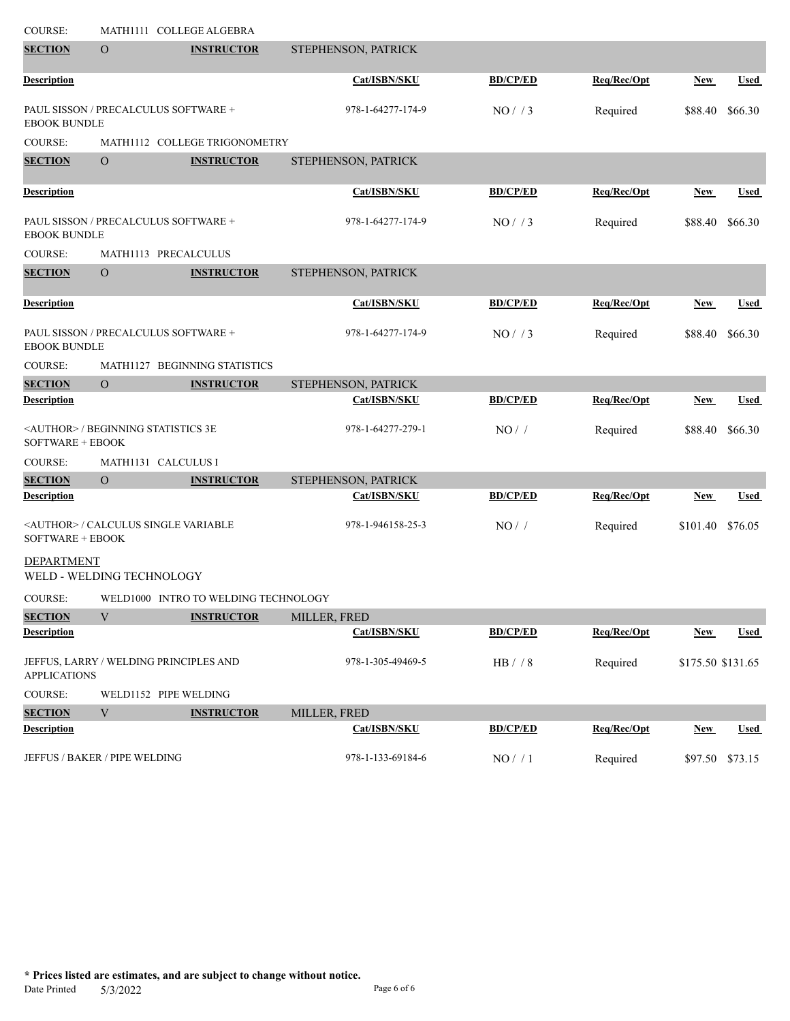| COURSE:             | MATH1111 COLLEGE ALGEBRA                     |                                      |                     |                 |             |                   |             |
|---------------------|----------------------------------------------|--------------------------------------|---------------------|-----------------|-------------|-------------------|-------------|
| <b>SECTION</b>      | $\overline{O}$                               | <b>INSTRUCTOR</b>                    | STEPHENSON, PATRICK |                 |             |                   |             |
| <b>Description</b>  |                                              |                                      | Cat/ISBN/SKU        | <b>BD/CP/ED</b> | Req/Rec/Opt | <b>New</b>        | <b>Used</b> |
| <b>EBOOK BUNDLE</b> | PAUL SISSON / PRECALCULUS SOFTWARE +         |                                      | 978-1-64277-174-9   | NO/73           | Required    | \$88.40           | \$66.30     |
| <b>COURSE:</b>      |                                              | MATH1112 COLLEGE TRIGONOMETRY        |                     |                 |             |                   |             |
| <b>SECTION</b>      | $\overline{O}$                               | <b>INSTRUCTOR</b>                    | STEPHENSON, PATRICK |                 |             |                   |             |
| <b>Description</b>  |                                              |                                      | Cat/ISBN/SKU        | <b>BD/CP/ED</b> | Req/Rec/Opt | <b>New</b>        | <b>Used</b> |
| <b>EBOOK BUNDLE</b> | PAUL SISSON / PRECALCULUS SOFTWARE +         |                                      | 978-1-64277-174-9   | NO/ / 3         | Required    | \$88.40           | \$66.30     |
| <b>COURSE:</b>      | MATH1113 PRECALCULUS                         |                                      |                     |                 |             |                   |             |
| <b>SECTION</b>      | $\mathcal{O}$                                | <b>INSTRUCTOR</b>                    | STEPHENSON, PATRICK |                 |             |                   |             |
| <b>Description</b>  |                                              |                                      | Cat/ISBN/SKU        | <b>BD/CP/ED</b> | Req/Rec/Opt | New               | <b>Used</b> |
| <b>EBOOK BUNDLE</b> | PAUL SISSON / PRECALCULUS SOFTWARE +         |                                      | 978-1-64277-174-9   | NO/ / 3         | Required    | \$88.40           | \$66.30     |
| COURSE:             |                                              | MATH1127 BEGINNING STATISTICS        |                     |                 |             |                   |             |
| <b>SECTION</b>      | $\overline{O}$                               | <b>INSTRUCTOR</b>                    | STEPHENSON, PATRICK |                 |             |                   |             |
| <b>Description</b>  |                                              |                                      | Cat/ISBN/SKU        | <b>BD/CP/ED</b> | Req/Rec/Opt | New               | <b>Used</b> |
| SOFTWARE + EBOOK    | <author> / BEGINNING STATISTICS 3E</author>  |                                      | 978-1-64277-279-1   | NO/             | Required    | \$88.40           | \$66.30     |
| <b>COURSE:</b>      | MATH1131 CALCULUS I                          |                                      |                     |                 |             |                   |             |
| <b>SECTION</b>      | $\overline{O}$                               | <b>INSTRUCTOR</b>                    | STEPHENSON, PATRICK |                 |             |                   |             |
| <b>Description</b>  |                                              |                                      | Cat/ISBN/SKU        | <b>BD/CP/ED</b> | Req/Rec/Opt | <b>New</b>        | <b>Used</b> |
| SOFTWARE + EBOOK    | <author> / CALCULUS SINGLE VARIABLE</author> |                                      | 978-1-946158-25-3   | NO/             | Required    | \$101.40          | \$76.05     |
| <b>DEPARTMENT</b>   | WELD - WELDING TECHNOLOGY                    |                                      |                     |                 |             |                   |             |
| COURSE:             |                                              | WELD1000 INTRO TO WELDING TECHNOLOGY |                     |                 |             |                   |             |
| <b>SECTION</b>      | $\mathbf V$                                  | <b>INSTRUCTOR</b>                    | MILLER, FRED        |                 |             |                   |             |
| <b>Description</b>  |                                              |                                      | Cat/ISBN/SKU        | <b>BD/CP/ED</b> | Req/Rec/Opt | <b>New</b>        | <b>Used</b> |
| <b>APPLICATIONS</b> | JEFFUS, LARRY / WELDING PRINCIPLES AND       |                                      | 978-1-305-49469-5   | HB / / 8        | Required    | \$175.50 \$131.65 |             |
| <b>COURSE:</b>      | WELD1152 PIPE WELDING                        |                                      |                     |                 |             |                   |             |
| <b>SECTION</b>      | V                                            | <b>INSTRUCTOR</b>                    | MILLER, FRED        |                 |             |                   |             |
| <b>Description</b>  |                                              |                                      | Cat/ISBN/SKU        | <b>BD/CP/ED</b> | Req/Rec/Opt | New               | <b>Used</b> |
|                     | JEFFUS / BAKER / PIPE WELDING                |                                      | 978-1-133-69184-6   | NO/ / 1         | Required    | \$97.50 \$73.15   |             |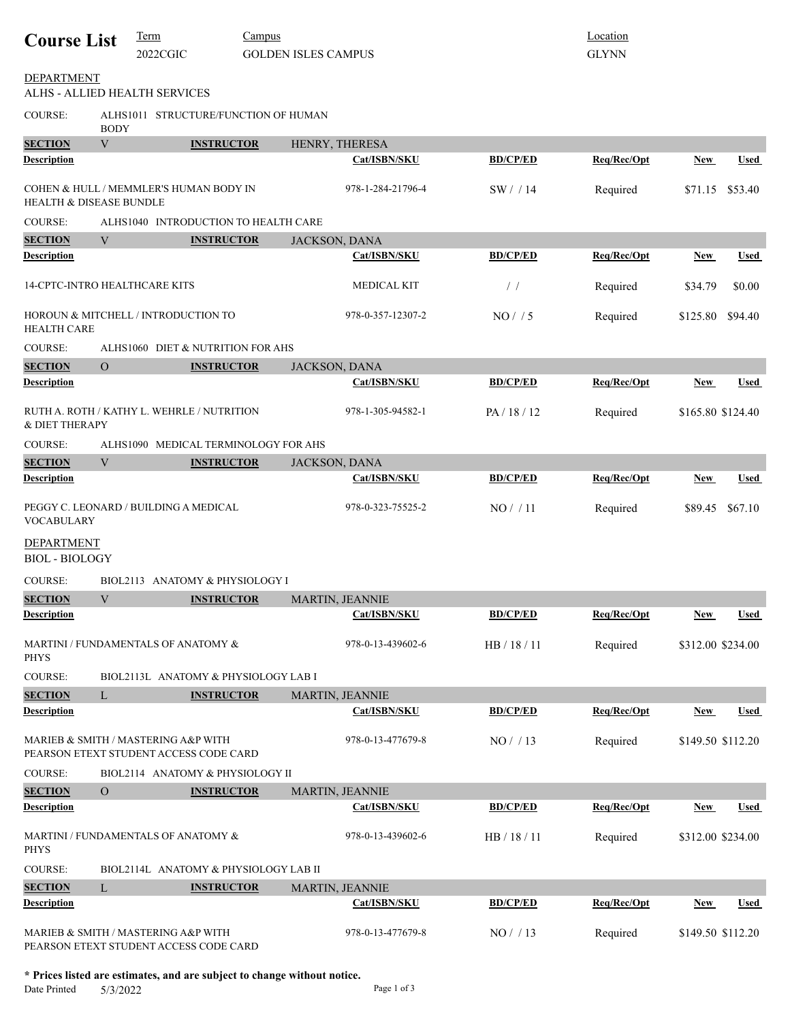| <b>Course List</b>                         | Term<br>Campus<br>2022CGIC<br><b>GOLDEN ISLES CAMPUS</b> |                                                                               |                   | Location<br><b>GLYNN</b> |  |                 |             |            |                   |
|--------------------------------------------|----------------------------------------------------------|-------------------------------------------------------------------------------|-------------------|--------------------------|--|-----------------|-------------|------------|-------------------|
| <b>DEPARTMENT</b>                          |                                                          | ALHS - ALLIED HEALTH SERVICES                                                 |                   |                          |  |                 |             |            |                   |
| <b>COURSE:</b>                             | <b>BODY</b>                                              | ALHS1011 STRUCTURE/FUNCTION OF HUMAN                                          |                   |                          |  |                 |             |            |                   |
| <b>SECTION</b>                             | V                                                        |                                                                               | <b>INSTRUCTOR</b> | HENRY, THERESA           |  |                 |             |            |                   |
| <b>Description</b>                         |                                                          |                                                                               |                   | Cat/ISBN/SKU             |  | <b>BD/CP/ED</b> | Req/Rec/Opt | <b>New</b> | Used              |
| <b>HEALTH &amp; DISEASE BUNDLE</b>         |                                                          | COHEN & HULL / MEMMLER'S HUMAN BODY IN                                        |                   | 978-1-284-21796-4        |  | SW/14           | Required    | \$71.15    | \$53.40           |
| <b>COURSE:</b>                             |                                                          | ALHS1040 INTRODUCTION TO HEALTH CARE                                          |                   |                          |  |                 |             |            |                   |
| <b>SECTION</b>                             | V                                                        |                                                                               | <b>INSTRUCTOR</b> | JACKSON, DANA            |  |                 |             |            |                   |
| <b>Description</b>                         |                                                          |                                                                               |                   | Cat/ISBN/SKU             |  | <b>BD/CP/ED</b> | Req/Rec/Opt | <b>New</b> | <b>Used</b>       |
| 14-CPTC-INTRO HEALTHCARE KITS              |                                                          |                                                                               |                   | <b>MEDICAL KIT</b>       |  | $\frac{1}{2}$   | Required    | \$34.79    | \$0.00            |
| <b>HEALTH CARE</b>                         |                                                          | HOROUN & MITCHELL / INTRODUCTION TO                                           |                   | 978-0-357-12307-2        |  | NO/ / 5         | Required    | \$125.80   | \$94.40           |
| <b>COURSE:</b>                             |                                                          | ALHS1060 DIET & NUTRITION FOR AHS                                             |                   |                          |  |                 |             |            |                   |
| <b>SECTION</b>                             | $\overline{O}$                                           |                                                                               | <b>INSTRUCTOR</b> | JACKSON, DANA            |  |                 |             |            |                   |
| <b>Description</b>                         |                                                          |                                                                               |                   | Cat/ISBN/SKU             |  | <b>BD/CP/ED</b> | Req/Rec/Opt | <b>New</b> | <b>Used</b>       |
| & DIET THERAPY                             |                                                          | RUTH A. ROTH / KATHY L. WEHRLE / NUTRITION                                    |                   | 978-1-305-94582-1        |  | PA/18/12        | Required    |            | \$165.80 \$124.40 |
| <b>COURSE:</b>                             | ALHS1090 MEDICAL TERMINOLOGY FOR AHS                     |                                                                               |                   |                          |  |                 |             |            |                   |
| <b>SECTION</b>                             | V                                                        |                                                                               | <b>INSTRUCTOR</b> | JACKSON, DANA            |  |                 |             |            |                   |
| <b>Description</b>                         |                                                          |                                                                               |                   | Cat/ISBN/SKU             |  | <b>BD/CP/ED</b> | Req/Rec/Opt | <b>New</b> | Used              |
| <b>VOCABULARY</b>                          |                                                          | PEGGY C. LEONARD / BUILDING A MEDICAL                                         |                   | 978-0-323-75525-2        |  | NO/11           | Required    | \$89.45    | \$67.10           |
| <b>DEPARTMENT</b><br><b>BIOL - BIOLOGY</b> |                                                          |                                                                               |                   |                          |  |                 |             |            |                   |
| <b>COURSE:</b>                             |                                                          | BIOL2113 ANATOMY & PHYSIOLOGY I                                               |                   |                          |  |                 |             |            |                   |
| <b>SECTION</b>                             | V                                                        |                                                                               | <b>INSTRUCTOR</b> | MARTIN, JEANNIE          |  |                 |             |            |                   |
| <b>Description</b>                         |                                                          |                                                                               |                   | Cat/ISBN/SKU             |  | <b>BD/CP/ED</b> | Req/Rec/Opt | <b>New</b> | <b>Used</b>       |
| <b>PHYS</b>                                |                                                          | MARTINI / FUNDAMENTALS OF ANATOMY &                                           |                   | 978-0-13-439602-6        |  | HB / 18 / 11    | Required    |            | \$312.00 \$234.00 |
| <b>COURSE:</b>                             |                                                          | BIOL2113L ANATOMY & PHYSIOLOGY LAB I                                          |                   |                          |  |                 |             |            |                   |
| <b>SECTION</b>                             | L                                                        |                                                                               | <b>INSTRUCTOR</b> | <b>MARTIN, JEANNIE</b>   |  |                 |             |            |                   |
| <b>Description</b>                         |                                                          |                                                                               |                   | Cat/ISBN/SKU             |  | <b>BD/CP/ED</b> | Req/Rec/Opt | <b>New</b> | <b>Used</b>       |
|                                            |                                                          | MARIEB & SMITH / MASTERING A&P WITH<br>PEARSON ETEXT STUDENT ACCESS CODE CARD |                   | 978-0-13-477679-8        |  | NO/13           | Required    |            | \$149.50 \$112.20 |
| COURSE:                                    |                                                          | BIOL2114 ANATOMY & PHYSIOLOGY II                                              |                   |                          |  |                 |             |            |                   |
| <b>SECTION</b>                             | $\Omega$                                                 |                                                                               | <b>INSTRUCTOR</b> | MARTIN, JEANNIE          |  |                 |             |            |                   |
| <b>Description</b>                         |                                                          |                                                                               |                   | Cat/ISBN/SKU             |  | <b>BD/CP/ED</b> | Req/Rec/Opt | <b>New</b> | <b>Used</b>       |
| <b>PHYS</b>                                |                                                          | MARTINI / FUNDAMENTALS OF ANATOMY &                                           |                   | 978-0-13-439602-6        |  | HB / 18 / 11    | Required    |            | \$312.00 \$234.00 |
| COURSE:                                    |                                                          | BIOL2114L ANATOMY & PHYSIOLOGY LAB II                                         |                   |                          |  |                 |             |            |                   |
| <b>SECTION</b>                             | L                                                        |                                                                               | <b>INSTRUCTOR</b> | MARTIN, JEANNIE          |  |                 |             |            |                   |
| <b>Description</b>                         |                                                          |                                                                               |                   | Cat/ISBN/SKU             |  | <b>BD/CP/ED</b> | Req/Rec/Opt | <b>New</b> | Used              |
|                                            |                                                          | MARIEB & SMITH / MASTERING A&P WITH<br>PEARSON ETEXT STUDENT ACCESS CODE CARD |                   | 978-0-13-477679-8        |  | NO/13           | Required    |            | \$149.50 \$112.20 |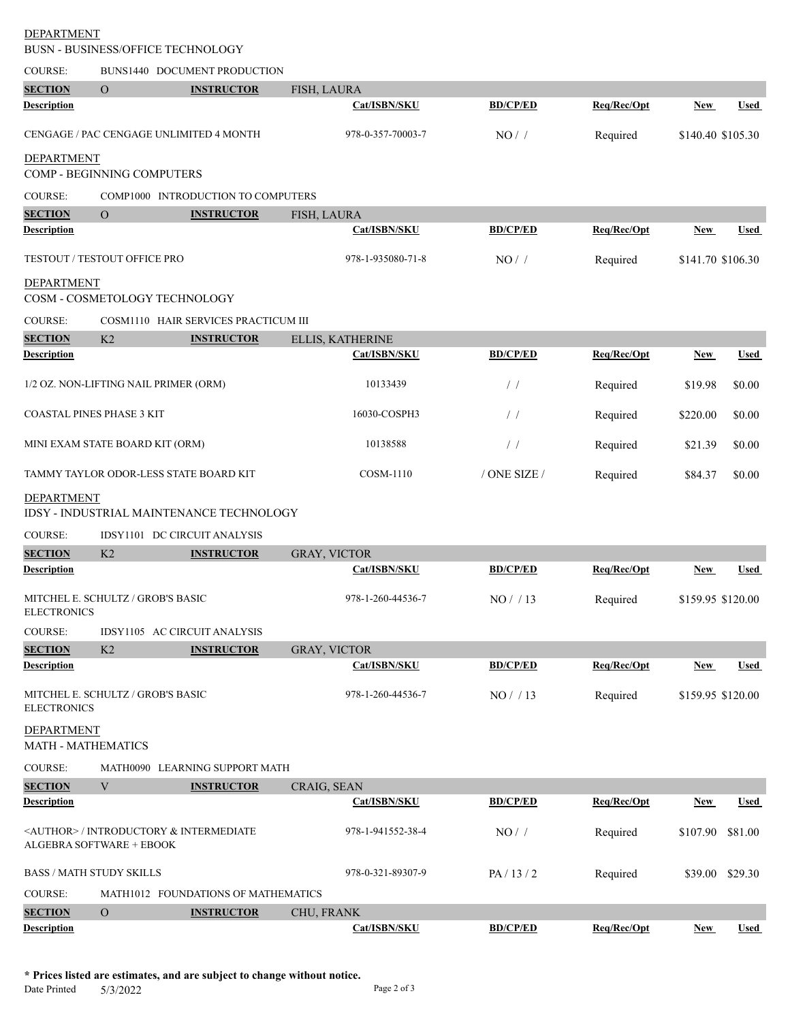BUSN - BUSINESS/OFFICE TECHNOLOGY

| COURSE:                                 |                                       | BUNS1440 DOCUMENT PRODUCTION                        |                     |                 |             |                   |             |
|-----------------------------------------|---------------------------------------|-----------------------------------------------------|---------------------|-----------------|-------------|-------------------|-------------|
| <b>SECTION</b>                          | $\overline{O}$                        | <b>INSTRUCTOR</b>                                   | FISH, LAURA         |                 |             |                   |             |
| <b>Description</b>                      |                                       |                                                     | Cat/ISBN/SKU        | <b>BD/CP/ED</b> | Req/Rec/Opt | New               | <b>Used</b> |
|                                         |                                       | CENGAGE / PAC CENGAGE UNLIMITED 4 MONTH             | 978-0-357-70003-7   | NO/             | Required    | \$140.40 \$105.30 |             |
| <b>DEPARTMENT</b>                       | COMP - BEGINNING COMPUTERS            |                                                     |                     |                 |             |                   |             |
| <b>COURSE:</b>                          |                                       | COMP1000 INTRODUCTION TO COMPUTERS                  |                     |                 |             |                   |             |
| <b>SECTION</b>                          | $\overline{O}$                        | <b>INSTRUCTOR</b>                                   | FISH, LAURA         |                 |             |                   |             |
| <b>Description</b>                      |                                       |                                                     | Cat/ISBN/SKU        | <b>BD/CP/ED</b> | Req/Rec/Opt | New               | <b>Used</b> |
|                                         |                                       |                                                     |                     |                 |             |                   |             |
|                                         | TESTOUT / TESTOUT OFFICE PRO          |                                                     | 978-1-935080-71-8   | NO/             | Required    | \$141.70 \$106.30 |             |
| <b>DEPARTMENT</b>                       | COSM - COSMETOLOGY TECHNOLOGY         |                                                     |                     |                 |             |                   |             |
| COURSE:                                 |                                       | COSM1110 HAIR SERVICES PRACTICUM III                |                     |                 |             |                   |             |
| <b>SECTION</b>                          | K <sub>2</sub>                        | <b>INSTRUCTOR</b>                                   | ELLIS, KATHERINE    |                 |             |                   |             |
| <b>Description</b>                      |                                       |                                                     | Cat/ISBN/SKU        | <b>BD/CP/ED</b> | Req/Rec/Opt | <b>New</b>        | <b>Used</b> |
|                                         | 1/2 OZ. NON-LIFTING NAIL PRIMER (ORM) |                                                     | 10133439            | $\frac{1}{2}$   | Required    | \$19.98           | \$0.00      |
| <b>COASTAL PINES PHASE 3 KIT</b>        |                                       |                                                     | 16030-COSPH3        | $\frac{1}{2}$   | Required    | \$220.00          | \$0.00      |
|                                         | MINI EXAM STATE BOARD KIT (ORM)       |                                                     | 10138588            | $\frac{1}{2}$   | Required    | \$21.39           | \$0.00      |
|                                         |                                       | TAMMY TAYLOR ODOR-LESS STATE BOARD KIT              | COSM-1110           | / ONE SIZE /    | Required    | \$84.37           | \$0.00      |
| <b>DEPARTMENT</b>                       |                                       | <b>IDSY - INDUSTRIAL MAINTENANCE TECHNOLOGY</b>     |                     |                 |             |                   |             |
| COURSE:                                 |                                       | IDSY1101 DC CIRCUIT ANALYSIS                        |                     |                 |             |                   |             |
| <b>SECTION</b>                          | K <sub>2</sub>                        | <b>INSTRUCTOR</b>                                   | <b>GRAY, VICTOR</b> |                 |             |                   |             |
| <b>Description</b>                      |                                       |                                                     | Cat/ISBN/SKU        | <b>BD/CP/ED</b> | Req/Rec/Opt | New               | <b>Used</b> |
| <b>ELECTRONICS</b>                      | MITCHEL E. SCHULTZ / GROB'S BASIC     |                                                     | 978-1-260-44536-7   | NO/13           | Required    | \$159.95 \$120.00 |             |
| <b>COURSE:</b>                          |                                       | IDSY1105 AC CIRCUIT ANALYSIS                        |                     |                 |             |                   |             |
| <b>SECTION</b>                          | K2                                    | <b>INSTRUCTOR</b>                                   | <b>GRAY, VICTOR</b> |                 |             |                   |             |
| Description                             |                                       |                                                     | Cat/ISBN/SKU        | <b>BD/CP/ED</b> | Req/Rec/Opt | New               | <b>Used</b> |
| <b>ELECTRONICS</b>                      | MITCHEL E. SCHULTZ / GROB'S BASIC     |                                                     | 978-1-260-44536-7   | NO/13           | Required    | \$159.95 \$120.00 |             |
| <b>DEPARTMENT</b><br>MATH - MATHEMATICS |                                       |                                                     |                     |                 |             |                   |             |
| <b>COURSE:</b>                          |                                       | MATH0090 LEARNING SUPPORT MATH                      |                     |                 |             |                   |             |
| <b>SECTION</b>                          | V                                     | <b>INSTRUCTOR</b>                                   | CRAIG, SEAN         |                 |             |                   |             |
| Description                             |                                       |                                                     | Cat/ISBN/SKU        | <b>BD/CP/ED</b> | Req/Rec/Opt | New               | <b>Used</b> |
|                                         | <b>ALGEBRA SOFTWARE + EBOOK</b>       | <author> / INTRODUCTORY &amp; INTERMEDIATE</author> | 978-1-941552-38-4   | $NO/$ /         | Required    | \$107.90          | \$81.00     |
| <b>BASS / MATH STUDY SKILLS</b>         |                                       |                                                     | 978-0-321-89307-9   | PA/13/2         | Required    | \$39.00 \$29.30   |             |
| <b>COURSE:</b>                          |                                       | MATH1012 FOUNDATIONS OF MATHEMATICS                 |                     |                 |             |                   |             |
| <b>SECTION</b>                          | $\mathbf{O}$                          | <b>INSTRUCTOR</b>                                   | CHU, FRANK          |                 |             |                   |             |
| <b>Description</b>                      |                                       |                                                     | Cat/ISBN/SKU        | <b>BD/CP/ED</b> | Req/Rec/Opt | <b>New</b>        | Used        |

**\* Prices listed are estimates, and are subject to change without notice.**

Date Printed 5/3/2022 Page 2 of 3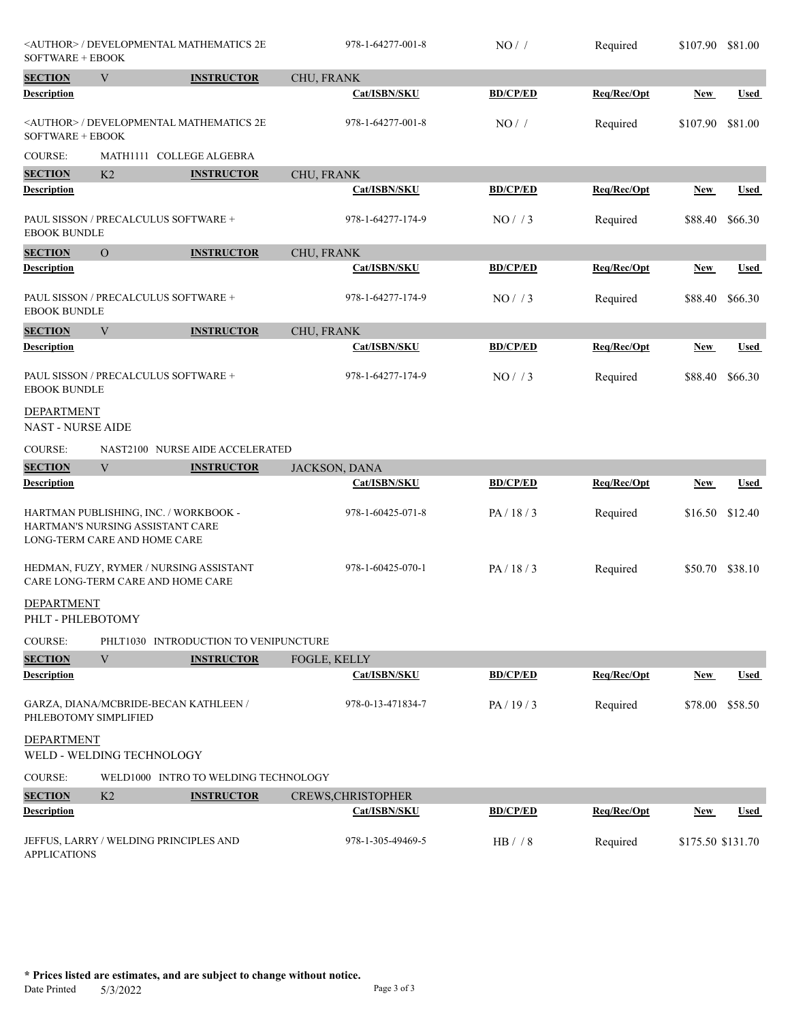|                                        | <author> / DEVELOPMENTAL MATHEMATICS 2E<br/>SOFTWARE + EBOOK</author>                                     |                                       | 978-1-64277-001-8  | NO/             | Required    | \$107.90          | \$81.00     |
|----------------------------------------|-----------------------------------------------------------------------------------------------------------|---------------------------------------|--------------------|-----------------|-------------|-------------------|-------------|
| <b>SECTION</b>                         | V                                                                                                         | <b>INSTRUCTOR</b>                     | CHU, FRANK         |                 |             |                   |             |
| Description                            |                                                                                                           |                                       | Cat/ISBN/SKU       | <b>BD/CP/ED</b> | Req/Rec/Opt | New               | Used        |
| SOFTWARE + EBOOK                       | <author> / DEVELOPMENTAL MATHEMATICS 2E</author>                                                          |                                       | 978-1-64277-001-8  | NO/             | Required    | \$107.90          | \$81.00     |
| COURSE:                                | MATH1111 COLLEGE ALGEBRA                                                                                  |                                       |                    |                 |             |                   |             |
| <b>SECTION</b>                         | K2                                                                                                        | <b>INSTRUCTOR</b>                     | CHU, FRANK         |                 |             |                   |             |
| Description                            |                                                                                                           |                                       | Cat/ISBN/SKU       | <b>BD/CP/ED</b> | Req/Rec/Opt | New               | Used        |
| <b>EBOOK BUNDLE</b>                    | PAUL SISSON / PRECALCULUS SOFTWARE +                                                                      |                                       | 978-1-64277-174-9  | NO/ / 3         | Required    | \$88.40           | \$66.30     |
| <b>SECTION</b>                         | $\overline{O}$                                                                                            | <b>INSTRUCTOR</b>                     | CHU, FRANK         |                 |             |                   |             |
| <b>Description</b>                     |                                                                                                           |                                       | Cat/ISBN/SKU       | <b>BD/CP/ED</b> | Req/Rec/Opt | New               | <b>Used</b> |
| <b>EBOOK BUNDLE</b>                    | PAUL SISSON / PRECALCULUS SOFTWARE +                                                                      |                                       | 978-1-64277-174-9  | NO/ / 3         | Required    | \$88.40           | \$66.30     |
| <b>SECTION</b>                         | $\ensuremath{\text{V}}$                                                                                   | <b>INSTRUCTOR</b>                     | CHU, FRANK         |                 |             |                   |             |
| Description                            |                                                                                                           |                                       | Cat/ISBN/SKU       | <b>BD/CP/ED</b> | Req/Rec/Opt | New               | <b>Used</b> |
| <b>EBOOK BUNDLE</b>                    | PAUL SISSON / PRECALCULUS SOFTWARE +                                                                      |                                       | 978-1-64277-174-9  | NO/73           | Required    | \$88.40           | \$66.30     |
| DEPARTMENT<br><b>NAST - NURSE AIDE</b> |                                                                                                           |                                       |                    |                 |             |                   |             |
| COURSE:                                |                                                                                                           | NAST2100 NURSE AIDE ACCELERATED       |                    |                 |             |                   |             |
| <b>SECTION</b>                         | $\mathbf{V}$                                                                                              | <b>INSTRUCTOR</b>                     | JACKSON, DANA      |                 |             |                   |             |
| <b>Description</b>                     |                                                                                                           |                                       | Cat/ISBN/SKU       | <b>BD/CP/ED</b> | Req/Rec/Opt | <b>New</b>        | <b>Used</b> |
|                                        | HARTMAN PUBLISHING, INC. / WORKBOOK -<br>HARTMAN'S NURSING ASSISTANT CARE<br>LONG-TERM CARE AND HOME CARE |                                       | 978-1-60425-071-8  | PA/18/3         | Required    | \$16.50           | \$12.40     |
|                                        | HEDMAN, FUZY, RYMER / NURSING ASSISTANT<br>CARE LONG-TERM CARE AND HOME CARE                              |                                       | 978-1-60425-070-1  | PA/18/3         | Required    | \$50.70 \$38.10   |             |
| DEPARTMENT<br>PHLT - PHLEBOTOMY        |                                                                                                           |                                       |                    |                 |             |                   |             |
| COURSE:                                |                                                                                                           | PHLT1030 INTRODUCTION TO VENIPUNCTURE |                    |                 |             |                   |             |
| <b>SECTION</b>                         | V                                                                                                         | <b>INSTRUCTOR</b>                     | FOGLE, KELLY       |                 |             |                   |             |
| <b>Description</b>                     |                                                                                                           |                                       | Cat/ISBN/SKU       | <b>BD/CP/ED</b> | Req/Rec/Opt | <b>New</b>        | <b>Used</b> |
| PHLEBOTOMY SIMPLIFIED                  | GARZA, DIANA/MCBRIDE-BECAN KATHLEEN /                                                                     |                                       | 978-0-13-471834-7  | PA/19/3         | Required    | \$78.00           | \$58.50     |
| DEPARTMENT                             | WELD - WELDING TECHNOLOGY                                                                                 |                                       |                    |                 |             |                   |             |
| <b>COURSE:</b>                         |                                                                                                           | WELD1000 INTRO TO WELDING TECHNOLOGY  |                    |                 |             |                   |             |
| <b>SECTION</b>                         | K2                                                                                                        | <b>INSTRUCTOR</b>                     | CREWS, CHRISTOPHER |                 |             |                   |             |
| <b>Description</b>                     |                                                                                                           |                                       | Cat/ISBN/SKU       | <b>BD/CP/ED</b> | Req/Rec/Opt | <u>New</u>        | <b>Used</b> |
| <b>APPLICATIONS</b>                    | JEFFUS, LARRY / WELDING PRINCIPLES AND                                                                    |                                       | 978-1-305-49469-5  | HB / / 8        | Required    | \$175.50 \$131.70 |             |

**\* Prices listed are estimates, and are subject to change without notice.**  $5/3/2022$  Page 3 of 3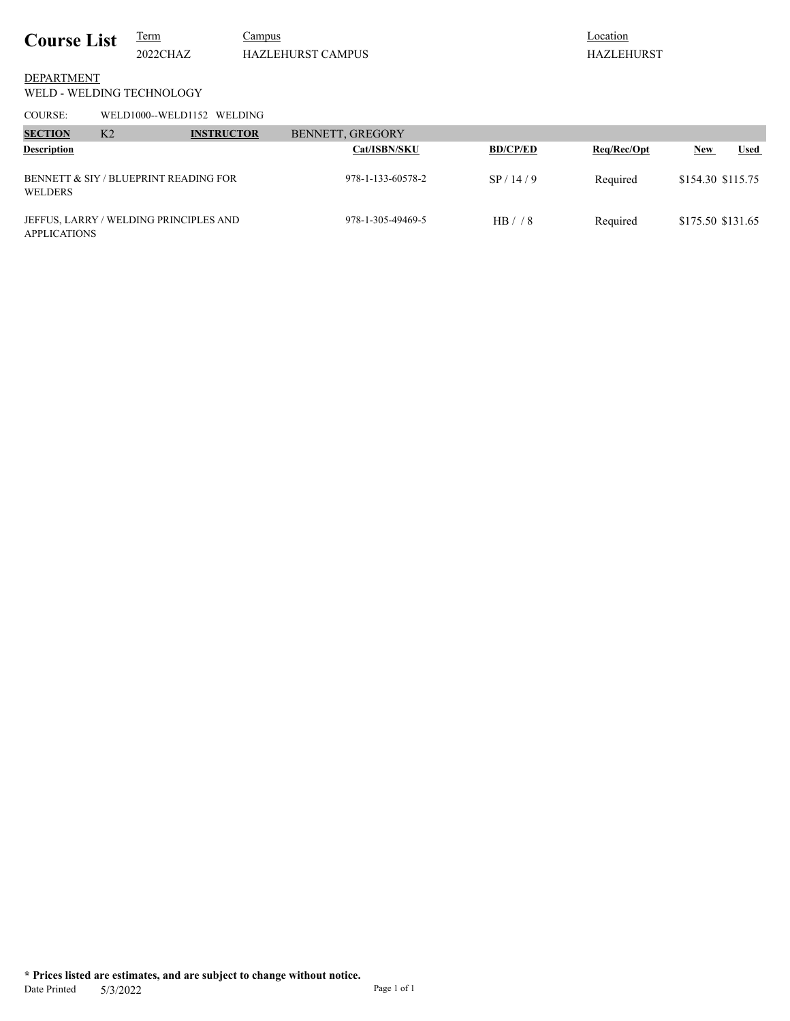## **Location** HAZLEHURST

## WELD - WELDING TECHNOLOGY DEPARTMENT

COURSE: WELD1000--WELD1152 WELDING

| <b>SECTION</b><br><b>Description</b> | K <sub>2</sub>                         | <b>INSTRUCTOR</b> | BENNETT, GREGORY | <b>Cat/ISBN/SKU</b> | <b>BD/CP/ED</b> | Req/Rec/Opt | <b>New</b>        | <b>Used</b> |
|--------------------------------------|----------------------------------------|-------------------|------------------|---------------------|-----------------|-------------|-------------------|-------------|
| <b>WELDERS</b>                       | BENNETT & SIY / BLUEPRINT READING FOR  |                   |                  | 978-1-133-60578-2   | SP/14/9         | Required    | \$154.30 \$115.75 |             |
| <b>APPLICATIONS</b>                  | JEFFUS, LARRY / WELDING PRINCIPLES AND |                   |                  | 978-1-305-49469-5   | HB/78           | Required    | \$175.50 \$131.65 |             |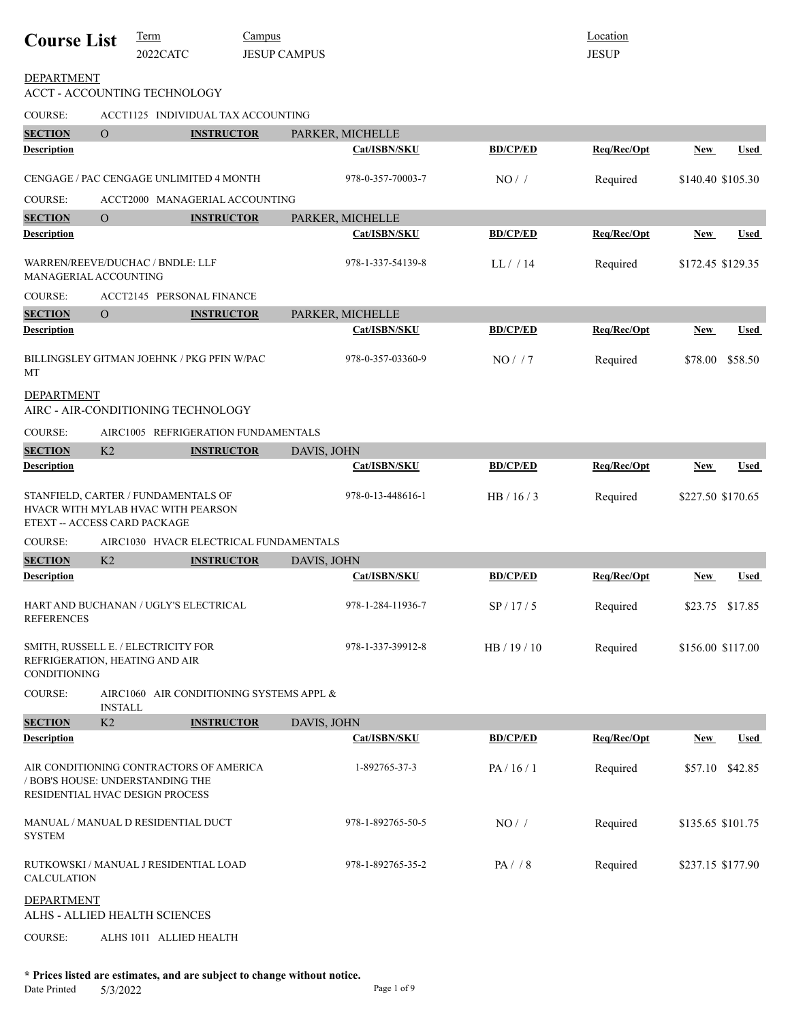| <b>Course List</b>                                                                                        |                | <b>Term</b><br>2022CATC | <b>Campus</b>                              | <b>JESUP CAMPUS</b> |                     |                 | Location<br><b>JESUP</b> |                   |                 |
|-----------------------------------------------------------------------------------------------------------|----------------|-------------------------|--------------------------------------------|---------------------|---------------------|-----------------|--------------------------|-------------------|-----------------|
| <b>DEPARTMENT</b><br>ACCT - ACCOUNTING TECHNOLOGY                                                         |                |                         |                                            |                     |                     |                 |                          |                   |                 |
| <b>COURSE:</b>                                                                                            |                |                         | ACCT1125 INDIVIDUAL TAX ACCOUNTING         |                     |                     |                 |                          |                   |                 |
| <b>SECTION</b>                                                                                            | $\overline{O}$ |                         | <b>INSTRUCTOR</b>                          |                     | PARKER, MICHELLE    |                 |                          |                   |                 |
| <b>Description</b>                                                                                        |                |                         |                                            |                     | Cat/ISBN/SKU        | <b>BD/CP/ED</b> | Req/Rec/Opt              | New               | <b>Used</b>     |
|                                                                                                           |                |                         | CENGAGE / PAC CENGAGE UNLIMITED 4 MONTH    |                     | 978-0-357-70003-7   | NO/             | Required                 | \$140.40 \$105.30 |                 |
| <b>COURSE:</b>                                                                                            |                |                         | ACCT2000 MANAGERIAL ACCOUNTING             |                     |                     |                 |                          |                   |                 |
| <b>SECTION</b>                                                                                            | $\overline{O}$ |                         | <b>INSTRUCTOR</b>                          |                     | PARKER, MICHELLE    |                 |                          |                   |                 |
| <b>Description</b>                                                                                        |                |                         |                                            |                     | <b>Cat/ISBN/SKU</b> | <b>BD/CP/ED</b> | Req/Rec/Opt              | <b>New</b>        | Used            |
| WARREN/REEVE/DUCHAC / BNDLE: LLF<br>MANAGERIAL ACCOUNTING                                                 |                |                         |                                            |                     | 978-1-337-54139-8   | LL/14           | Required                 | \$172.45 \$129.35 |                 |
| COURSE:                                                                                                   |                |                         | ACCT2145 PERSONAL FINANCE                  |                     |                     |                 |                          |                   |                 |
| <b>SECTION</b>                                                                                            | $\overline{O}$ |                         | <b>INSTRUCTOR</b>                          |                     | PARKER, MICHELLE    |                 |                          |                   |                 |
| <b>Description</b>                                                                                        |                |                         |                                            |                     | Cat/ISBN/SKU        | <b>BD/CP/ED</b> | Req/Rec/Opt              | <b>New</b>        | <b>Used</b>     |
| МT                                                                                                        |                |                         | BILLINGSLEY GITMAN JOEHNK / PKG PFIN W/PAC |                     | 978-0-357-03360-9   | NO/7            | Required                 | \$78.00           | \$58.50         |
| DEPARTMENT<br>AIRC - AIR-CONDITIONING TECHNOLOGY                                                          |                |                         |                                            |                     |                     |                 |                          |                   |                 |
| COURSE:                                                                                                   |                |                         | AIRC1005 REFRIGERATION FUNDAMENTALS        |                     |                     |                 |                          |                   |                 |
| <b>SECTION</b>                                                                                            | K2             |                         | <b>INSTRUCTOR</b>                          | DAVIS, JOHN         |                     |                 |                          |                   |                 |
| <b>Description</b>                                                                                        |                |                         |                                            |                     | Cat/ISBN/SKU        | <b>BD/CP/ED</b> | Req/Rec/Opt              | New               | Used            |
| STANFIELD, CARTER / FUNDAMENTALS OF<br>HVACR WITH MYLAB HVAC WITH PEARSON<br>ETEXT -- ACCESS CARD PACKAGE |                |                         |                                            |                     | 978-0-13-448616-1   | HB / 16 / 3     | Required                 | \$227.50 \$170.65 |                 |
| <b>COURSE:</b>                                                                                            |                |                         | AIRC1030 HVACR ELECTRICAL FUNDAMENTALS     |                     |                     |                 |                          |                   |                 |
| <b>SECTION</b>                                                                                            | K2             |                         | <b>INSTRUCTOR</b>                          | DAVIS, JOHN         |                     |                 |                          |                   |                 |
| <b>Description</b>                                                                                        |                |                         |                                            |                     | Cat/ISBN/SKU        | <b>BD/CP/ED</b> | Req/Rec/Opt              | New               | Used            |
| HART AND BUCHANAN / UGLY'S ELECTRICAL<br><b>REFERENCES</b>                                                |                |                         |                                            |                     | 978-1-284-11936-7   | SP/17/5         | Required                 |                   | \$23.75 \$17.85 |
| SMITH, RUSSELL E. / ELECTRICITY FOR<br>REFRIGERATION, HEATING AND AIR<br><b>CONDITIONING</b>              |                |                         |                                            |                     | 978-1-337-39912-8   | HB / 19 / 10    | Required                 | \$156.00 \$117.00 |                 |
| <b>COURSE:</b>                                                                                            | <b>INSTALL</b> |                         | AIRC1060 AIR CONDITIONING SYSTEMS APPL &   |                     |                     |                 |                          |                   |                 |
| <b>SECTION</b>                                                                                            | K2             |                         | <b>INSTRUCTOR</b>                          | DAVIS, JOHN         |                     |                 |                          |                   |                 |
| <b>Description</b>                                                                                        |                |                         |                                            |                     | Cat/ISBN/SKU        | <b>BD/CP/ED</b> | Req/Rec/Opt              | New               | <b>Used</b>     |
| / BOB'S HOUSE: UNDERSTANDING THE<br>RESIDENTIAL HVAC DESIGN PROCESS                                       |                |                         | AIR CONDITIONING CONTRACTORS OF AMERICA    |                     | 1-892765-37-3       | PA/16/1         | Required                 | \$57.10           | \$42.85         |
| MANUAL / MANUAL D RESIDENTIAL DUCT<br><b>SYSTEM</b>                                                       |                |                         |                                            |                     | 978-1-892765-50-5   | NO/             | Required                 | \$135.65 \$101.75 |                 |
| RUTKOWSKI / MANUAL J RESIDENTIAL LOAD<br>CALCULATION                                                      |                |                         |                                            |                     | 978-1-892765-35-2   | $PA/$ / 8       | Required                 | \$237.15 \$177.90 |                 |
| <b>DEPARTMENT</b><br>ALHS - ALLIED HEALTH SCIENCES                                                        |                |                         |                                            |                     |                     |                 |                          |                   |                 |
| <b>COURSE:</b>                                                                                            |                | ALHS 1011 ALLIED HEALTH |                                            |                     |                     |                 |                          |                   |                 |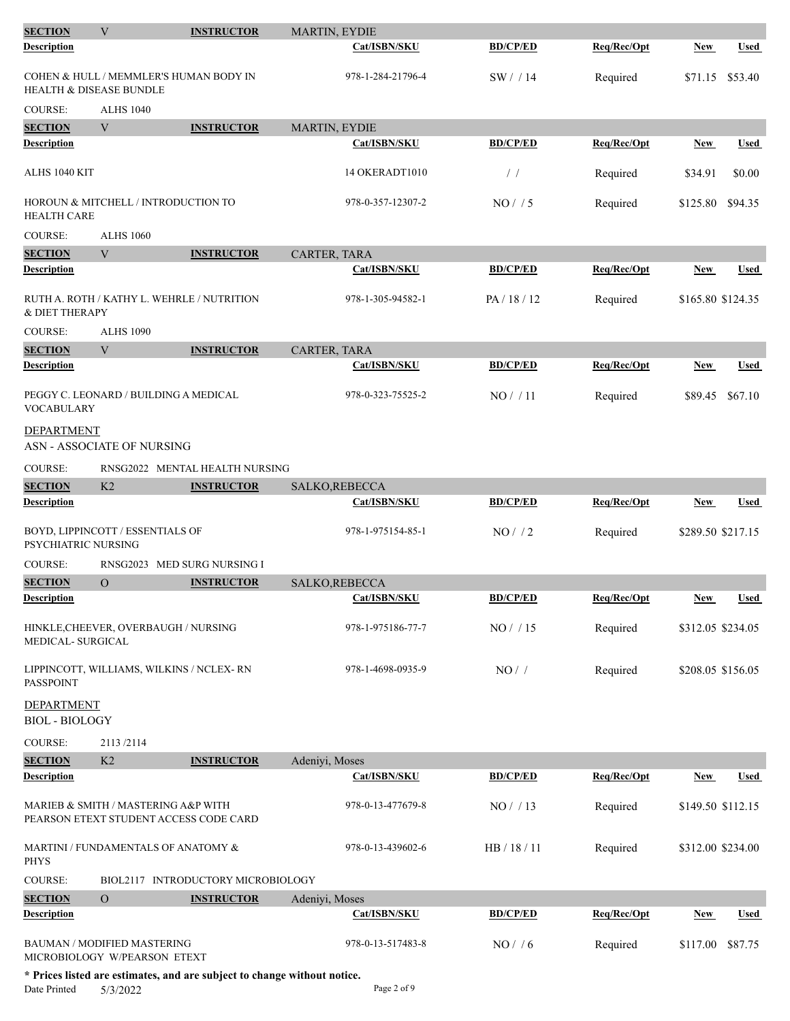| <b>SECTION</b>                             | V                                                                             | <b>INSTRUCTOR</b>                  | MARTIN, EYDIE     |                 |             |                   |                   |
|--------------------------------------------|-------------------------------------------------------------------------------|------------------------------------|-------------------|-----------------|-------------|-------------------|-------------------|
| Description                                |                                                                               |                                    | Cat/ISBN/SKU      | <b>BD/CP/ED</b> | Req/Rec/Opt | New               | <b>Used</b>       |
| <b>HEALTH &amp; DISEASE BUNDLE</b>         | COHEN & HULL / MEMMLER'S HUMAN BODY IN                                        |                                    | 978-1-284-21796-4 | SW/14           | Required    | \$71.15           | \$53.40           |
| <b>COURSE:</b>                             | <b>ALHS 1040</b>                                                              |                                    |                   |                 |             |                   |                   |
| <b>SECTION</b>                             | V                                                                             | <b>INSTRUCTOR</b>                  | MARTIN, EYDIE     |                 |             |                   |                   |
| <b>Description</b>                         |                                                                               |                                    | Cat/ISBN/SKU      | <b>BD/CP/ED</b> | Req/Rec/Opt | <b>New</b>        | <b>Used</b>       |
| ALHS 1040 KIT                              |                                                                               |                                    | 14 OKERADT1010    | $\frac{1}{2}$   | Required    | \$34.91           | \$0.00            |
| <b>HEALTH CARE</b>                         | HOROUN & MITCHELL / INTRODUCTION TO                                           |                                    | 978-0-357-12307-2 | NO/ / 5         | Required    | \$125.80          | \$94.35           |
| <b>COURSE:</b>                             | <b>ALHS 1060</b>                                                              |                                    |                   |                 |             |                   |                   |
| <b>SECTION</b>                             | $\mathbf{V}$                                                                  | <b>INSTRUCTOR</b>                  | CARTER, TARA      |                 |             |                   |                   |
| <b>Description</b>                         |                                                                               |                                    | Cat/ISBN/SKU      | <b>BD/CP/ED</b> | Req/Rec/Opt | New               | <b>Used</b>       |
| & DIET THERAPY                             | RUTH A. ROTH / KATHY L. WEHRLE / NUTRITION                                    |                                    | 978-1-305-94582-1 | PA/18/12        | Required    | \$165.80 \$124.35 |                   |
| <b>COURSE:</b>                             | <b>ALHS 1090</b>                                                              |                                    |                   |                 |             |                   |                   |
| <b>SECTION</b>                             | V                                                                             | <b>INSTRUCTOR</b>                  | CARTER, TARA      |                 |             |                   |                   |
| Description                                |                                                                               |                                    | Cat/ISBN/SKU      | <b>BD/CP/ED</b> | Req/Rec/Opt | <u>New</u>        | Used              |
| <b>VOCABULARY</b>                          | PEGGY C. LEONARD / BUILDING A MEDICAL                                         |                                    | 978-0-323-75525-2 | NO/11           | Required    | \$89.45           | \$67.10           |
| DEPARTMENT                                 | ASN - ASSOCIATE OF NURSING                                                    |                                    |                   |                 |             |                   |                   |
| COURSE:                                    |                                                                               | RNSG2022 MENTAL HEALTH NURSING     |                   |                 |             |                   |                   |
| <b>SECTION</b>                             | K2                                                                            | <b>INSTRUCTOR</b>                  | SALKO, REBECCA    |                 |             |                   |                   |
| <b>Description</b>                         |                                                                               |                                    | Cat/ISBN/SKU      | <b>BD/CP/ED</b> | Req/Rec/Opt | <b>New</b>        | <b>Used</b>       |
| PSYCHIATRIC NURSING                        | BOYD, LIPPINCOTT / ESSENTIALS OF                                              |                                    | 978-1-975154-85-1 | $NO/$ / 2       | Required    | \$289.50 \$217.15 |                   |
| <b>COURSE:</b>                             | RNSG2023 MED SURG NURSING I                                                   |                                    |                   |                 |             |                   |                   |
| <b>SECTION</b>                             | $\Omega$                                                                      | <b>INSTRUCTOR</b>                  | SALKO, REBECCA    |                 |             |                   |                   |
| Description                                |                                                                               |                                    | Cat/ISBN/SKU      | <b>BD/CP/ED</b> | Reg/Rec/Opt | New               | Used              |
| MEDICAL- SURGICAL                          | HINKLE, CHEEVER, OVERBAUGH / NURSING                                          |                                    | 978-1-975186-77-7 | $NO/$ / 15      | Required    |                   | \$312.05 \$234.05 |
| <b>PASSPOINT</b>                           | LIPPINCOTT, WILLIAMS, WILKINS / NCLEX-RN                                      |                                    | 978-1-4698-0935-9 | $NO/$ /         | Required    |                   | \$208.05 \$156.05 |
| <b>DEPARTMENT</b><br><b>BIOL - BIOLOGY</b> |                                                                               |                                    |                   |                 |             |                   |                   |
| <b>COURSE:</b>                             | 2113/2114                                                                     |                                    |                   |                 |             |                   |                   |
| <b>SECTION</b>                             | K2                                                                            | <b>INSTRUCTOR</b>                  | Adeniyi, Moses    |                 |             |                   |                   |
| Description                                |                                                                               |                                    | Cat/ISBN/SKU      | <b>BD/CP/ED</b> | Req/Rec/Opt | <b>New</b>        | Used              |
|                                            | MARIEB & SMITH / MASTERING A&P WITH<br>PEARSON ETEXT STUDENT ACCESS CODE CARD |                                    | 978-0-13-477679-8 | NO/13           | Required    |                   | \$149.50 \$112.15 |
| <b>PHYS</b>                                | MARTINI / FUNDAMENTALS OF ANATOMY &                                           |                                    | 978-0-13-439602-6 | HB / 18 / 11    | Required    |                   | \$312.00 \$234.00 |
| <b>COURSE:</b>                             |                                                                               | BIOL2117 INTRODUCTORY MICROBIOLOGY |                   |                 |             |                   |                   |
| <b>SECTION</b>                             | $\overline{O}$                                                                | <b>INSTRUCTOR</b>                  | Adeniyi, Moses    |                 |             |                   |                   |
| <b>Description</b>                         |                                                                               |                                    | Cat/ISBN/SKU      | <b>BD/CP/ED</b> | Req/Rec/Opt | <u>New</u>        | Used              |
|                                            | <b>BAUMAN / MODIFIED MASTERING</b><br>MICROBIOLOGY W/PEARSON ETEXT            |                                    | 978-0-13-517483-8 | NO/ / 6         | Required    | \$117.00          | \$87.75           |
|                                            |                                                                               |                                    |                   |                 |             |                   |                   |

**\* Prices listed are estimates, and are subject to change without notice.** Date Printed 5/3/2022 Page 2 of 9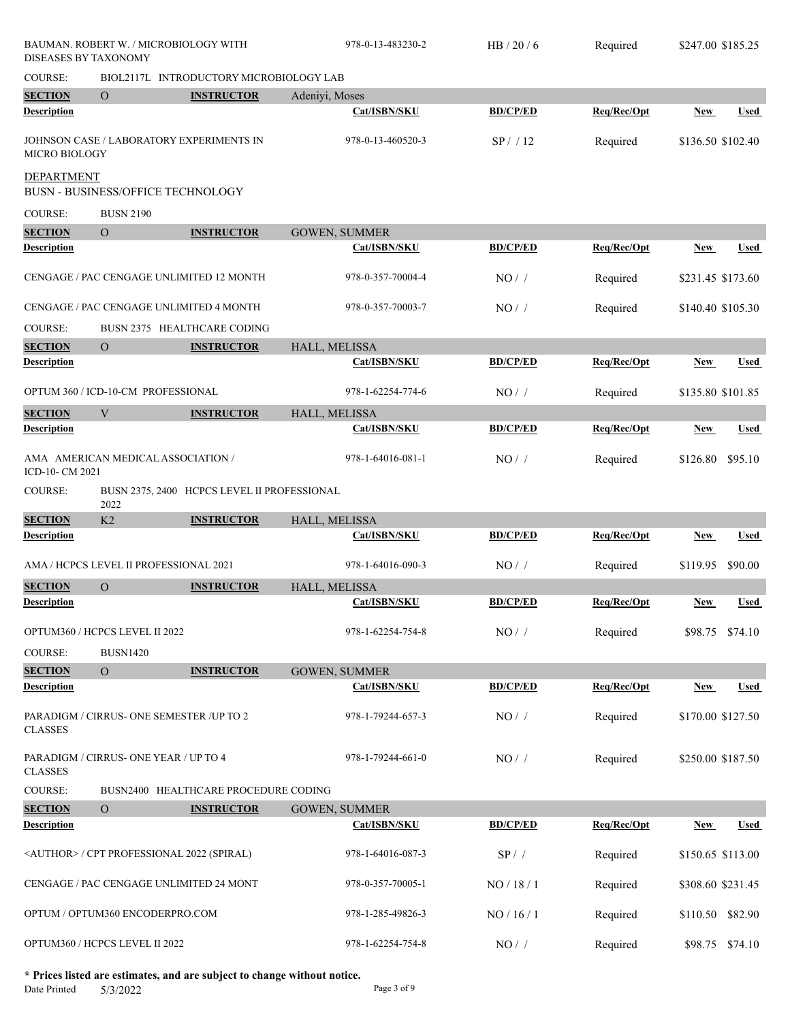|                      | BAUMAN. ROBERT W. / MICROBIOLOGY WITH<br>DISEASES BY TAXONOMY |                                             | 978-0-13-483230-2    | HB/20/6         | Required    | \$247.00 \$185.25 |             |
|----------------------|---------------------------------------------------------------|---------------------------------------------|----------------------|-----------------|-------------|-------------------|-------------|
| COURSE:              |                                                               | BIOL2117L INTRODUCTORY MICROBIOLOGY LAB     |                      |                 |             |                   |             |
| <b>SECTION</b>       | $\Omega$                                                      | <b>INSTRUCTOR</b>                           | Adeniyi, Moses       |                 |             |                   |             |
| <b>Description</b>   |                                                               |                                             | Cat/ISBN/SKU         | <b>BD/CP/ED</b> | Req/Rec/Opt | <b>New</b>        | Used        |
| <b>MICRO BIOLOGY</b> | JOHNSON CASE / LABORATORY EXPERIMENTS IN                      |                                             | 978-0-13-460520-3    | SP/12           | Required    | \$136.50 \$102.40 |             |
| <b>DEPARTMENT</b>    | <b>BUSN - BUSINESS/OFFICE TECHNOLOGY</b>                      |                                             |                      |                 |             |                   |             |
| <b>COURSE:</b>       | <b>BUSN 2190</b>                                              |                                             |                      |                 |             |                   |             |
| <b>SECTION</b>       | $\overline{O}$                                                | <b>INSTRUCTOR</b>                           | <b>GOWEN, SUMMER</b> |                 |             |                   |             |
| <b>Description</b>   |                                                               |                                             | Cat/ISBN/SKU         | <b>BD/CP/ED</b> | Req/Rec/Opt | New               | <b>Used</b> |
|                      | CENGAGE / PAC CENGAGE UNLIMITED 12 MONTH                      |                                             | 978-0-357-70004-4    | NO/             | Required    | \$231.45 \$173.60 |             |
|                      | CENGAGE / PAC CENGAGE UNLIMITED 4 MONTH                       |                                             | 978-0-357-70003-7    | NO/             | Required    | \$140.40 \$105.30 |             |
| <b>COURSE:</b>       |                                                               | BUSN 2375 HEALTHCARE CODING                 |                      |                 |             |                   |             |
| <b>SECTION</b>       | $\overline{O}$                                                | <b>INSTRUCTOR</b>                           | HALL, MELISSA        |                 |             |                   |             |
| <b>Description</b>   |                                                               |                                             | Cat/ISBN/SKU         | <b>BD/CP/ED</b> | Req/Rec/Opt | <b>New</b>        | <b>Used</b> |
|                      | OPTUM 360 / ICD-10-CM PROFESSIONAL                            |                                             | 978-1-62254-774-6    | $NO/$ /         | Required    | \$135.80 \$101.85 |             |
| <b>SECTION</b>       | V                                                             | <b>INSTRUCTOR</b>                           | HALL, MELISSA        |                 |             |                   |             |
| <b>Description</b>   |                                                               |                                             | Cat/ISBN/SKU         | <b>BD/CP/ED</b> | Req/Rec/Opt | New               | Used        |
| ICD-10- CM 2021      | AMA AMERICAN MEDICAL ASSOCIATION /                            |                                             | 978-1-64016-081-1    | NO/             | Required    | \$126.80          | \$95.10     |
| COURSE:              | 2022                                                          | BUSN 2375, 2400 HCPCS LEVEL II PROFESSIONAL |                      |                 |             |                   |             |
| <b>SECTION</b>       | K2                                                            | <b>INSTRUCTOR</b>                           | HALL, MELISSA        |                 |             |                   |             |
| <b>Description</b>   |                                                               |                                             | Cat/ISBN/SKU         | <b>BD/CP/ED</b> | Req/Rec/Opt | <b>New</b>        | <b>Used</b> |
|                      | AMA / HCPCS LEVEL II PROFESSIONAL 2021                        |                                             | 978-1-64016-090-3    | NO/             | Required    | \$119.95          | \$90.00     |
| <b>SECTION</b>       | $\Omega$                                                      | <b>INSTRUCTOR</b>                           | <b>HALL, MELISSA</b> |                 |             |                   |             |
| Description          |                                                               |                                             | Cat/ISBN/SKU         | <b>BD/CP/ED</b> | Req/Rec/Opt | <b>New</b>        | <b>Used</b> |
|                      | OPTUM360 / HCPCS LEVEL II 2022                                |                                             | 978-1-62254-754-8    | NO/             | Required    | \$98.75 \$74.10   |             |
| <b>COURSE:</b>       | <b>BUSN1420</b>                                               |                                             |                      |                 |             |                   |             |
| <b>SECTION</b>       | $\Omega$                                                      | <b>INSTRUCTOR</b>                           | <b>GOWEN, SUMMER</b> |                 |             |                   |             |
| <b>Description</b>   |                                                               |                                             | Cat/ISBN/SKU         | <b>BD/CP/ED</b> | Req/Rec/Opt | <b>New</b>        | <b>Used</b> |
| <b>CLASSES</b>       | PARADIGM / CIRRUS- ONE SEMESTER /UP TO 2                      |                                             | 978-1-79244-657-3    | NO/             | Required    | \$170.00 \$127.50 |             |
| <b>CLASSES</b>       | PARADIGM / CIRRUS- ONE YEAR / UP TO 4                         |                                             | 978-1-79244-661-0    | $NO/$ /         | Required    | \$250.00 \$187.50 |             |
| <b>COURSE:</b>       |                                                               | BUSN2400 HEALTHCARE PROCEDURE CODING        |                      |                 |             |                   |             |
| <b>SECTION</b>       | $\Omega$                                                      | <b>INSTRUCTOR</b>                           | <b>GOWEN, SUMMER</b> |                 |             |                   |             |
| Description          |                                                               |                                             | Cat/ISBN/SKU         | <b>BD/CP/ED</b> | Req/Rec/Opt | New               | <b>Used</b> |
|                      | <author> / CPT PROFESSIONAL 2022 (SPIRAL)</author>            |                                             | 978-1-64016-087-3    | SP/             | Required    | \$150.65 \$113.00 |             |
|                      | CENGAGE / PAC CENGAGE UNLIMITED 24 MONT                       |                                             | 978-0-357-70005-1    | NO / 18 / 1     | Required    | \$308.60 \$231.45 |             |
|                      | OPTUM / OPTUM360 ENCODERPRO.COM                               |                                             | 978-1-285-49826-3    | NO / 16 / 1     | Required    | \$110.50          | \$82.90     |
|                      | OPTUM360 / HCPCS LEVEL II 2022                                |                                             | 978-1-62254-754-8    | $NO/$ /         | Required    | \$98.75 \$74.10   |             |

**\* Prices listed are estimates, and are subject to change without notice.**  $5/3/2022$  Page 3 of 9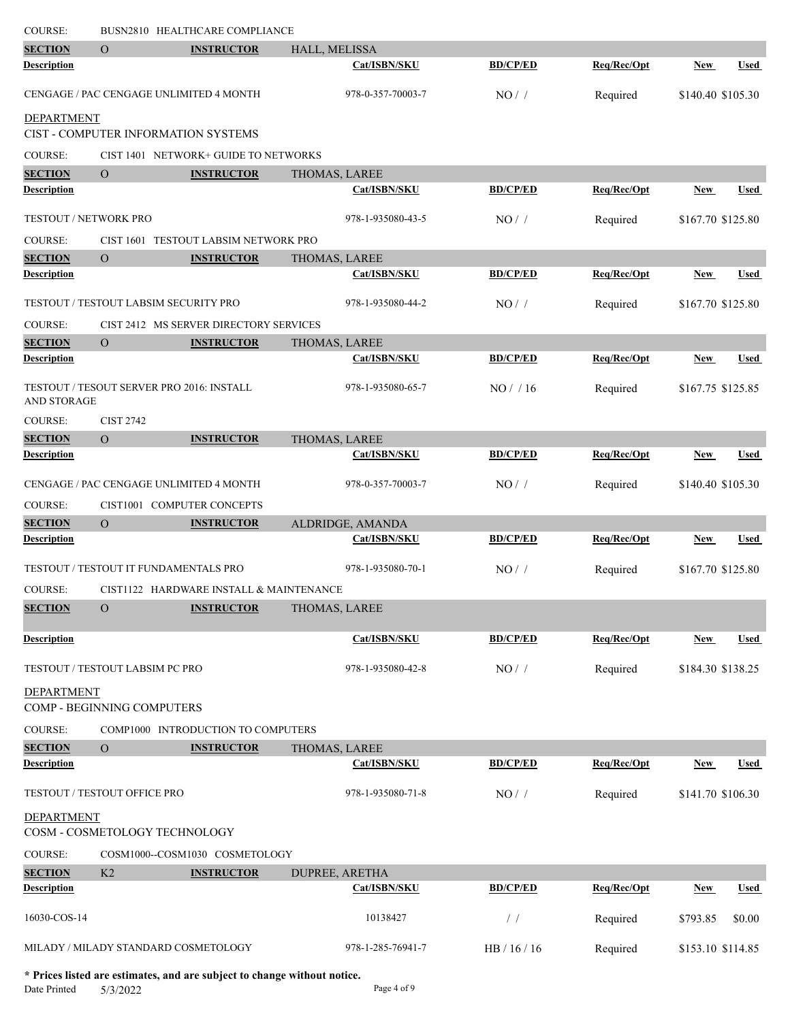| <b>COURSE:</b>                       |                                 | BUSN2810 HEALTHCARE COMPLIANCE               |                   |                 |             |                   |             |
|--------------------------------------|---------------------------------|----------------------------------------------|-------------------|-----------------|-------------|-------------------|-------------|
| <b>SECTION</b>                       | $\overline{O}$                  | <b>INSTRUCTOR</b>                            | HALL, MELISSA     |                 |             |                   |             |
| <b>Description</b>                   |                                 |                                              | Cat/ISBN/SKU      | <b>BD/CP/ED</b> | Req/Rec/Opt | <b>New</b>        | <b>Used</b> |
|                                      |                                 | CENGAGE / PAC CENGAGE UNLIMITED 4 MONTH      | 978-0-357-70003-7 | NO/             | Required    | \$140.40 \$105.30 |             |
| <b>DEPARTMENT</b>                    |                                 | CIST - COMPUTER INFORMATION SYSTEMS          |                   |                 |             |                   |             |
| COURSE:                              |                                 | CIST 1401 NETWORK+ GUIDE TO NETWORKS         |                   |                 |             |                   |             |
| <b>SECTION</b>                       | $\overline{O}$                  | <b>INSTRUCTOR</b>                            | THOMAS, LAREE     |                 |             |                   |             |
| <b>Description</b>                   |                                 |                                              | Cat/ISBN/SKU      | <b>BD/CP/ED</b> | Req/Rec/Opt | <b>New</b>        | <b>Used</b> |
| TESTOUT / NETWORK PRO                |                                 |                                              | 978-1-935080-43-5 | NO/             | Required    | \$167.70 \$125.80 |             |
| COURSE:                              |                                 | CIST 1601 TESTOUT LABSIM NETWORK PRO         |                   |                 |             |                   |             |
| <b>SECTION</b>                       | $\overline{O}$                  | <b>INSTRUCTOR</b>                            | THOMAS, LAREE     |                 |             |                   |             |
| <b>Description</b>                   |                                 |                                              | Cat/ISBN/SKU      | <b>BD/CP/ED</b> | Req/Rec/Opt | New               | Used        |
|                                      |                                 | <b>TESTOUT / TESTOUT LABSIM SECURITY PRO</b> | 978-1-935080-44-2 | NO/             | Required    | \$167.70 \$125.80 |             |
| COURSE:                              |                                 | CIST 2412 MS SERVER DIRECTORY SERVICES       |                   |                 |             |                   |             |
| <b>SECTION</b>                       | $\overline{O}$                  | <b>INSTRUCTOR</b>                            | THOMAS, LAREE     |                 |             |                   |             |
| <b>Description</b>                   |                                 |                                              | Cat/ISBN/SKU      | <b>BD/CP/ED</b> | Req/Rec/Opt | <b>New</b>        | <b>Used</b> |
| AND STORAGE                          |                                 | TESTOUT / TESOUT SERVER PRO 2016: INSTALL    | 978-1-935080-65-7 | $NO/$ / 16      | Required    | \$167.75 \$125.85 |             |
| <b>COURSE:</b>                       | <b>CIST 2742</b>                |                                              |                   |                 |             |                   |             |
| <b>SECTION</b>                       | $\overline{O}$                  | <b>INSTRUCTOR</b>                            | THOMAS, LAREE     |                 |             |                   |             |
| <b>Description</b>                   |                                 |                                              | Cat/ISBN/SKU      | <b>BD/CP/ED</b> | Req/Rec/Opt | <b>New</b>        | <b>Used</b> |
|                                      |                                 | CENGAGE / PAC CENGAGE UNLIMITED 4 MONTH      | 978-0-357-70003-7 | NO/             | Required    | \$140.40 \$105.30 |             |
| <b>COURSE:</b>                       |                                 | CIST1001 COMPUTER CONCEPTS                   |                   |                 |             |                   |             |
| <b>SECTION</b>                       | $\overline{O}$                  | <b>INSTRUCTOR</b>                            | ALDRIDGE, AMANDA  |                 |             |                   |             |
| <b>Description</b>                   |                                 |                                              | Cat/ISBN/SKU      | <b>BD/CP/ED</b> | Req/Rec/Opt | <b>New</b>        | <b>Used</b> |
|                                      |                                 | TESTOUT / TESTOUT IT FUNDAMENTALS PRO        | 978-1-935080-70-1 | NO/             | Required    | \$167.70 \$125.80 |             |
| <b>COURSE:</b>                       |                                 | CIST1122 HARDWARE INSTALL & MAINTENANCE      |                   |                 |             |                   |             |
| <b>SECTION</b>                       | $\mathbf O$                     | <b>INSTRUCTOR</b>                            | THOMAS, LAREE     |                 |             |                   |             |
|                                      |                                 |                                              |                   |                 |             |                   |             |
| <b>Description</b>                   |                                 |                                              | Cat/ISBN/SKU      | <b>BD/CP/ED</b> | Req/Rec/Opt | <b>New</b>        | Used        |
|                                      | TESTOUT / TESTOUT LABSIM PC PRO |                                              | 978-1-935080-42-8 | $NO/$ /         | Required    | \$184.30 \$138.25 |             |
| <b>DEPARTMENT</b>                    |                                 |                                              |                   |                 |             |                   |             |
|                                      | COMP - BEGINNING COMPUTERS      |                                              |                   |                 |             |                   |             |
| COURSE:                              |                                 | COMP1000 INTRODUCTION TO COMPUTERS           |                   |                 |             |                   |             |
| <b>SECTION</b><br><b>Description</b> | $\overline{O}$                  | <b>INSTRUCTOR</b>                            | THOMAS, LAREE     |                 |             |                   |             |
|                                      |                                 |                                              | Cat/ISBN/SKU      | <b>BD/CP/ED</b> | Req/Rec/Opt | <b>New</b>        | Used        |
|                                      | TESTOUT / TESTOUT OFFICE PRO    |                                              | 978-1-935080-71-8 | $NO/$ /         | Required    | \$141.70 \$106.30 |             |
| <b>DEPARTMENT</b>                    | COSM - COSMETOLOGY TECHNOLOGY   |                                              |                   |                 |             |                   |             |
| <b>COURSE:</b>                       |                                 | COSM1000--COSM1030 COSMETOLOGY               |                   |                 |             |                   |             |
| <b>SECTION</b>                       | K <sub>2</sub>                  | <b>INSTRUCTOR</b>                            | DUPREE, ARETHA    |                 |             |                   |             |
| <b>Description</b>                   |                                 |                                              | Cat/ISBN/SKU      | <b>BD/CP/ED</b> | Req/Rec/Opt | New               | Used        |
| 16030-COS-14                         |                                 |                                              | 10138427          | $\frac{1}{2}$   | Required    | \$793.85          | \$0.00      |
|                                      |                                 | MILADY / MILADY STANDARD COSMETOLOGY         | 978-1-285-76941-7 | HB / 16 / 16    | Required    | \$153.10 \$114.85 |             |

**\* Prices listed are estimates, and are subject to change without notice.**  $5/3/2022$  Page 4 of 9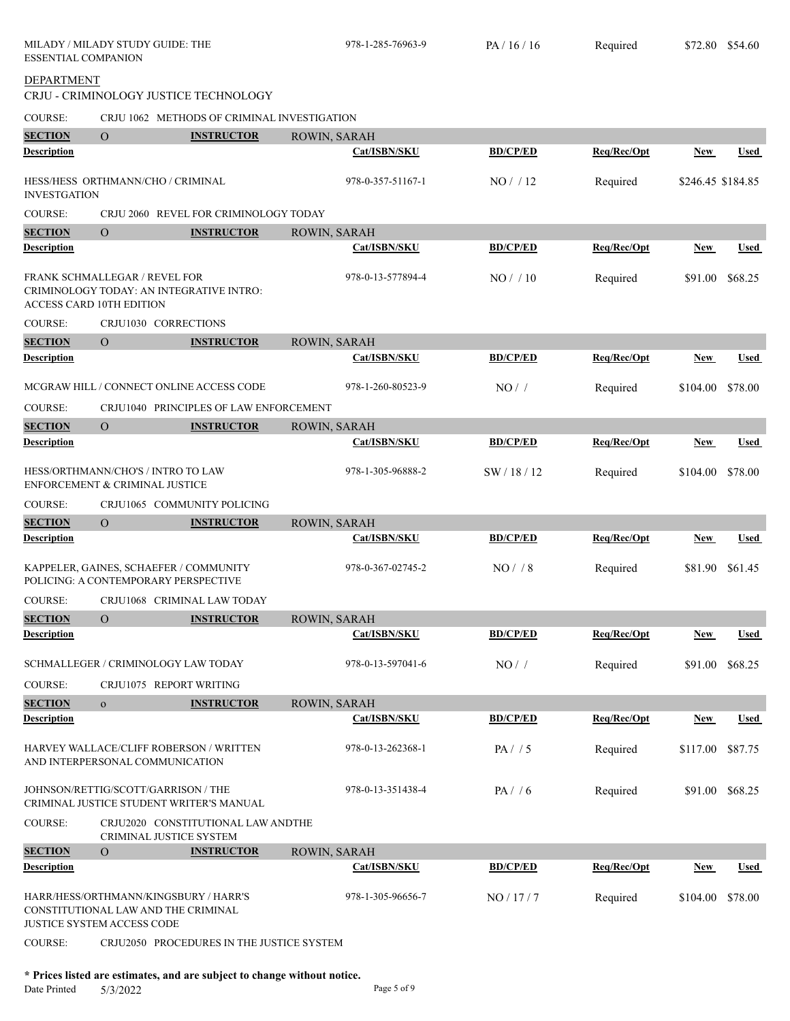| <b>ESSENTIAL COMPANION</b> | MILADY / MILADY STUDY GUIDE: THE                                               |                                             | 978-1-285-76963-9   | PA/16/16        | Required    | \$72.80 \$54.60   |             |
|----------------------------|--------------------------------------------------------------------------------|---------------------------------------------|---------------------|-----------------|-------------|-------------------|-------------|
| <b>DEPARTMENT</b>          |                                                                                | CRJU - CRIMINOLOGY JUSTICE TECHNOLOGY       |                     |                 |             |                   |             |
| <b>COURSE:</b>             |                                                                                | CRJU 1062 METHODS OF CRIMINAL INVESTIGATION |                     |                 |             |                   |             |
| <b>SECTION</b>             | $\overline{O}$                                                                 | <b>INSTRUCTOR</b>                           | ROWIN, SARAH        |                 |             |                   |             |
| <b>Description</b>         |                                                                                |                                             | Cat/ISBN/SKU        | <b>BD/CP/ED</b> | Req/Rec/Opt | New               | <b>Used</b> |
| <b>INVESTGATION</b>        | HESS/HESS ORTHMANN/CHO / CRIMINAL                                              |                                             | 978-0-357-51167-1   | NO/12           | Required    | \$246.45 \$184.85 |             |
| <b>COURSE:</b>             |                                                                                | CRJU 2060 REVEL FOR CRIMINOLOGY TODAY       |                     |                 |             |                   |             |
| <b>SECTION</b>             | $\Omega$                                                                       | <b>INSTRUCTOR</b>                           | ROWIN, SARAH        |                 |             |                   |             |
| <b>Description</b>         |                                                                                |                                             | Cat/ISBN/SKU        | <b>BD/CP/ED</b> | Req/Rec/Opt | New               | <b>Used</b> |
|                            | FRANK SCHMALLEGAR / REVEL FOR<br>ACCESS CARD 10TH EDITION                      | CRIMINOLOGY TODAY: AN INTEGRATIVE INTRO:    | 978-0-13-577894-4   | $NO/$ / 10      | Required    | \$91.00           | \$68.25     |
| <b>COURSE:</b>             | CRJU1030 CORRECTIONS                                                           |                                             |                     |                 |             |                   |             |
| <b>SECTION</b>             | $\Omega$                                                                       | <b>INSTRUCTOR</b>                           | ROWIN, SARAH        |                 |             |                   |             |
| <b>Description</b>         |                                                                                |                                             | Cat/ISBN/SKU        | <b>BD/CP/ED</b> | Req/Rec/Opt | <b>New</b>        | Used        |
|                            |                                                                                | MCGRAW HILL / CONNECT ONLINE ACCESS CODE    | 978-1-260-80523-9   | NO/             | Required    | \$104.00          | \$78.00     |
| <b>COURSE:</b>             |                                                                                | CRJU1040 PRINCIPLES OF LAW ENFORCEMENT      |                     |                 |             |                   |             |
| <b>SECTION</b>             | $\Omega$                                                                       | <b>INSTRUCTOR</b>                           | ROWIN, SARAH        |                 |             |                   |             |
| <b>Description</b>         |                                                                                |                                             | Cat/ISBN/SKU        | <b>BD/CP/ED</b> | Req/Rec/Opt | New               | Used        |
|                            | HESS/ORTHMANN/CHO'S / INTRO TO LAW<br>ENFORCEMENT & CRIMINAL JUSTICE           |                                             | 978-1-305-96888-2   | SW / 18 / 12    | Required    | \$104.00          | \$78.00     |
| <b>COURSE:</b>             |                                                                                | CRJU1065 COMMUNITY POLICING                 |                     |                 |             |                   |             |
| <b>SECTION</b>             | $\overline{O}$                                                                 | <b>INSTRUCTOR</b>                           | ROWIN, SARAH        |                 |             |                   |             |
| <b>Description</b>         |                                                                                |                                             | Cat/ISBN/SKU        | <b>BD/CP/ED</b> | Req/Rec/Opt | <b>New</b>        | <b>Used</b> |
|                            | KAPPELER, GAINES, SCHAEFER / COMMUNITY<br>POLICING: A CONTEMPORARY PERSPECTIVE |                                             | 978-0-367-02745-2   | $NO/$ / 8       | Required    | \$81.90           | \$61.45     |
| COURSE:                    |                                                                                | CRJU1068 CRIMINAL LAW TODAY                 |                     |                 |             |                   |             |
| <b>SECTION</b>             | $\overline{O}$                                                                 | <b>INSTRUCTOR</b>                           | ROWIN, SARAH        |                 |             |                   |             |
| <b>Description</b>         |                                                                                |                                             | <b>Cat/ISBN/SKU</b> | <b>BD/CP/ED</b> | Req/Rec/Opt | <b>New</b>        | <b>Used</b> |
|                            | SCHMALLEGER / CRIMINOLOGY LAW TODAY                                            |                                             | 978-0-13-597041-6   | NO/             | Required    | \$91.00           | \$68.25     |
| <b>COURSE:</b>             | CRJU1075 REPORT WRITING                                                        |                                             |                     |                 |             |                   |             |
| <b>SECTION</b>             | $\mathbf{O}$                                                                   | <b>INSTRUCTOR</b>                           | ROWIN, SARAH        |                 |             |                   |             |
| <b>Description</b>         |                                                                                |                                             | Cat/ISBN/SKU        | <b>BD/CP/ED</b> | Reg/Rec/Opt | <b>New</b>        | <b>Used</b> |
|                            | AND INTERPERSONAL COMMUNICATION                                                | HARVEY WALLACE/CLIFF ROBERSON / WRITTEN     | 978-0-13-262368-1   | PA/ / 5         | Required    | \$117.00          | \$87.75     |
|                            | JOHNSON/RETTIG/SCOTT/GARRISON / THE                                            | CRIMINAL JUSTICE STUDENT WRITER'S MANUAL    | 978-0-13-351438-4   | PA/ / 6         | Required    | \$91.00           | \$68.25     |
| <b>COURSE:</b>             | CRIMINAL JUSTICE SYSTEM                                                        | CRJU2020 CONSTITUTIONAL LAW ANDTHE          |                     |                 |             |                   |             |
| <b>SECTION</b>             | $\mathbf{O}$                                                                   | <b>INSTRUCTOR</b>                           | ROWIN, SARAH        |                 |             |                   |             |
| <b>Description</b>         |                                                                                |                                             | Cat/ISBN/SKU        | <b>BD/CP/ED</b> | Req/Rec/Opt | <b>New</b>        | Used        |
|                            | HARR/HESS/ORTHMANN/KINGSBURY / HARR'S<br>CONSTITUTIONAL LAW AND THE CRIMINAL   |                                             | 978-1-305-96656-7   | NO / 17 / 7     | Required    | \$104.00          | \$78.00     |
| <b>COURSE:</b>             | <b>JUSTICE SYSTEM ACCESS CODE</b>                                              |                                             |                     |                 |             |                   |             |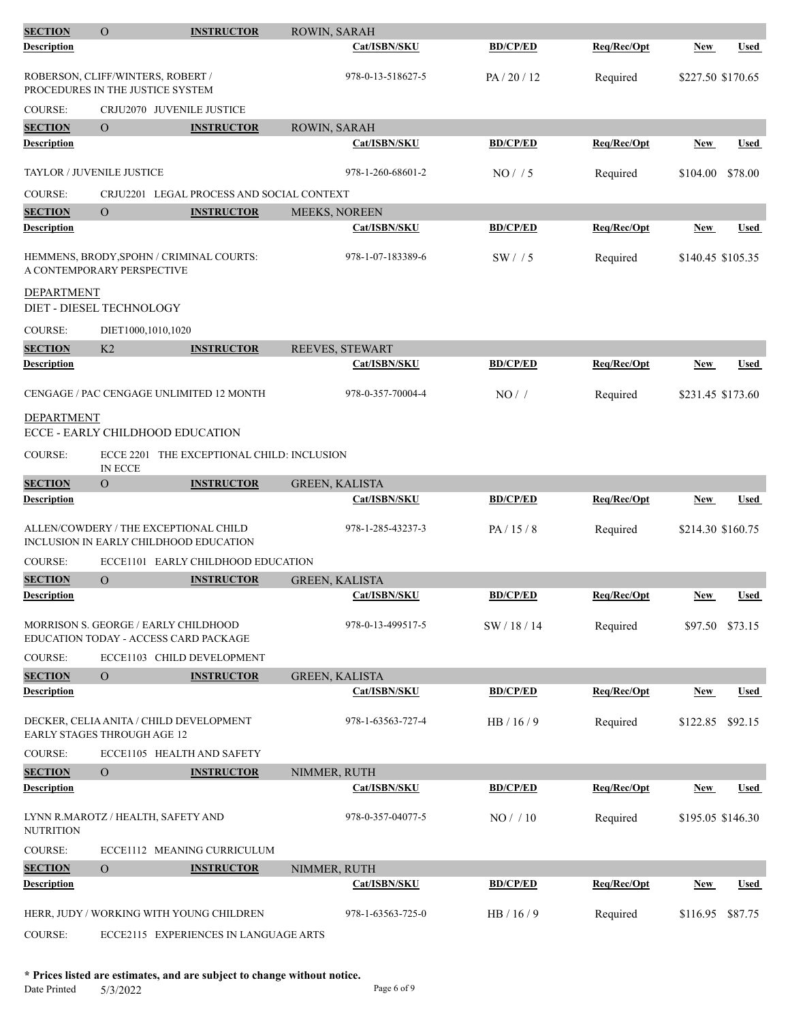| <b>SECTION</b>     | $\mathcal{O}$                                                         | <b>INSTRUCTOR</b>                            | ROWIN, SARAH          |                 |             |                   |             |
|--------------------|-----------------------------------------------------------------------|----------------------------------------------|-----------------------|-----------------|-------------|-------------------|-------------|
| Description        |                                                                       |                                              | Cat/ISBN/SKU          | <b>BD/CP/ED</b> | Req/Rec/Opt | New               | <b>Used</b> |
|                    | ROBERSON, CLIFF/WINTERS, ROBERT /<br>PROCEDURES IN THE JUSTICE SYSTEM |                                              | 978-0-13-518627-5     | PA/20/12        | Required    | \$227.50 \$170.65 |             |
| <b>COURSE:</b>     |                                                                       | CRJU2070 JUVENILE JUSTICE                    |                       |                 |             |                   |             |
| <b>SECTION</b>     | $\Omega$                                                              | <b>INSTRUCTOR</b>                            | ROWIN, SARAH          |                 |             |                   |             |
| <b>Description</b> |                                                                       |                                              | Cat/ISBN/SKU          | <b>BD/CP/ED</b> | Req/Rec/Opt | New               | <b>Used</b> |
|                    | TAYLOR / JUVENILE JUSTICE                                             |                                              | 978-1-260-68601-2     | NO/ / 5         | Required    | \$104.00          | \$78.00     |
| <b>COURSE:</b>     |                                                                       | CRJU2201 LEGAL PROCESS AND SOCIAL CONTEXT    |                       |                 |             |                   |             |
| <b>SECTION</b>     | $\overline{O}$                                                        | <b>INSTRUCTOR</b>                            | MEEKS, NOREEN         |                 |             |                   |             |
| <b>Description</b> |                                                                       |                                              | Cat/ISBN/SKU          | <b>BD/CP/ED</b> | Req/Rec/Opt | New               | Used        |
|                    | A CONTEMPORARY PERSPECTIVE                                            | HEMMENS, BRODY,SPOHN / CRIMINAL COURTS:      | 978-1-07-183389-6     | SW/15           | Required    | \$140.45 \$105.35 |             |
| DEPARTMENT         |                                                                       |                                              |                       |                 |             |                   |             |
|                    | DIET - DIESEL TECHNOLOGY                                              |                                              |                       |                 |             |                   |             |
| <b>COURSE:</b>     | DIET1000,1010,1020                                                    |                                              |                       |                 |             |                   |             |
| <b>SECTION</b>     | K <sub>2</sub>                                                        | <b>INSTRUCTOR</b>                            | REEVES, STEWART       |                 |             |                   |             |
| <b>Description</b> |                                                                       |                                              | Cat/ISBN/SKU          | <b>BD/CP/ED</b> | Req/Rec/Opt | <b>New</b>        | <b>Used</b> |
|                    |                                                                       | CENGAGE / PAC CENGAGE UNLIMITED 12 MONTH     | 978-0-357-70004-4     | $NO/$ /         | Required    | \$231.45 \$173.60 |             |
| DEPARTMENT         | ECCE - EARLY CHILDHOOD EDUCATION                                      |                                              |                       |                 |             |                   |             |
| <b>COURSE:</b>     | <b>IN ECCE</b>                                                        | ECCE 2201 THE EXCEPTIONAL CHILD: INCLUSION   |                       |                 |             |                   |             |
| <b>SECTION</b>     | $\Omega$                                                              | <b>INSTRUCTOR</b>                            | <b>GREEN, KALISTA</b> |                 |             |                   |             |
| <b>Description</b> |                                                                       |                                              | Cat/ISBN/SKU          | <b>BD/CP/ED</b> | Req/Rec/Opt | New               | <b>Used</b> |
|                    | ALLEN/COWDERY / THE EXCEPTIONAL CHILD                                 | INCLUSION IN EARLY CHILDHOOD EDUCATION       | 978-1-285-43237-3     | PA/15/8         | Required    | \$214.30 \$160.75 |             |
| <b>COURSE:</b>     |                                                                       | ECCE1101 EARLY CHILDHOOD EDUCATION           |                       |                 |             |                   |             |
| <b>SECTION</b>     | O                                                                     | <b>INSTRUCTOR</b>                            | <b>GREEN, KALISTA</b> |                 |             |                   |             |
| Description        |                                                                       |                                              | Cat/ISBN/SKU          | <b>BD/CP/ED</b> | Req/Rec/Opt | <b>New</b>        | Used        |
|                    | MORRISON S. GEORGE / EARLY CHILDHOOD                                  | <b>EDUCATION TODAY - ACCESS CARD PACKAGE</b> | 978-0-13-499517-5     | SW / 18 / 14    | Required    | \$97.50 \$73.15   |             |
| <b>COURSE:</b>     |                                                                       | ECCE1103 CHILD DEVELOPMENT                   |                       |                 |             |                   |             |
| <b>SECTION</b>     | $\Omega$                                                              | <b>INSTRUCTOR</b>                            | <b>GREEN, KALISTA</b> |                 |             |                   |             |
| <b>Description</b> |                                                                       |                                              | Cat/ISBN/SKU          | <b>BD/CP/ED</b> | Req/Rec/Opt | New               | Used        |
|                    | <b>EARLY STAGES THROUGH AGE 12</b>                                    | DECKER, CELIA ANITA / CHILD DEVELOPMENT      | 978-1-63563-727-4     | HB/16/9         | Required    | \$122.85          | \$92.15     |
| <b>COURSE:</b>     |                                                                       | ECCE1105 HEALTH AND SAFETY                   |                       |                 |             |                   |             |
| <b>SECTION</b>     | $\overline{O}$                                                        | <b>INSTRUCTOR</b>                            | NIMMER, RUTH          |                 |             |                   |             |
| Description        |                                                                       |                                              | Cat/ISBN/SKU          | <b>BD/CP/ED</b> | Req/Rec/Opt | New               | Used        |
| NUTRITION          | LYNN R.MAROTZ / HEALTH, SAFETY AND                                    |                                              | 978-0-357-04077-5     | NO/10           | Required    | \$195.05 \$146.30 |             |
| <b>COURSE:</b>     |                                                                       | ECCE1112 MEANING CURRICULUM                  |                       |                 |             |                   |             |
| <b>SECTION</b>     | $\overline{O}$                                                        | <b>INSTRUCTOR</b>                            | NIMMER, RUTH          |                 |             |                   |             |
| Description        |                                                                       |                                              | Cat/ISBN/SKU          | <b>BD/CP/ED</b> | Req/Rec/Opt | <b>New</b>        | Used        |
|                    |                                                                       |                                              |                       |                 |             |                   |             |
|                    |                                                                       | HERR, JUDY / WORKING WITH YOUNG CHILDREN     | 978-1-63563-725-0     | HB/16/9         | Required    | \$116.95          | \$87.75     |
| <b>COURSE:</b>     |                                                                       | ECCE2115 EXPERIENCES IN LANGUAGE ARTS        |                       |                 |             |                   |             |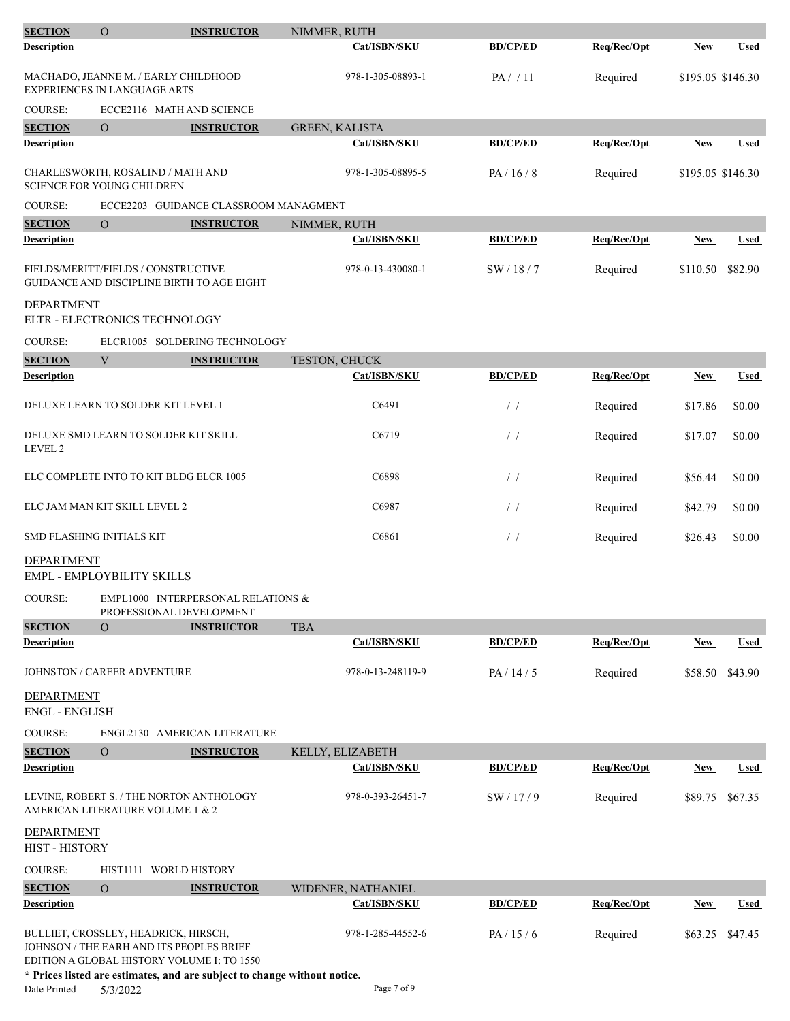| <b>SECTION</b>                             | $\mathcal{O}$                                                                    | <b>INSTRUCTOR</b>                                              | NIMMER, RUTH          |                 |             |                   |             |
|--------------------------------------------|----------------------------------------------------------------------------------|----------------------------------------------------------------|-----------------------|-----------------|-------------|-------------------|-------------|
| <b>Description</b>                         |                                                                                  |                                                                | Cat/ISBN/SKU          | <b>BD/CP/ED</b> | Req/Rec/Opt | New               | <b>Used</b> |
|                                            | MACHADO, JEANNE M. / EARLY CHILDHOOD<br>EXPERIENCES IN LANGUAGE ARTS             |                                                                | 978-1-305-08893-1     | PA / / 11       | Required    | \$195.05 \$146.30 |             |
| <b>COURSE:</b>                             |                                                                                  | ECCE2116 MATH AND SCIENCE                                      |                       |                 |             |                   |             |
| <b>SECTION</b>                             | $\Omega$                                                                         | <b>INSTRUCTOR</b>                                              | <b>GREEN, KALISTA</b> |                 |             |                   |             |
| <b>Description</b>                         |                                                                                  |                                                                | Cat/ISBN/SKU          | <b>BD/CP/ED</b> | Req/Rec/Opt | New               | <b>Used</b> |
|                                            | CHARLESWORTH, ROSALIND / MATH AND<br><b>SCIENCE FOR YOUNG CHILDREN</b>           |                                                                | 978-1-305-08895-5     | PA/16/8         | Required    | \$195.05 \$146.30 |             |
| <b>COURSE:</b>                             |                                                                                  | ECCE2203 GUIDANCE CLASSROOM MANAGMENT                          |                       |                 |             |                   |             |
| <b>SECTION</b>                             | $\Omega$                                                                         | <b>INSTRUCTOR</b>                                              | NIMMER, RUTH          |                 |             |                   |             |
| <b>Description</b>                         |                                                                                  |                                                                | Cat/ISBN/SKU          | <b>BD/CP/ED</b> | Req/Rec/Opt | <b>New</b>        | <b>Used</b> |
|                                            | FIELDS/MERITT/FIELDS / CONSTRUCTIVE                                              | GUIDANCE AND DISCIPLINE BIRTH TO AGE EIGHT                     | 978-0-13-430080-1     | SW/18/7         | Required    | \$110.50          | \$82.90     |
| <b>DEPARTMENT</b>                          | ELTR - ELECTRONICS TECHNOLOGY                                                    |                                                                |                       |                 |             |                   |             |
| <b>COURSE:</b>                             |                                                                                  | ELCR1005 SOLDERING TECHNOLOGY                                  |                       |                 |             |                   |             |
| <b>SECTION</b>                             | V                                                                                | <b>INSTRUCTOR</b>                                              | TESTON, CHUCK         |                 |             |                   |             |
| <b>Description</b>                         |                                                                                  |                                                                | Cat/ISBN/SKU          | <b>BD/CP/ED</b> | Req/Rec/Opt | New               | <b>Used</b> |
|                                            | DELUXE LEARN TO SOLDER KIT LEVEL 1                                               |                                                                | C6491                 | $\frac{1}{2}$   | Required    | \$17.86           | \$0.00      |
| LEVEL 2                                    | DELUXE SMD LEARN TO SOLDER KIT SKILL                                             |                                                                | C6719                 | /               | Required    | \$17.07           | \$0.00      |
|                                            | ELC COMPLETE INTO TO KIT BLDG ELCR 1005                                          |                                                                | C6898                 | $\frac{1}{2}$   | Required    | \$56.44           | \$0.00      |
|                                            | ELC JAM MAN KIT SKILL LEVEL 2                                                    |                                                                | C6987                 | $\frac{1}{2}$   | Required    | \$42.79           | \$0.00      |
|                                            | SMD FLASHING INITIALS KIT                                                        |                                                                | C6861                 | /               | Required    | \$26.43           | \$0.00      |
| <b>DEPARTMENT</b>                          | EMPL - EMPLOYBILITY SKILLS                                                       |                                                                |                       |                 |             |                   |             |
| COURSE:                                    |                                                                                  | EMPL1000 INTERPERSONAL RELATIONS &<br>PROFESSIONAL DEVELOPMENT |                       |                 |             |                   |             |
| <b>SECTION</b>                             | $\mathcal{O}$                                                                    | <b>INSTRUCTOR</b>                                              | <b>TBA</b>            |                 |             |                   |             |
| <b>Description</b>                         |                                                                                  |                                                                | Cat/ISBN/SKU          | <b>BD/CP/ED</b> | Req/Rec/Opt | <b>New</b>        | <b>Used</b> |
|                                            | JOHNSTON / CAREER ADVENTURE                                                      |                                                                | 978-0-13-248119-9     | PA / 14 / 5     | Required    | \$58.50           | \$43.90     |
| <b>DEPARTMENT</b><br><b>ENGL - ENGLISH</b> |                                                                                  |                                                                |                       |                 |             |                   |             |
| <b>COURSE:</b>                             |                                                                                  | ENGL2130 AMERICAN LITERATURE                                   |                       |                 |             |                   |             |
| <b>SECTION</b>                             | $\mathcal O$                                                                     | <b>INSTRUCTOR</b>                                              | KELLY, ELIZABETH      |                 |             |                   |             |
| <b>Description</b>                         |                                                                                  |                                                                | Cat/ISBN/SKU          | <b>BD/CP/ED</b> | Req/Rec/Opt | <b>New</b>        | Used        |
|                                            | LEVINE, ROBERT S. / THE NORTON ANTHOLOGY<br>AMERICAN LITERATURE VOLUME 1 & 2     |                                                                | 978-0-393-26451-7     | SW/17/9         | Required    | \$89.75           | \$67.35     |
| <b>DEPARTMENT</b><br>HIST - HISTORY        |                                                                                  |                                                                |                       |                 |             |                   |             |
| COURSE:                                    | HIST1111 WORLD HISTORY                                                           |                                                                |                       |                 |             |                   |             |
| <b>SECTION</b>                             | $\overline{O}$                                                                   | <b>INSTRUCTOR</b>                                              | WIDENER, NATHANIEL    |                 |             |                   |             |
| Description                                |                                                                                  |                                                                | Cat/ISBN/SKU          | <b>BD/CP/ED</b> | Req/Rec/Opt | New               | Used        |
|                                            | BULLIET, CROSSLEY, HEADRICK, HIRSCH,<br>JOHNSON / THE EARH AND ITS PEOPLES BRIEF | EDITION A GLOBAL HISTORY VOLUME I: TO 1550                     | 978-1-285-44552-6     | PA/15/6         | Required    | \$63.25           | \$47.45     |

**\* Prices listed are estimates, and are subject to change without notice.**

Date Printed 5/3/2022 Page 7 of 9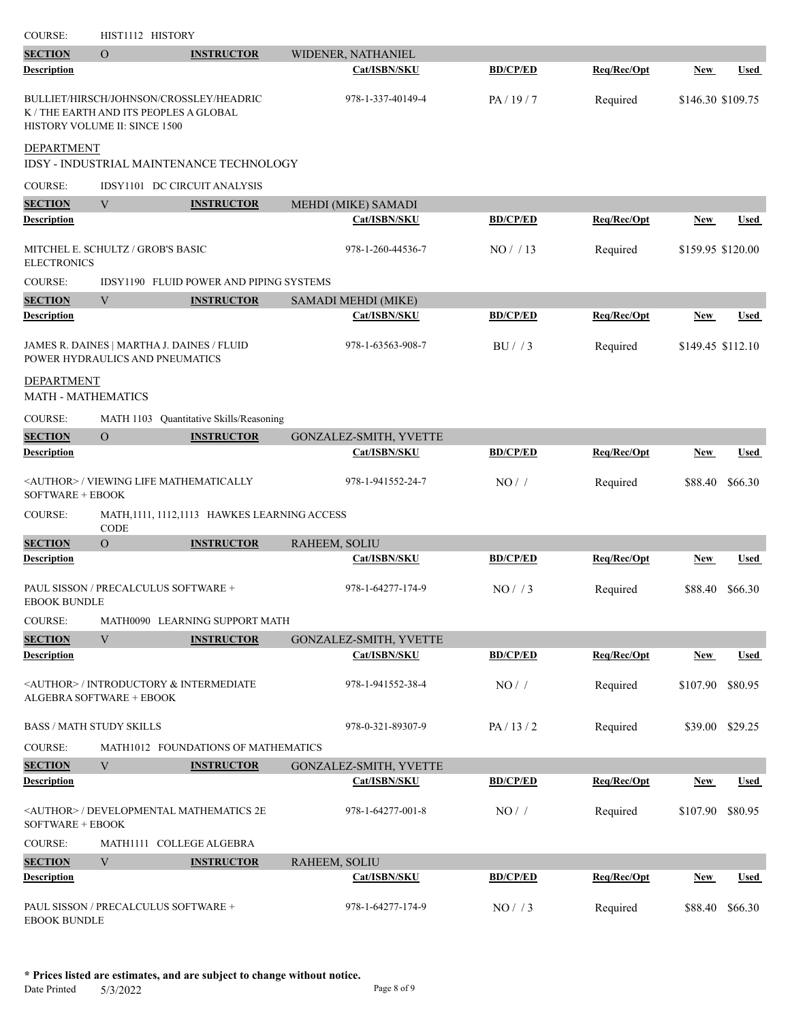| COURSE:                                        | HIST1112 HISTORY                                                                                                   |                                                 |                        |                 |             |                   |                 |
|------------------------------------------------|--------------------------------------------------------------------------------------------------------------------|-------------------------------------------------|------------------------|-----------------|-------------|-------------------|-----------------|
| <b>SECTION</b>                                 | $\overline{O}$                                                                                                     | <b>INSTRUCTOR</b>                               | WIDENER, NATHANIEL     |                 |             |                   |                 |
| <b>Description</b>                             |                                                                                                                    |                                                 | Cat/ISBN/SKU           | <b>BD/CP/ED</b> | Req/Rec/Opt | New               | <b>Used</b>     |
|                                                | BULLIET/HIRSCH/JOHNSON/CROSSLEY/HEADRIC<br>K / THE EARTH AND ITS PEOPLES A GLOBAL<br>HISTORY VOLUME II: SINCE 1500 |                                                 | 978-1-337-40149-4      | PA/19/7         | Required    | \$146.30 \$109.75 |                 |
| DEPARTMENT                                     |                                                                                                                    | <b>IDSY - INDUSTRIAL MAINTENANCE TECHNOLOGY</b> |                        |                 |             |                   |                 |
| <b>COURSE:</b>                                 | IDSY1101 DC CIRCUIT ANALYSIS                                                                                       |                                                 |                        |                 |             |                   |                 |
| <b>SECTION</b>                                 | V                                                                                                                  | <b>INSTRUCTOR</b>                               | MEHDI (MIKE) SAMADI    |                 |             |                   |                 |
| Description                                    |                                                                                                                    |                                                 | Cat/ISBN/SKU           | <b>BD/CP/ED</b> | Reg/Rec/Opt | New               | <b>Used</b>     |
| <b>ELECTRONICS</b>                             | MITCHEL E. SCHULTZ / GROB'S BASIC                                                                                  |                                                 | 978-1-260-44536-7      | NO/13           | Required    | \$159.95 \$120.00 |                 |
| <b>COURSE:</b>                                 |                                                                                                                    | IDSY1190 FLUID POWER AND PIPING SYSTEMS         |                        |                 |             |                   |                 |
| <b>SECTION</b>                                 | V                                                                                                                  | <b>INSTRUCTOR</b>                               | SAMADI MEHDI (MIKE)    |                 |             |                   |                 |
| <b>Description</b>                             |                                                                                                                    |                                                 | Cat/ISBN/SKU           | <b>BD/CP/ED</b> | Req/Rec/Opt | New               | <b>Used</b>     |
|                                                | JAMES R. DAINES   MARTHA J. DAINES / FLUID<br>POWER HYDRAULICS AND PNEUMATICS                                      |                                                 | 978-1-63563-908-7      | BU/3            | Required    | \$149.45 \$112.10 |                 |
| <b>DEPARTMENT</b><br><b>MATH - MATHEMATICS</b> |                                                                                                                    |                                                 |                        |                 |             |                   |                 |
| <b>COURSE:</b>                                 | <b>MATH 1103</b>                                                                                                   | Quantitative Skills/Reasoning                   |                        |                 |             |                   |                 |
| <b>SECTION</b>                                 | $\overline{O}$                                                                                                     | <b>INSTRUCTOR</b>                               | GONZALEZ-SMITH, YVETTE |                 |             |                   |                 |
| Description                                    |                                                                                                                    |                                                 | Cat/ISBN/SKU           | <b>BD/CP/ED</b> | Req/Rec/Opt | New               | <b>Used</b>     |
| <b>SOFTWARE + EBOOK</b>                        | <author> / VIEWING LIFE MATHEMATICALLY</author>                                                                    |                                                 | 978-1-941552-24-7      | NO/             | Required    | \$88.40           | \$66.30         |
| <b>COURSE:</b>                                 | CODE                                                                                                               | MATH, 1111, 1112, 1113 HAWKES LEARNING ACCESS   |                        |                 |             |                   |                 |
| <b>SECTION</b>                                 | $\overline{O}$                                                                                                     | <b>INSTRUCTOR</b>                               | RAHEEM, SOLIU          |                 |             |                   |                 |
| Description                                    |                                                                                                                    |                                                 | Cat/ISBN/SKU           | <b>BD/CP/ED</b> | Req/Rec/Opt | New               | <b>Used</b>     |
| <b>EBOOK BUNDLE</b>                            | PAUL SISSON / PRECALCULUS SOFTWARE +                                                                               |                                                 | 978-1-64277-174-9      | NO/73           | Required    | \$88.40           | \$66.30         |
| <b>COURSE:</b>                                 |                                                                                                                    | MATH0090 LEARNING SUPPORT MATH                  |                        |                 |             |                   |                 |
| <b>SECTION</b>                                 | V                                                                                                                  | <b>INSTRUCTOR</b>                               | GONZALEZ-SMITH, YVETTE |                 |             |                   |                 |
| Description                                    |                                                                                                                    |                                                 | Cat/ISBN/SKU           | <b>BD/CP/ED</b> | Req/Rec/Opt | <b>New</b>        | <b>Used</b>     |
|                                                | <author> / INTRODUCTORY &amp; INTERMEDIATE<br/><b>ALGEBRA SOFTWARE + EBOOK</b></author>                            |                                                 | 978-1-941552-38-4      | NO/             | Required    | \$107.90          | \$80.95         |
| <b>BASS / MATH STUDY SKILLS</b>                |                                                                                                                    |                                                 | 978-0-321-89307-9      | PA/13/2         | Required    |                   | \$39.00 \$29.25 |
| <b>COURSE:</b>                                 |                                                                                                                    | MATH1012 FOUNDATIONS OF MATHEMATICS             |                        |                 |             |                   |                 |
| <b>SECTION</b>                                 | V                                                                                                                  | <b>INSTRUCTOR</b>                               | GONZALEZ-SMITH, YVETTE |                 |             |                   |                 |
| <b>Description</b>                             |                                                                                                                    |                                                 | Cat/ISBN/SKU           | <b>BD/CP/ED</b> | Req/Rec/Opt | <b>New</b>        | <b>Used</b>     |
| SOFTWARE + EBOOK                               | <author> / DEVELOPMENTAL MATHEMATICS 2E</author>                                                                   |                                                 | 978-1-64277-001-8      | NO/             | Required    | \$107.90          | \$80.95         |
| COURSE:                                        | MATH1111 COLLEGE ALGEBRA                                                                                           |                                                 |                        |                 |             |                   |                 |
| <b>SECTION</b>                                 | V                                                                                                                  | <b>INSTRUCTOR</b>                               | RAHEEM, SOLIU          |                 |             |                   |                 |
| <b>Description</b>                             |                                                                                                                    |                                                 | Cat/ISBN/SKU           | <b>BD/CP/ED</b> | Req/Rec/Opt | <b>New</b>        | <b>Used</b>     |
| <b>EBOOK BUNDLE</b>                            | PAUL SISSON / PRECALCULUS SOFTWARE +                                                                               |                                                 | 978-1-64277-174-9      | NO/ / 3         | Required    | \$88.40           | \$66.30         |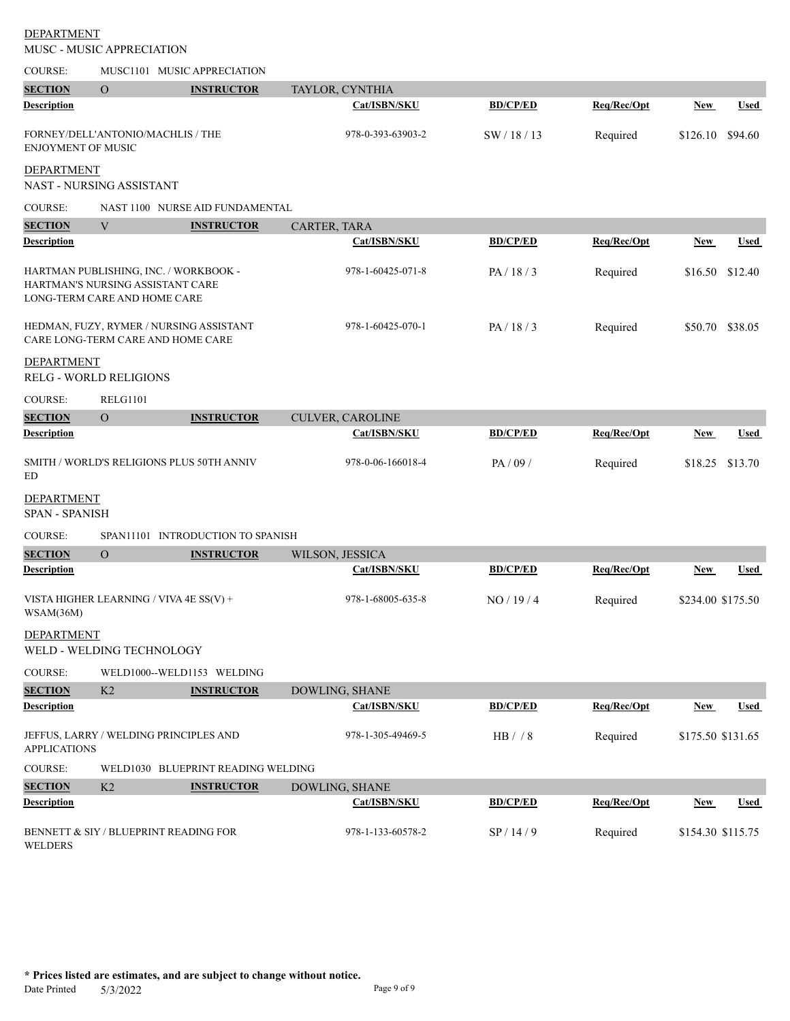|                                            | MUSC - MUSIC APPRECIATION                                        |                                           |                     |                 |             |                   |             |
|--------------------------------------------|------------------------------------------------------------------|-------------------------------------------|---------------------|-----------------|-------------|-------------------|-------------|
| <b>COURSE:</b>                             |                                                                  | MUSC1101 MUSIC APPRECIATION               |                     |                 |             |                   |             |
| <b>SECTION</b>                             | $\Omega$                                                         | <b>INSTRUCTOR</b>                         | TAYLOR, CYNTHIA     |                 |             |                   |             |
| <b>Description</b>                         |                                                                  |                                           | Cat/ISBN/SKU        | <b>BD/CP/ED</b> | Req/Rec/Opt | New               | <b>Used</b> |
| <b>ENJOYMENT OF MUSIC</b>                  | FORNEY/DELL'ANTONIO/MACHLIS / THE                                |                                           | 978-0-393-63903-2   | SW/18/13        | Required    | \$126.10          | \$94.60     |
| <b>DEPARTMENT</b>                          |                                                                  |                                           |                     |                 |             |                   |             |
|                                            | NAST - NURSING ASSISTANT                                         |                                           |                     |                 |             |                   |             |
| COURSE:                                    |                                                                  | NAST 1100 NURSE AID FUNDAMENTAL           |                     |                 |             |                   |             |
| <b>SECTION</b>                             | V                                                                | <b>INSTRUCTOR</b>                         | CARTER, TARA        |                 |             |                   |             |
| Description                                |                                                                  |                                           | Cat/ISBN/SKU        | <b>BD/CP/ED</b> | Req/Rec/Opt | <b>New</b>        | Used        |
|                                            | HARTMAN'S NURSING ASSISTANT CARE<br>LONG-TERM CARE AND HOME CARE | HARTMAN PUBLISHING, INC. / WORKBOOK -     | 978-1-60425-071-8   | PA/18/3         | Required    | \$16.50 \$12.40   |             |
|                                            | CARE LONG-TERM CARE AND HOME CARE                                | HEDMAN, FUZY, RYMER / NURSING ASSISTANT   | 978-1-60425-070-1   | PA/18/3         | Required    | \$50.70           | \$38.05     |
| <b>DEPARTMENT</b>                          | RELG - WORLD RELIGIONS                                           |                                           |                     |                 |             |                   |             |
| COURSE:                                    | <b>RELG1101</b>                                                  |                                           |                     |                 |             |                   |             |
| <b>SECTION</b>                             | $\overline{O}$                                                   | <b>INSTRUCTOR</b>                         | CULVER, CAROLINE    |                 |             |                   |             |
| Description                                |                                                                  |                                           | <b>Cat/ISBN/SKU</b> | <b>BD/CP/ED</b> | Req/Rec/Opt | <b>New</b>        | <b>Used</b> |
| ED                                         |                                                                  | SMITH / WORLD'S RELIGIONS PLUS 50TH ANNIV | 978-0-06-166018-4   | PA / 09 /       | Required    | \$18.25           | \$13.70     |
| <b>DEPARTMENT</b><br><b>SPAN - SPANISH</b> |                                                                  |                                           |                     |                 |             |                   |             |
| <b>COURSE:</b>                             |                                                                  | SPAN11101 INTRODUCTION TO SPANISH         |                     |                 |             |                   |             |
| <b>SECTION</b>                             | $\Omega$                                                         | <b>INSTRUCTOR</b>                         | WILSON, JESSICA     |                 |             |                   |             |
| Description                                |                                                                  |                                           | Cat/ISBN/SKU        | <b>BD/CP/ED</b> | Req/Rec/Opt | New               | Used        |
| WSAM(36M)                                  | VISTA HIGHER LEARNING / VIVA 4E SS(V) +                          |                                           | 978-1-68005-635-8   | NO/19/4         | Required    | \$234.00 \$175.50 |             |
| DEPARTMENT                                 | WELD - WELDING TECHNOLOGY                                        |                                           |                     |                 |             |                   |             |
| COURSE:                                    |                                                                  | WELD1000--WELD1153 WELDING                |                     |                 |             |                   |             |
| <b>SECTION</b>                             | K <sub>2</sub>                                                   | <b>INSTRUCTOR</b>                         | DOWLING, SHANE      |                 |             |                   |             |
| <b>Description</b>                         |                                                                  |                                           | Cat/ISBN/SKU        | <b>BD/CP/ED</b> | Req/Rec/Opt | <b>New</b>        | <b>Used</b> |
| <b>APPLICATIONS</b>                        |                                                                  | JEFFUS, LARRY / WELDING PRINCIPLES AND    | 978-1-305-49469-5   | HB / / 8        | Required    | \$175.50 \$131.65 |             |
| <b>COURSE:</b>                             |                                                                  | WELD1030 BLUEPRINT READING WELDING        |                     |                 |             |                   |             |
| <b>SECTION</b>                             | K <sub>2</sub>                                                   | <b>INSTRUCTOR</b>                         | DOWLING, SHANE      |                 |             |                   |             |
| Description                                |                                                                  |                                           | Cat/ISBN/SKU        | <b>BD/CP/ED</b> | Req/Rec/Opt | <b>New</b>        | <b>Used</b> |
|                                            |                                                                  | BENNETT & SIY / BLUEPRINT READING FOR     | 978-1-133-60578-2   | SP/14/9         | Required    | \$154.30 \$115.75 |             |

WELDERS

DEPARTMENT

**\* Prices listed are estimates, and are subject to change without notice.** Date Printed 5/3/2022 Page 9 of 9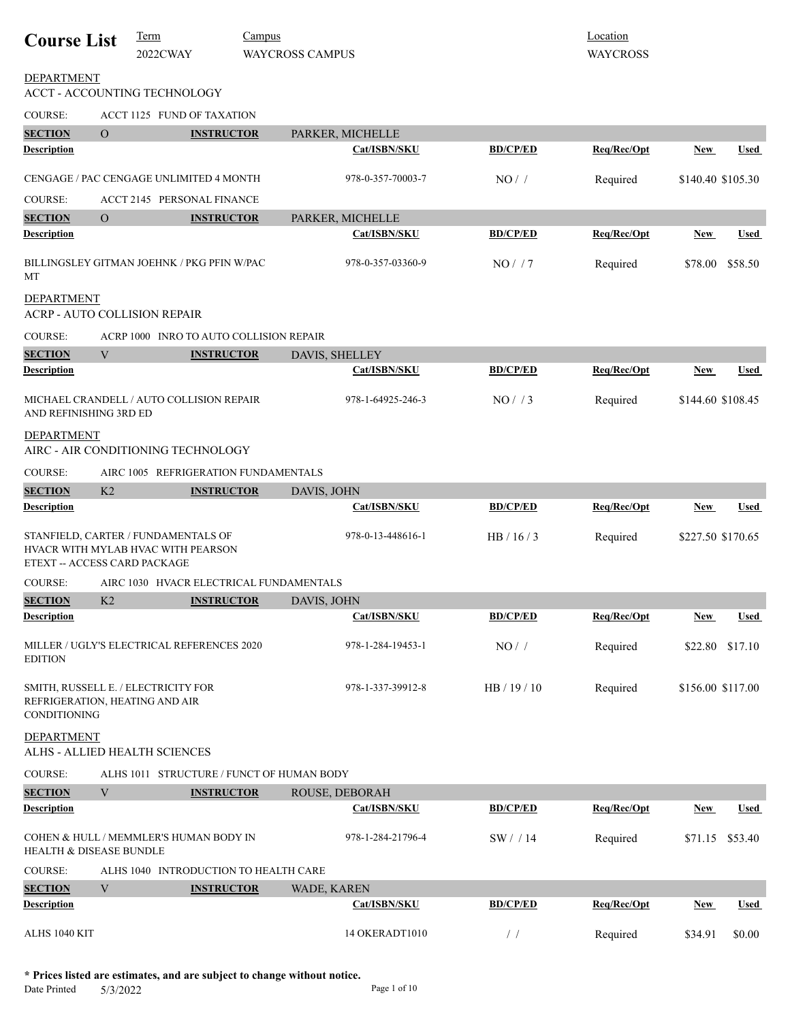| <b>Course List</b>           |                           | Term<br>2022CWAY                                                          | Campus | <b>WAYCROSS CAMPUS</b> |                   |                                  | Location<br><b>WAYCROSS</b> |            |                   |
|------------------------------|---------------------------|---------------------------------------------------------------------------|--------|------------------------|-------------------|----------------------------------|-----------------------------|------------|-------------------|
| <b>DEPARTMENT</b>            |                           | ACCT - ACCOUNTING TECHNOLOGY                                              |        |                        |                   |                                  |                             |            |                   |
| <b>COURSE:</b>               |                           | ACCT 1125 FUND OF TAXATION                                                |        |                        |                   |                                  |                             |            |                   |
| <b>SECTION</b>               | $\Omega$                  | <b>INSTRUCTOR</b>                                                         |        |                        | PARKER, MICHELLE  |                                  |                             |            |                   |
| <b>Description</b>           |                           |                                                                           |        |                        | Cat/ISBN/SKU      | <b>BD/CP/ED</b>                  | Req/Rec/Opt                 | New        | <b>Used</b>       |
|                              |                           | CENGAGE / PAC CENGAGE UNLIMITED 4 MONTH                                   |        |                        | 978-0-357-70003-7 | NO/                              | Required                    |            | \$140.40 \$105.30 |
| <b>COURSE:</b>               |                           | <b>ACCT 2145 PERSONAL FINANCE</b>                                         |        |                        |                   |                                  |                             |            |                   |
| <b>SECTION</b>               | $\Omega$                  | <b>INSTRUCTOR</b>                                                         |        |                        | PARKER, MICHELLE  |                                  |                             |            |                   |
| <b>Description</b>           |                           |                                                                           |        |                        | Cat/ISBN/SKU      | <b>BD/CP/ED</b>                  | Req/Rec/Opt                 | <b>New</b> | Used              |
| MT                           |                           | BILLINGSLEY GITMAN JOEHNK / PKG PFIN W/PAC                                |        |                        | 978-0-357-03360-9 | NO/7                             | Required                    | \$78.00    | \$58.50           |
| <b>DEPARTMENT</b>            |                           | <b>ACRP - AUTO COLLISION REPAIR</b>                                       |        |                        |                   |                                  |                             |            |                   |
| <b>COURSE:</b>               |                           | ACRP 1000 INRO TO AUTO COLLISION REPAIR                                   |        |                        |                   |                                  |                             |            |                   |
| <b>SECTION</b>               | V                         | <b>INSTRUCTOR</b>                                                         |        | DAVIS, SHELLEY         |                   |                                  |                             |            |                   |
| Description                  |                           |                                                                           |        |                        | Cat/ISBN/SKU      | <b>BD/CP/ED</b>                  | Req/Rec/Opt                 | <b>New</b> | <b>Used</b>       |
| AND REFINISHING 3RD ED       |                           | MICHAEL CRANDELL / AUTO COLLISION REPAIR                                  |        |                        | 978-1-64925-246-3 | NO/ / 3                          | Required                    |            | \$144.60 \$108.45 |
| DEPARTMENT                   |                           | AIRC - AIR CONDITIONING TECHNOLOGY                                        |        |                        |                   |                                  |                             |            |                   |
| <b>COURSE:</b>               |                           | AIRC 1005 REFRIGERATION FUNDAMENTALS                                      |        |                        |                   |                                  |                             |            |                   |
| <b>SECTION</b>               | K2                        | <b>INSTRUCTOR</b>                                                         |        | DAVIS, JOHN            |                   |                                  |                             |            |                   |
| <b>Description</b>           |                           |                                                                           |        |                        | Cat/ISBN/SKU      | <b>BD/CP/ED</b>                  | Req/Rec/Opt                 | <b>New</b> | Used              |
| ETEXT -- ACCESS CARD PACKAGE |                           | STANFIELD, CARTER / FUNDAMENTALS OF<br>HVACR WITH MYLAB HVAC WITH PEARSON |        |                        | 978-0-13-448616-1 | HB/16/3                          | Required                    |            | \$227.50 \$170.65 |
| <b>COURSE:</b>               |                           | AIRC 1030 HVACR ELECTRICAL FUNDAMENTALS                                   |        |                        |                   |                                  |                             |            |                   |
| <b>SECTION</b>               | K <sub>2</sub>            | <b>INSTRUCTOR</b>                                                         |        | DAVIS, JOHN            |                   |                                  |                             |            |                   |
| <b>Description</b>           |                           |                                                                           |        |                        | Cat/ISBN/SKU      | <b>BD/CP/ED</b>                  | Req/Rec/Opt                 | <b>New</b> | <b>Used</b>       |
| <b>EDITION</b>               |                           | MILLER / UGLY'S ELECTRICAL REFERENCES 2020                                |        |                        | 978-1-284-19453-1 | NO/                              | Required                    | \$22.80    | \$17.10           |
| <b>CONDITIONING</b>          |                           | SMITH, RUSSELL E. / ELECTRICITY FOR<br>REFRIGERATION, HEATING AND AIR     |        |                        | 978-1-337-39912-8 | HB/19/10                         | Required                    |            | \$156.00 \$117.00 |
| <b>DEPARTMENT</b>            |                           | ALHS - ALLIED HEALTH SCIENCES                                             |        |                        |                   |                                  |                             |            |                   |
| <b>COURSE:</b>               |                           | ALHS 1011 STRUCTURE / FUNCT OF HUMAN BODY                                 |        |                        |                   |                                  |                             |            |                   |
| <b>SECTION</b>               | $\ensuremath{\mathbf{V}}$ | <b>INSTRUCTOR</b>                                                         |        |                        | ROUSE, DEBORAH    |                                  |                             |            |                   |
| <b>Description</b>           |                           |                                                                           |        |                        | Cat/ISBN/SKU      | <b>BD/CP/ED</b>                  | Req/Rec/Opt                 | New        | Used              |
| HEALTH & DISEASE BUNDLE      |                           | COHEN & HULL / MEMMLER'S HUMAN BODY IN                                    |        |                        | 978-1-284-21796-4 | SW/14                            | Required                    | \$71.15    | \$53.40           |
| COURSE:                      |                           | ALHS 1040 INTRODUCTION TO HEALTH CARE                                     |        |                        |                   |                                  |                             |            |                   |
| <b>SECTION</b>               | V                         | <b>INSTRUCTOR</b>                                                         |        | WADE, KAREN            |                   |                                  |                             |            |                   |
| Description                  |                           |                                                                           |        |                        | Cat/ISBN/SKU      | <b>BD/CP/ED</b>                  | Req/Rec/Opt                 | New        | <b>Used</b>       |
| ALHS 1040 KIT                |                           |                                                                           |        |                        | 14 OKERADT1010    | $\hspace{0.1em}/ \hspace{0.1em}$ | Required                    | \$34.91    | \$0.00            |

**\* Prices listed are estimates, and are subject to change without notice.**  $5/3/2022$  Page 1 of 10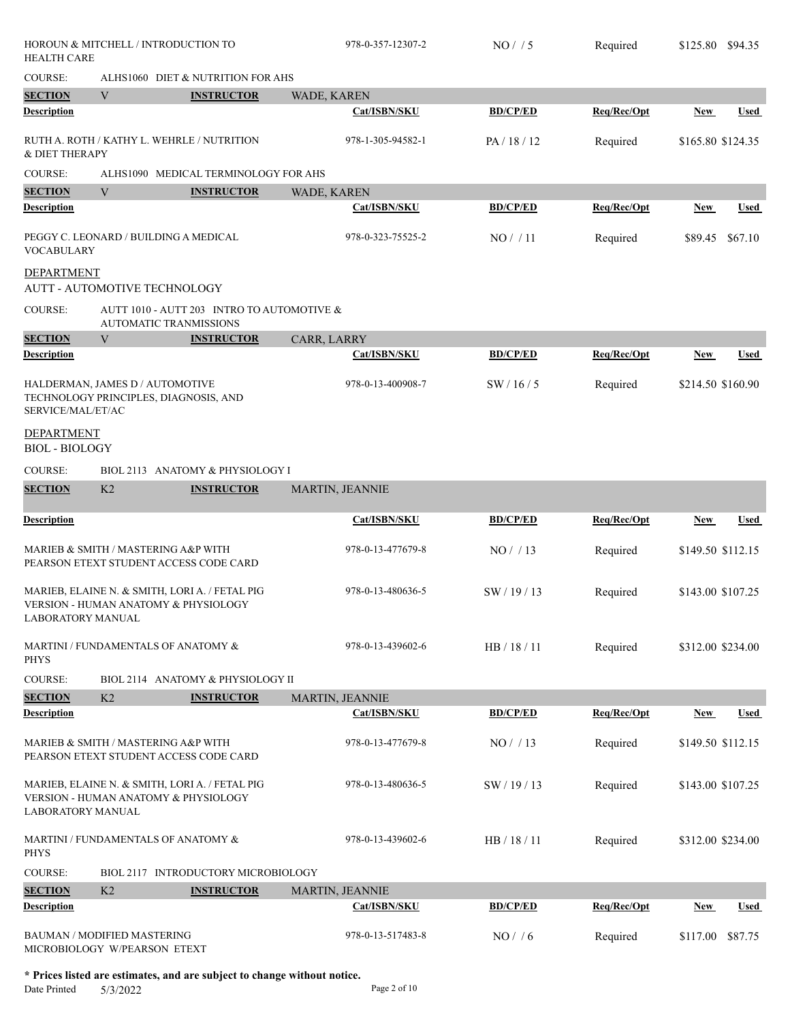| HOROUN & MITCHELL / INTRODUCTION TO<br><b>HEALTH CARE</b>   |    |                                                                                                   | 978-0-357-12307-2  | NO/ / 5         | Required    | \$125.80 \$94.35  |             |
|-------------------------------------------------------------|----|---------------------------------------------------------------------------------------------------|--------------------|-----------------|-------------|-------------------|-------------|
| <b>COURSE:</b>                                              |    | ALHS1060 DIET & NUTRITION FOR AHS                                                                 |                    |                 |             |                   |             |
| <b>SECTION</b>                                              | V  | <b>INSTRUCTOR</b>                                                                                 | WADE, KAREN        |                 |             |                   |             |
| <b>Description</b>                                          |    |                                                                                                   | Cat/ISBN/SKU       | <b>BD/CP/ED</b> | Req/Rec/Opt | New               | Used        |
| & DIET THERAPY                                              |    | RUTH A. ROTH / KATHY L. WEHRLE / NUTRITION                                                        | 978-1-305-94582-1  | PA/18/12        | Required    | \$165.80 \$124.35 |             |
| <b>COURSE:</b>                                              |    | ALHS1090 MEDICAL TERMINOLOGY FOR AHS                                                              |                    |                 |             |                   |             |
| <b>SECTION</b>                                              | V  | <b>INSTRUCTOR</b>                                                                                 | <b>WADE, KAREN</b> |                 |             |                   |             |
| <b>Description</b>                                          |    |                                                                                                   | Cat/ISBN/SKU       | <b>BD/CP/ED</b> | Req/Rec/Opt | New               | <b>Used</b> |
| <b>VOCABULARY</b>                                           |    | PEGGY C. LEONARD / BUILDING A MEDICAL                                                             | 978-0-323-75525-2  | NO/11           | Required    | \$89.45           | \$67.10     |
| DEPARTMENT<br>AUTT - AUTOMOTIVE TECHNOLOGY                  |    |                                                                                                   |                    |                 |             |                   |             |
| <b>COURSE:</b>                                              |    | AUTT 1010 - AUTT 203 INTRO TO AUTOMOTIVE &<br><b>AUTOMATIC TRANMISSIONS</b>                       |                    |                 |             |                   |             |
| <b>SECTION</b>                                              | V  | <b>INSTRUCTOR</b>                                                                                 | CARR, LARRY        |                 |             |                   |             |
| <b>Description</b>                                          |    |                                                                                                   | Cat/ISBN/SKU       | <b>BD/CP/ED</b> | Req/Rec/Opt | New               | <b>Used</b> |
| HALDERMAN, JAMES D / AUTOMOTIVE<br>SERVICE/MAL/ET/AC        |    | TECHNOLOGY PRINCIPLES, DIAGNOSIS, AND                                                             | 978-0-13-400908-7  | SW/16/5         | Required    | \$214.50 \$160.90 |             |
| <b>DEPARTMENT</b><br><b>BIOL - BIOLOGY</b>                  |    |                                                                                                   |                    |                 |             |                   |             |
| <b>COURSE:</b>                                              |    | BIOL 2113 ANATOMY & PHYSIOLOGY I                                                                  |                    |                 |             |                   |             |
| <b>SECTION</b>                                              | K2 | <b>INSTRUCTOR</b>                                                                                 | MARTIN, JEANNIE    |                 |             |                   |             |
| <b>Description</b>                                          |    |                                                                                                   | Cat/ISBN/SKU       | <b>BD/CP/ED</b> | Req/Rec/Opt | New               | Used        |
| MARIEB & SMITH / MASTERING A&P WITH                         |    | PEARSON ETEXT STUDENT ACCESS CODE CARD                                                            | 978-0-13-477679-8  | NO/13           | Required    | \$149.50 \$112.15 |             |
| <b>LABORATORY MANUAL</b>                                    |    | MARIEB, ELAINE N. & SMITH, LORI A. / FETAL PIG<br>VERSION - HUMAN ANATOMY & PHYSIOLOGY            | 978-0-13-480636-5  | SW / 19 / 13    | Required    | \$143.00 \$107.25 |             |
| <b>PHYS</b>                                                 |    | MARTINI / FUNDAMENTALS OF ANATOMY &                                                               | 978-0-13-439602-6  | HB / 18 / 11    | Required    | \$312.00 \$234.00 |             |
| <b>COURSE:</b>                                              |    | BIOL 2114 ANATOMY & PHYSIOLOGY II                                                                 |                    |                 |             |                   |             |
| <b>SECTION</b>                                              | K2 | <b>INSTRUCTOR</b>                                                                                 | MARTIN, JEANNIE    |                 |             |                   |             |
| <b>Description</b>                                          |    |                                                                                                   | Cat/ISBN/SKU       | <b>BD/CP/ED</b> | Req/Rec/Opt | <b>New</b>        | Used        |
| MARIEB & SMITH / MASTERING A&P WITH                         |    | PEARSON ETEXT STUDENT ACCESS CODE CARD                                                            | 978-0-13-477679-8  | NO/13           | Required    | \$149.50 \$112.15 |             |
| <b>LABORATORY MANUAL</b>                                    |    | MARIEB, ELAINE N. & SMITH, LORI A. / FETAL PIG<br><b>VERSION - HUMAN ANATOMY &amp; PHYSIOLOGY</b> | 978-0-13-480636-5  | SW / 19 / 13    | Required    | \$143.00 \$107.25 |             |
| <b>PHYS</b>                                                 |    | MARTINI / FUNDAMENTALS OF ANATOMY &                                                               | 978-0-13-439602-6  | HB / 18 / 11    | Required    | \$312.00 \$234.00 |             |
| <b>COURSE:</b>                                              |    | BIOL 2117 INTRODUCTORY MICROBIOLOGY                                                               |                    |                 |             |                   |             |
| <b>SECTION</b>                                              | K2 | <b>INSTRUCTOR</b>                                                                                 | MARTIN, JEANNIE    |                 |             |                   |             |
| <b>Description</b>                                          |    |                                                                                                   | Cat/ISBN/SKU       | <b>BD/CP/ED</b> | Req/Rec/Opt | New               | Used        |
| BAUMAN / MODIFIED MASTERING<br>MICROBIOLOGY W/PEARSON ETEXT |    |                                                                                                   | 978-0-13-517483-8  | NO/ / 6         | Required    | \$117.00          | \$87.75     |

**\* Prices listed are estimates, and are subject to change without notice.**  $5/3/2022$  Page 2 of 10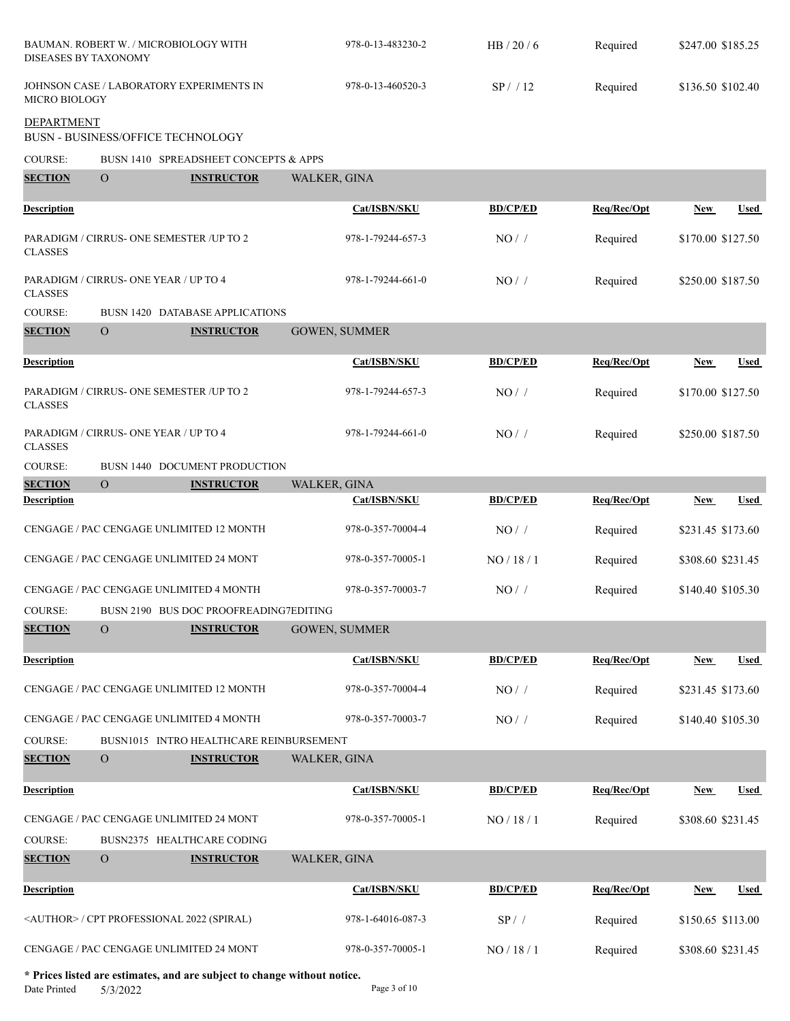| <b>DISEASES BY TAXONOMY</b> |                                       | BAUMAN. ROBERT W. / MICROBIOLOGY WITH              | 978-0-13-483230-2 | HB $/20/6$      | Required    | \$247.00 \$185.25 |             |
|-----------------------------|---------------------------------------|----------------------------------------------------|-------------------|-----------------|-------------|-------------------|-------------|
| MICRO BIOLOGY               |                                       | JOHNSON CASE / LABORATORY EXPERIMENTS IN           | 978-0-13-460520-3 | SP/12           | Required    | \$136.50 \$102.40 |             |
| <b>DEPARTMENT</b>           | BUSN - BUSINESS/OFFICE TECHNOLOGY     |                                                    |                   |                 |             |                   |             |
| <b>COURSE:</b>              |                                       | BUSN 1410 SPREADSHEET CONCEPTS & APPS              |                   |                 |             |                   |             |
| <b>SECTION</b>              | $\overline{O}$                        | <b>INSTRUCTOR</b>                                  | WALKER, GINA      |                 |             |                   |             |
| <b>Description</b>          |                                       |                                                    | Cat/ISBN/SKU      | <b>BD/CP/ED</b> | Req/Rec/Opt | <b>New</b>        | <b>Used</b> |
| <b>CLASSES</b>              |                                       | PARADIGM / CIRRUS- ONE SEMESTER / UP TO 2          | 978-1-79244-657-3 | NO/             | Required    | \$170.00 \$127.50 |             |
| <b>CLASSES</b>              | PARADIGM / CIRRUS- ONE YEAR / UP TO 4 |                                                    | 978-1-79244-661-0 | NO/             | Required    | \$250.00 \$187.50 |             |
| <b>COURSE:</b>              |                                       | <b>BUSN 1420 DATABASE APPLICATIONS</b>             |                   |                 |             |                   |             |
| <b>SECTION</b>              | $\Omega$                              | <b>INSTRUCTOR</b>                                  | GOWEN, SUMMER     |                 |             |                   |             |
| <b>Description</b>          |                                       |                                                    | Cat/ISBN/SKU      | <b>BD/CP/ED</b> | Req/Rec/Opt | <b>New</b>        | <b>Used</b> |
| <b>CLASSES</b>              |                                       | PARADIGM / CIRRUS- ONE SEMESTER / UP TO 2          | 978-1-79244-657-3 | NO/             | Required    | \$170.00 \$127.50 |             |
| <b>CLASSES</b>              | PARADIGM / CIRRUS- ONE YEAR / UP TO 4 |                                                    | 978-1-79244-661-0 | $NO/$ /         | Required    | \$250.00 \$187.50 |             |
| <b>COURSE:</b>              |                                       | BUSN 1440 DOCUMENT PRODUCTION                      |                   |                 |             |                   |             |
| <b>SECTION</b>              | $\Omega$                              | <b>INSTRUCTOR</b>                                  | WALKER, GINA      |                 |             |                   |             |
| <b>Description</b>          |                                       |                                                    | Cat/ISBN/SKU      | <b>BD/CP/ED</b> | Req/Rec/Opt | <b>New</b>        | Used        |
|                             |                                       | CENGAGE / PAC CENGAGE UNLIMITED 12 MONTH           | 978-0-357-70004-4 | NO/             | Required    | \$231.45 \$173.60 |             |
|                             |                                       | CENGAGE / PAC CENGAGE UNLIMITED 24 MONT            | 978-0-357-70005-1 | NO / 18 / 1     | Required    | \$308.60 \$231.45 |             |
|                             |                                       | CENGAGE / PAC CENGAGE UNLIMITED 4 MONTH            | 978-0-357-70003-7 | NO/             | Required    | \$140.40 \$105.30 |             |
| COURSE:                     |                                       | BUSN 2190 BUS DOC PROOFREADING7EDITING             |                   |                 |             |                   |             |
| <b>SECTION</b>              | $\mathcal{O}$                         | <b>INSTRUCTOR</b>                                  | GOWEN, SUMMER     |                 |             |                   |             |
| <b>Description</b>          |                                       |                                                    | Cat/ISBN/SKU      | <b>BD/CP/ED</b> | Req/Rec/Opt | <b>New</b>        | <b>Used</b> |
|                             |                                       | CENGAGE / PAC CENGAGE UNLIMITED 12 MONTH           | 978-0-357-70004-4 | $NO/$ /         | Required    | \$231.45 \$173.60 |             |
|                             |                                       | CENGAGE / PAC CENGAGE UNLIMITED 4 MONTH            | 978-0-357-70003-7 | $NO/$ /         | Required    | \$140.40 \$105.30 |             |
| <b>COURSE:</b>              |                                       | BUSN1015 INTRO HEALTHCARE REINBURSEMENT            |                   |                 |             |                   |             |
| <b>SECTION</b>              | $\overline{O}$                        | <b>INSTRUCTOR</b>                                  | WALKER, GINA      |                 |             |                   |             |
| <b>Description</b>          |                                       |                                                    | Cat/ISBN/SKU      | <b>BD/CP/ED</b> | Req/Rec/Opt | New               | <b>Used</b> |
|                             |                                       | CENGAGE / PAC CENGAGE UNLIMITED 24 MONT            | 978-0-357-70005-1 | NO / 18 / 1     | Required    | \$308.60 \$231.45 |             |
| <b>COURSE:</b>              |                                       | BUSN2375 HEALTHCARE CODING                         |                   |                 |             |                   |             |
| <b>SECTION</b>              | $\mathbf{O}$                          | <b>INSTRUCTOR</b>                                  | WALKER, GINA      |                 |             |                   |             |
| <b>Description</b>          |                                       |                                                    | Cat/ISBN/SKU      | <b>BD/CP/ED</b> | Req/Rec/Opt | <b>New</b>        | <b>Used</b> |
|                             |                                       | <author> / CPT PROFESSIONAL 2022 (SPIRAL)</author> | 978-1-64016-087-3 | SP / /          | Required    | \$150.65 \$113.00 |             |
|                             |                                       | CENGAGE / PAC CENGAGE UNLIMITED 24 MONT            | 978-0-357-70005-1 | NO / 18 / 1     | Required    | \$308.60 \$231.45 |             |

**\* Prices listed are estimates, and are subject to change without notice.**  $5/3/2022$  Page 3 of 10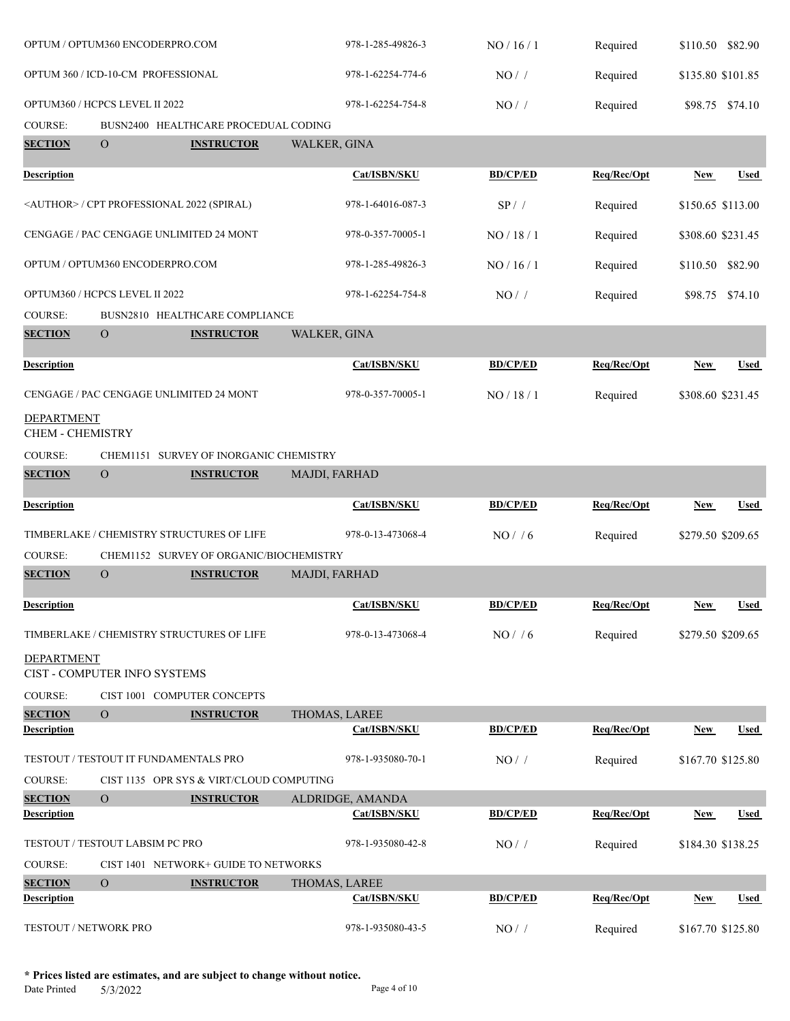|                                       | OPTUM / OPTUM360 ENCODERPRO.COM    |                                                    | 978-1-285-49826-3             | NO/16/1         | Required    | \$110.50 \$82.90  |                 |
|---------------------------------------|------------------------------------|----------------------------------------------------|-------------------------------|-----------------|-------------|-------------------|-----------------|
|                                       | OPTUM 360 / ICD-10-CM PROFESSIONAL |                                                    | 978-1-62254-774-6             | NO/             | Required    | \$135.80 \$101.85 |                 |
|                                       | OPTUM360 / HCPCS LEVEL II 2022     |                                                    | 978-1-62254-754-8             | NO/             | Required    |                   | \$98.75 \$74.10 |
| COURSE:                               |                                    | BUSN2400 HEALTHCARE PROCEDUAL CODING               |                               |                 |             |                   |                 |
| <b>SECTION</b>                        | $\overline{O}$                     | <b>INSTRUCTOR</b>                                  | WALKER, GINA                  |                 |             |                   |                 |
| <b>Description</b>                    |                                    |                                                    | Cat/ISBN/SKU                  | <b>BD/CP/ED</b> | Req/Rec/Opt | <b>New</b>        | <b>Used</b>     |
|                                       |                                    | <author> / CPT PROFESSIONAL 2022 (SPIRAL)</author> | 978-1-64016-087-3             | SP/             | Required    | \$150.65 \$113.00 |                 |
|                                       |                                    | CENGAGE / PAC CENGAGE UNLIMITED 24 MONT            | 978-0-357-70005-1             | NO/18/1         | Required    | \$308.60 \$231.45 |                 |
|                                       | OPTUM / OPTUM360 ENCODERPRO.COM    |                                                    | 978-1-285-49826-3             | NO/16/1         | Required    | \$110.50 \$82.90  |                 |
|                                       | OPTUM360 / HCPCS LEVEL II 2022     |                                                    | 978-1-62254-754-8             | NO/             | Required    |                   | \$98.75 \$74.10 |
| <b>COURSE:</b>                        |                                    | BUSN2810 HEALTHCARE COMPLIANCE                     |                               |                 |             |                   |                 |
| <b>SECTION</b>                        | $\mathcal{O}$                      | <b>INSTRUCTOR</b>                                  | WALKER, GINA                  |                 |             |                   |                 |
| Description                           |                                    |                                                    | Cat/ISBN/SKU                  | <b>BD/CP/ED</b> | Req/Rec/Opt | New               | Used            |
|                                       |                                    | CENGAGE / PAC CENGAGE UNLIMITED 24 MONT            | 978-0-357-70005-1             | NO/18/1         | Required    | \$308.60 \$231.45 |                 |
| DEPARTMENT<br><b>CHEM - CHEMISTRY</b> |                                    |                                                    |                               |                 |             |                   |                 |
| <b>COURSE:</b>                        |                                    | CHEM1151 SURVEY OF INORGANIC CHEMISTRY             |                               |                 |             |                   |                 |
| <b>SECTION</b>                        | $\overline{O}$                     | <b>INSTRUCTOR</b>                                  | MAJDI, FARHAD                 |                 |             |                   |                 |
|                                       |                                    |                                                    |                               |                 |             |                   |                 |
| Description                           |                                    |                                                    | Cat/ISBN/SKU                  | <b>BD/CP/ED</b> | Req/Rec/Opt | New               | Used            |
|                                       |                                    | TIMBERLAKE / CHEMISTRY STRUCTURES OF LIFE          | 978-0-13-473068-4             | NO/ / 6         | Required    | \$279.50 \$209.65 |                 |
| <b>COURSE:</b>                        |                                    | CHEM1152 SURVEY OF ORGANIC/BIOCHEMISTRY            |                               |                 |             |                   |                 |
| <b>SECTION</b>                        | ${\cal O}$                         | <b>INSTRUCTOR</b>                                  | MAJDI, FARHAD                 |                 |             |                   |                 |
| <u>Description</u>                    |                                    |                                                    | Cat/ISBN/SKU                  | <b>BD/CP/ED</b> | Req/Rec/Opt | New               | <u>Used</u>     |
|                                       |                                    | TIMBERLAKE / CHEMISTRY STRUCTURES OF LIFE          | 978-0-13-473068-4             | NO/ / 6         | Required    | \$279.50 \$209.65 |                 |
| DEPARTMENT                            |                                    |                                                    |                               |                 |             |                   |                 |
|                                       | CIST - COMPUTER INFO SYSTEMS       |                                                    |                               |                 |             |                   |                 |
| <b>COURSE:</b>                        |                                    | CIST 1001 COMPUTER CONCEPTS                        |                               |                 |             |                   |                 |
| <b>SECTION</b><br><b>Description</b>  | $\overline{O}$                     | <b>INSTRUCTOR</b>                                  | THOMAS, LAREE<br>Cat/ISBN/SKU | <b>BD/CP/ED</b> | Req/Rec/Opt | <b>New</b>        | <b>Used</b>     |
|                                       |                                    | TESTOUT / TESTOUT IT FUNDAMENTALS PRO              | 978-1-935080-70-1             | NO/             | Required    | \$167.70 \$125.80 |                 |
| <b>COURSE:</b>                        |                                    | CIST 1135 OPR SYS & VIRT/CLOUD COMPUTING           |                               |                 |             |                   |                 |
| <b>SECTION</b>                        | $\overline{O}$                     | <b>INSTRUCTOR</b>                                  | ALDRIDGE, AMANDA              |                 |             |                   |                 |
| <b>Description</b>                    |                                    |                                                    | Cat/ISBN/SKU                  | <b>BD/CP/ED</b> | Req/Rec/Opt | <b>New</b>        | <u>Used</u>     |
|                                       | TESTOUT / TESTOUT LABSIM PC PRO    |                                                    | 978-1-935080-42-8             | $NO/$ /         | Required    | \$184.30 \$138.25 |                 |
| COURSE:                               |                                    | CIST 1401 NETWORK+ GUIDE TO NETWORKS               |                               |                 |             |                   |                 |
| <b>SECTION</b>                        | $\mathbf{O}$                       | <b>INSTRUCTOR</b>                                  | THOMAS, LAREE                 |                 |             |                   |                 |
| Description                           |                                    |                                                    | Cat/ISBN/SKU                  | <b>BD/CP/ED</b> | Req/Rec/Opt | New               | Used            |
|                                       | TESTOUT / NETWORK PRO              |                                                    | 978-1-935080-43-5             | $NO/$ /         | Required    | \$167.70 \$125.80 |                 |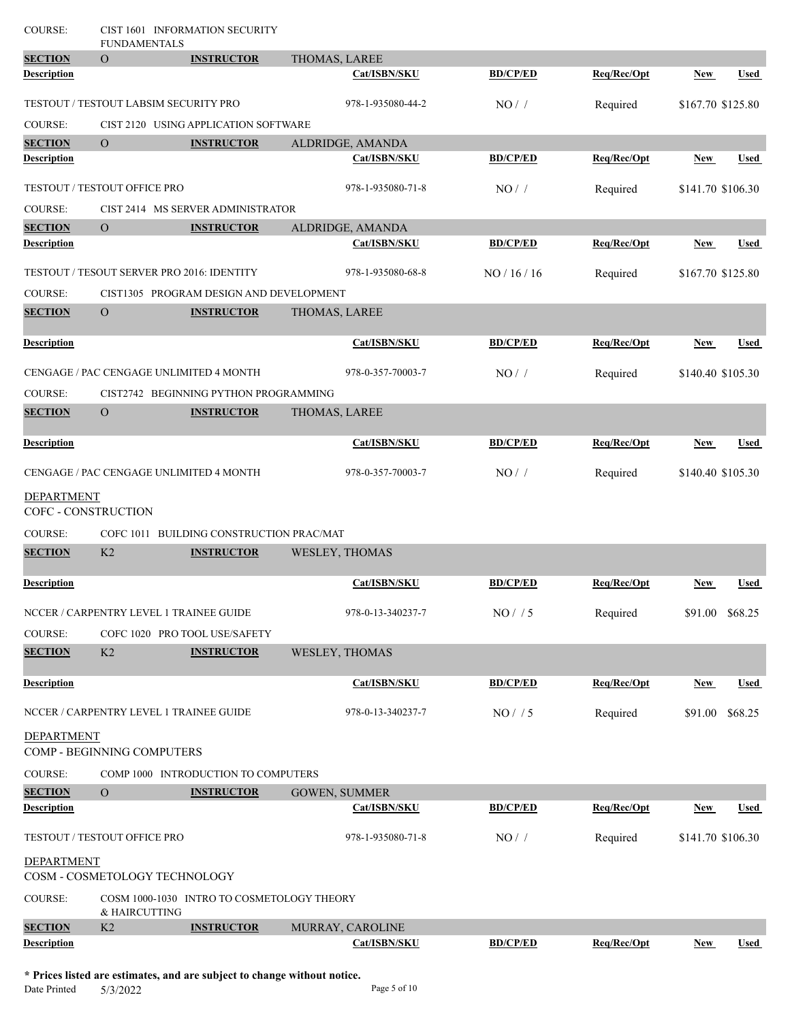| <b>COURSE:</b>      | <b>FUNDAMENTALS</b>                     | CIST 1601 INFORMATION SECURITY             |                      |                 |             |                   |                 |
|---------------------|-----------------------------------------|--------------------------------------------|----------------------|-----------------|-------------|-------------------|-----------------|
| <b>SECTION</b>      | $\overline{O}$                          | <b>INSTRUCTOR</b>                          | THOMAS, LAREE        |                 |             |                   |                 |
| <b>Description</b>  |                                         |                                            | Cat/ISBN/SKU         | <b>BD/CP/ED</b> | Req/Rec/Opt | <b>New</b>        | <b>Used</b>     |
|                     | TESTOUT / TESTOUT LABSIM SECURITY PRO   |                                            | 978-1-935080-44-2    | NO/             | Required    | \$167.70 \$125.80 |                 |
| <b>COURSE:</b>      |                                         | CIST 2120 USING APPLICATION SOFTWARE       |                      |                 |             |                   |                 |
| <b>SECTION</b>      | $\overline{O}$                          | <b>INSTRUCTOR</b>                          | ALDRIDGE, AMANDA     |                 |             |                   |                 |
| <b>Description</b>  |                                         |                                            | Cat/ISBN/SKU         | <b>BD/CP/ED</b> | Req/Rec/Opt | <b>New</b>        | <b>Used</b>     |
|                     | TESTOUT / TESTOUT OFFICE PRO            |                                            | 978-1-935080-71-8    | NO/             | Required    | \$141.70 \$106.30 |                 |
| COURSE:             |                                         | CIST 2414 MS SERVER ADMINISTRATOR          |                      |                 |             |                   |                 |
| <b>SECTION</b>      | $\overline{O}$                          | <b>INSTRUCTOR</b>                          | ALDRIDGE, AMANDA     |                 |             |                   |                 |
| <b>Description</b>  |                                         |                                            | Cat/ISBN/SKU         | <b>BD/CP/ED</b> | Req/Rec/Opt | <b>New</b>        | Used            |
|                     |                                         | TESTOUT / TESOUT SERVER PRO 2016: IDENTITY | 978-1-935080-68-8    | NO/16/16        | Required    | \$167.70 \$125.80 |                 |
| COURSE:             |                                         | CIST1305 PROGRAM DESIGN AND DEVELOPMENT    |                      |                 |             |                   |                 |
| <b>SECTION</b>      | $\overline{O}$                          | <b>INSTRUCTOR</b>                          | THOMAS, LAREE        |                 |             |                   |                 |
| <b>Description</b>  |                                         |                                            | Cat/ISBN/SKU         | <b>BD/CP/ED</b> | Req/Rec/Opt | New               | <b>Used</b>     |
|                     |                                         | CENGAGE / PAC CENGAGE UNLIMITED 4 MONTH    | 978-0-357-70003-7    | NO/             | Required    | \$140.40 \$105.30 |                 |
| <b>COURSE:</b>      |                                         | CIST2742 BEGINNING PYTHON PROGRAMMING      |                      |                 |             |                   |                 |
| <b>SECTION</b>      | $\overline{O}$                          | <b>INSTRUCTOR</b>                          | THOMAS, LAREE        |                 |             |                   |                 |
| <b>Description</b>  |                                         |                                            | Cat/ISBN/SKU         | <b>BD/CP/ED</b> | Req/Rec/Opt | <b>New</b>        | Used            |
|                     |                                         | CENGAGE / PAC CENGAGE UNLIMITED 4 MONTH    | 978-0-357-70003-7    | $NO/$ /         | Required    | \$140.40 \$105.30 |                 |
| <b>DEPARTMENT</b>   |                                         |                                            |                      |                 |             |                   |                 |
| COFC - CONSTRUCTION |                                         |                                            |                      |                 |             |                   |                 |
| COURSE:             |                                         | COFC 1011 BUILDING CONSTRUCTION PRAC/MAT   |                      |                 |             |                   |                 |
| <b>SECTION</b>      | K <sub>2</sub>                          | <b>INSTRUCTOR</b>                          | WESLEY, THOMAS       |                 |             |                   |                 |
| <b>Description</b>  |                                         |                                            | Cat/ISBN/SKU         | <b>BD/CP/ED</b> | Req/Rec/Opt | <b>New</b>        | <b>Used</b>     |
|                     | NCCER / CARPENTRY LEVEL 1 TRAINEE GUIDE |                                            | 978-0-13-340237-7    | NO/ / 5         | Required    |                   | \$91.00 \$68.25 |
| COURSE:             |                                         | COFC 1020 PRO TOOL USE/SAFETY              |                      |                 |             |                   |                 |
| <b>SECTION</b>      | K <sub>2</sub>                          | <b>INSTRUCTOR</b>                          | WESLEY, THOMAS       |                 |             |                   |                 |
| <b>Description</b>  |                                         |                                            | Cat/ISBN/SKU         | <b>BD/CP/ED</b> | Req/Rec/Opt | <b>New</b>        | <b>Used</b>     |
|                     | NCCER / CARPENTRY LEVEL 1 TRAINEE GUIDE |                                            | 978-0-13-340237-7    | NO/ / 5         | Required    | \$91.00           | \$68.25         |
| <b>DEPARTMENT</b>   | COMP - BEGINNING COMPUTERS              |                                            |                      |                 |             |                   |                 |
| <b>COURSE:</b>      |                                         | COMP 1000 INTRODUCTION TO COMPUTERS        |                      |                 |             |                   |                 |
| <b>SECTION</b>      | $\mathbf{O}$                            | <b>INSTRUCTOR</b>                          | <b>GOWEN, SUMMER</b> |                 |             |                   |                 |
| <b>Description</b>  |                                         |                                            | Cat/ISBN/SKU         | <b>BD/CP/ED</b> | Req/Rec/Opt | <b>New</b>        | <b>Used</b>     |
|                     | TESTOUT / TESTOUT OFFICE PRO            |                                            | 978-1-935080-71-8    | $NO/$ /         | Required    | \$141.70 \$106.30 |                 |
| <b>DEPARTMENT</b>   | COSM - COSMETOLOGY TECHNOLOGY           |                                            |                      |                 |             |                   |                 |
| <b>COURSE:</b>      |                                         | COSM 1000-1030 INTRO TO COSMETOLOGY THEORY |                      |                 |             |                   |                 |
| <b>SECTION</b>      | & HAIRCUTTING<br>K2                     | <b>INSTRUCTOR</b>                          | MURRAY, CAROLINE     |                 |             |                   |                 |
| <b>Description</b>  |                                         |                                            | Cat/ISBN/SKU         | <b>BD/CP/ED</b> | Req/Rec/Opt | <b>New</b>        | <b>Used</b>     |
|                     |                                         |                                            |                      |                 |             |                   |                 |

**\* Prices listed are estimates, and are subject to change without notice.**  $5/3/2022$  Page 5 of 10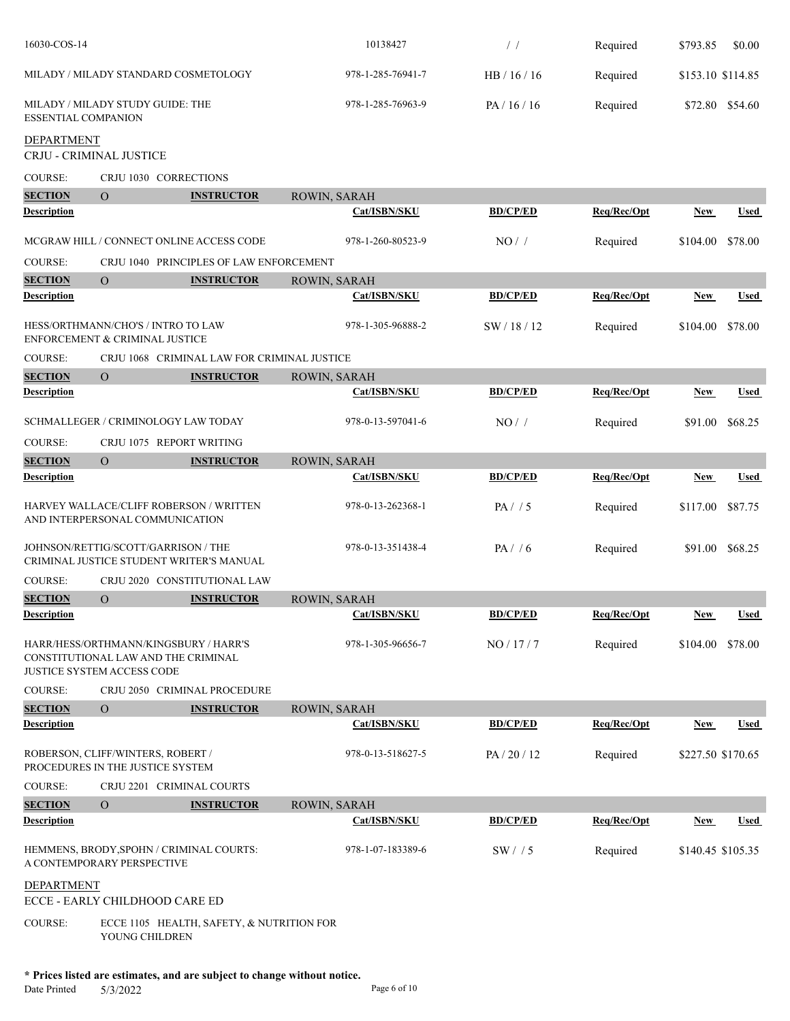| 16030-COS-14                                                   |                                                                                                                   |                                                                          | 10138427            | $/$ /           | Required    | \$793.85          | \$0.00      |
|----------------------------------------------------------------|-------------------------------------------------------------------------------------------------------------------|--------------------------------------------------------------------------|---------------------|-----------------|-------------|-------------------|-------------|
|                                                                | MILADY / MILADY STANDARD COSMETOLOGY                                                                              |                                                                          | 978-1-285-76941-7   | HB / 16 / 16    | Required    | \$153.10 \$114.85 |             |
| MILADY / MILADY STUDY GUIDE: THE<br><b>ESSENTIAL COMPANION</b> |                                                                                                                   | 978-1-285-76963-9                                                        | PA/16/16            | Required        |             | \$72.80 \$54.60   |             |
| <b>DEPARTMENT</b><br>CRJU - CRIMINAL JUSTICE                   |                                                                                                                   |                                                                          |                     |                 |             |                   |             |
| <b>COURSE:</b>                                                 | CRJU 1030 CORRECTIONS                                                                                             |                                                                          |                     |                 |             |                   |             |
| <b>SECTION</b>                                                 | $\overline{O}$                                                                                                    | <b>INSTRUCTOR</b>                                                        | ROWIN, SARAH        |                 |             |                   |             |
| <b>Description</b>                                             |                                                                                                                   |                                                                          | Cat/ISBN/SKU        | <b>BD/CP/ED</b> | Req/Rec/Opt | New               | Used        |
|                                                                | MCGRAW HILL / CONNECT ONLINE ACCESS CODE                                                                          |                                                                          | 978-1-260-80523-9   | NO/             | Required    | \$104.00          | \$78.00     |
| <b>COURSE:</b>                                                 |                                                                                                                   | CRJU 1040 PRINCIPLES OF LAW ENFORCEMENT                                  |                     |                 |             |                   |             |
| <b>SECTION</b>                                                 | $\mathbf{O}$                                                                                                      | <b>INSTRUCTOR</b>                                                        | ROWIN, SARAH        |                 |             |                   |             |
| <b>Description</b>                                             |                                                                                                                   |                                                                          | Cat/ISBN/SKU        | <b>BD/CP/ED</b> | Req/Rec/Opt | New               | <b>Used</b> |
|                                                                | HESS/ORTHMANN/CHO'S / INTRO TO LAW<br>ENFORCEMENT & CRIMINAL JUSTICE                                              |                                                                          | 978-1-305-96888-2   | SW / 18 / 12    | Required    | \$104.00          | \$78.00     |
| <b>COURSE:</b>                                                 |                                                                                                                   | CRJU 1068 CRIMINAL LAW FOR CRIMINAL JUSTICE                              |                     |                 |             |                   |             |
| <b>SECTION</b>                                                 | $\mathbf{O}$                                                                                                      | <b>INSTRUCTOR</b>                                                        | ROWIN, SARAH        |                 |             |                   |             |
| <b>Description</b>                                             |                                                                                                                   |                                                                          | Cat/ISBN/SKU        | <b>BD/CP/ED</b> | Req/Rec/Opt | <b>New</b>        | <b>Used</b> |
|                                                                | SCHMALLEGER / CRIMINOLOGY LAW TODAY                                                                               |                                                                          | 978-0-13-597041-6   | NO/             | Required    | \$91.00           | \$68.25     |
| COURSE:                                                        | CRJU 1075 REPORT WRITING                                                                                          |                                                                          |                     |                 |             |                   |             |
| <b>SECTION</b>                                                 | $\overline{O}$                                                                                                    | <b>INSTRUCTOR</b>                                                        | ROWIN, SARAH        |                 |             |                   |             |
| <b>Description</b>                                             |                                                                                                                   |                                                                          | Cat/ISBN/SKU        | <b>BD/CP/ED</b> | Req/Rec/Opt | <b>New</b>        | <b>Used</b> |
|                                                                | HARVEY WALLACE/CLIFF ROBERSON / WRITTEN<br>AND INTERPERSONAL COMMUNICATION                                        |                                                                          | 978-0-13-262368-1   | PA/ / 5         | Required    | \$117.00          | \$87.75     |
|                                                                | JOHNSON/RETTIG/SCOTT/GARRISON / THE<br>CRIMINAL JUSTICE STUDENT WRITER'S MANUAL                                   |                                                                          | 978-0-13-351438-4   | PA/ / 6         | Required    | \$91.00           | \$68.25     |
| <b>COURSE:</b>                                                 | CRJU 2020 CONSTITUTIONAL LAW                                                                                      |                                                                          |                     |                 |             |                   |             |
| <b>SECTION</b>                                                 | $\overline{O}$                                                                                                    | <b>INSTRUCTOR</b>                                                        | ROWIN, SARAH        |                 |             |                   |             |
| <b>Description</b>                                             |                                                                                                                   |                                                                          | <b>Cat/ISBN/SKU</b> | <b>BD/CP/ED</b> | Req/Rec/Opt | <b>New</b>        | <u>Used</u> |
|                                                                | HARR/HESS/ORTHMANN/KINGSBURY / HARR'S<br>CONSTITUTIONAL LAW AND THE CRIMINAL<br><b>JUSTICE SYSTEM ACCESS CODE</b> |                                                                          | 978-1-305-96656-7   | NO / 17/7       | Required    | \$104.00          | \$78.00     |
| <b>COURSE:</b>                                                 | CRJU 2050 CRIMINAL PROCEDURE                                                                                      |                                                                          |                     |                 |             |                   |             |
| <b>SECTION</b>                                                 | $\overline{O}$                                                                                                    | <b>INSTRUCTOR</b>                                                        | <b>ROWIN, SARAH</b> |                 |             |                   |             |
| <b>Description</b>                                             |                                                                                                                   |                                                                          | Cat/ISBN/SKU        | <b>BD/CP/ED</b> | Req/Rec/Opt | <b>New</b>        | Used        |
|                                                                | ROBERSON, CLIFF/WINTERS, ROBERT /<br>PROCEDURES IN THE JUSTICE SYSTEM                                             |                                                                          | 978-0-13-518627-5   | PA/20/12        | Required    | \$227.50 \$170.65 |             |
| <b>COURSE:</b>                                                 | CRJU 2201 CRIMINAL COURTS                                                                                         |                                                                          |                     |                 |             |                   |             |
| <b>SECTION</b>                                                 | $\overline{O}$                                                                                                    | <b>INSTRUCTOR</b>                                                        | ROWIN, SARAH        |                 |             |                   |             |
| <b>Description</b>                                             |                                                                                                                   |                                                                          | Cat/ISBN/SKU        | <b>BD/CP/ED</b> | Req/Rec/Opt | <b>New</b>        | Used        |
|                                                                | HEMMENS, BRODY, SPOHN / CRIMINAL COURTS:<br>A CONTEMPORARY PERSPECTIVE                                            |                                                                          | 978-1-07-183389-6   | SW/15           | Required    | \$140.45 \$105.35 |             |
| <b>DEPARTMENT</b>                                              | ECCE - EARLY CHILDHOOD CARE ED                                                                                    |                                                                          |                     |                 |             |                   |             |
| <b>COURSE:</b>                                                 | YOUNG CHILDREN                                                                                                    | ECCE 1105 HEALTH, SAFETY, & NUTRITION FOR                                |                     |                 |             |                   |             |
|                                                                |                                                                                                                   | * Prices listed are estimates, and are subject to change without notice. |                     |                 |             |                   |             |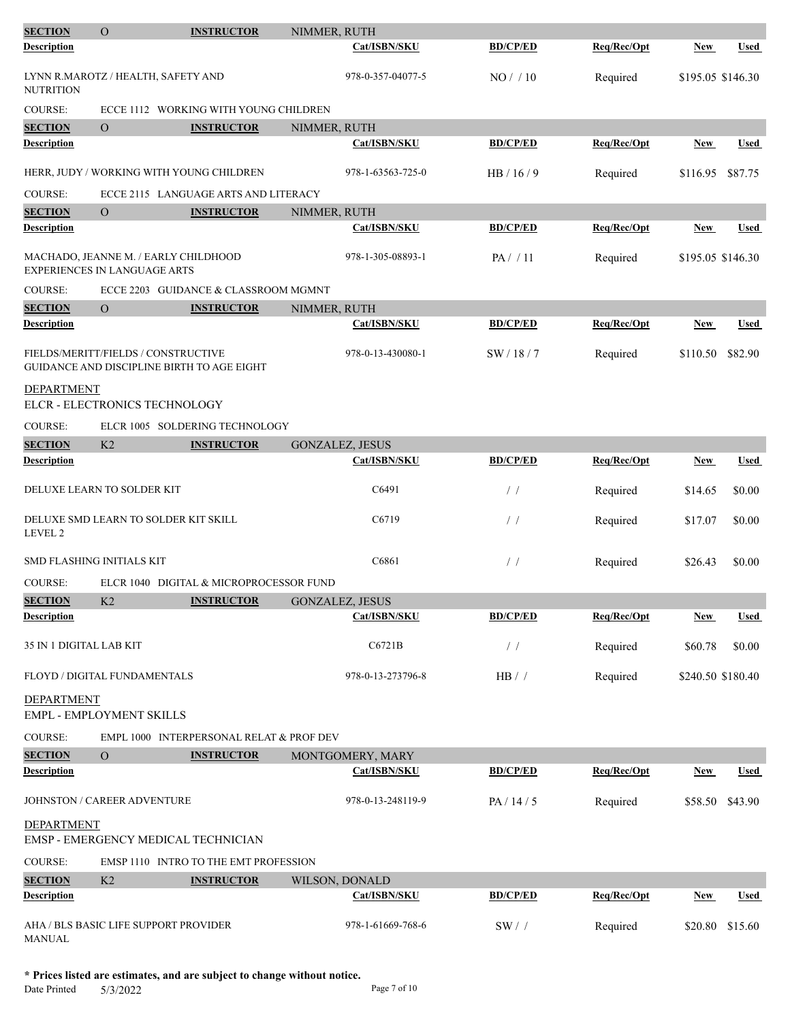| <b>SECTION</b>                                         | $\mathbf{O}$   | <b>INSTRUCTOR</b>                          | NIMMER, RUTH           |                 |             |                   |             |
|--------------------------------------------------------|----------------|--------------------------------------------|------------------------|-----------------|-------------|-------------------|-------------|
| Description                                            |                |                                            | Cat/ISBN/SKU           | <b>BD/CP/ED</b> | Req/Rec/Opt | <b>New</b>        | <b>Used</b> |
| LYNN R.MAROTZ / HEALTH, SAFETY AND<br><b>NUTRITION</b> |                |                                            | 978-0-357-04077-5      | NO/ / 10        | Required    | \$195.05 \$146.30 |             |
| <b>COURSE:</b>                                         |                | ECCE 1112 WORKING WITH YOUNG CHILDREN      |                        |                 |             |                   |             |
| <b>SECTION</b>                                         | $\overline{O}$ | <b>INSTRUCTOR</b>                          | NIMMER, RUTH           |                 |             |                   |             |
| <b>Description</b>                                     |                |                                            | Cat/ISBN/SKU           | <b>BD/CP/ED</b> | Req/Rec/Opt | <b>New</b>        | <b>Used</b> |
|                                                        |                | HERR, JUDY / WORKING WITH YOUNG CHILDREN   | 978-1-63563-725-0      | HB/16/9         | Required    | \$116.95          | \$87.75     |
| <b>COURSE:</b>                                         |                | ECCE 2115 LANGUAGE ARTS AND LITERACY       |                        |                 |             |                   |             |
| <b>SECTION</b>                                         | $\mathbf{O}$   | <b>INSTRUCTOR</b>                          | NIMMER, RUTH           |                 |             |                   |             |
| <b>Description</b>                                     |                |                                            | Cat/ISBN/SKU           | <b>BD/CP/ED</b> | Req/Rec/Opt | New               | <b>Used</b> |
| <b>EXPERIENCES IN LANGUAGE ARTS</b>                    |                | MACHADO, JEANNE M. / EARLY CHILDHOOD       | 978-1-305-08893-1      | PA//11          | Required    | \$195.05 \$146.30 |             |
| <b>COURSE:</b>                                         |                | ECCE 2203 GUIDANCE & CLASSROOM MGMNT       |                        |                 |             |                   |             |
| <b>SECTION</b>                                         | $\overline{O}$ | <b>INSTRUCTOR</b>                          | NIMMER, RUTH           |                 |             |                   |             |
| <b>Description</b>                                     |                |                                            | Cat/ISBN/SKU           | <b>BD/CP/ED</b> | Reg/Rec/Opt | New               | <b>Used</b> |
| FIELDS/MERITT/FIELDS / CONSTRUCTIVE                    |                | GUIDANCE AND DISCIPLINE BIRTH TO AGE EIGHT | 978-0-13-430080-1      | SW / 18 / 7     | Required    | \$110.50          | \$82.90     |
| <b>DEPARTMENT</b>                                      |                |                                            |                        |                 |             |                   |             |
| ELCR - ELECTRONICS TECHNOLOGY                          |                |                                            |                        |                 |             |                   |             |
| COURSE:                                                |                | ELCR 1005 SOLDERING TECHNOLOGY             |                        |                 |             |                   |             |
| <b>SECTION</b>                                         | K2             | <b>INSTRUCTOR</b>                          | GONZALEZ, JESUS        |                 |             |                   |             |
| <b>Description</b>                                     |                |                                            | Cat/ISBN/SKU           | <b>BD/CP/ED</b> | Reg/Rec/Opt | <b>New</b>        | <b>Used</b> |
| DELUXE LEARN TO SOLDER KIT                             |                |                                            | C6491                  | $/$ /           | Required    | \$14.65           | \$0.00      |
| LEVEL 2                                                |                | DELUXE SMD LEARN TO SOLDER KIT SKILL       | C6719                  | $\frac{1}{2}$   | Required    | \$17.07           | \$0.00      |
| <b>SMD FLASHING INITIALS KIT</b>                       |                |                                            | C6861                  | $\frac{1}{2}$   | Required    | \$26.43           | \$0.00      |
| <b>COURSE:</b>                                         |                | ELCR 1040 DIGITAL & MICROPROCESSOR FUND    |                        |                 |             |                   |             |
| <b>SECTION</b>                                         | K2             | <b>INSTRUCTOR</b>                          | <b>GONZALEZ, JESUS</b> |                 |             |                   |             |
| <b>Description</b>                                     |                |                                            | Cat/ISBN/SKU           | <b>BD/CP/ED</b> | Req/Rec/Opt | <b>New</b>        | <b>Used</b> |
| 35 IN 1 DIGITAL LAB KIT                                |                |                                            | C6721B                 | $\prime\,$ /    | Required    | \$60.78           | \$0.00      |
| FLOYD / DIGITAL FUNDAMENTALS                           |                |                                            | 978-0-13-273796-8      | $HB/$ /         | Required    | \$240.50 \$180.40 |             |
| <b>DEPARTMENT</b><br>EMPL - EMPLOYMENT SKILLS          |                |                                            |                        |                 |             |                   |             |
| COURSE:                                                |                | EMPL 1000 INTERPERSONAL RELAT & PROF DEV   |                        |                 |             |                   |             |
| <b>SECTION</b>                                         | $\overline{O}$ | <b>INSTRUCTOR</b>                          | MONTGOMERY, MARY       |                 |             |                   |             |
| <b>Description</b>                                     |                |                                            | Cat/ISBN/SKU           | <b>BD/CP/ED</b> | Req/Rec/Opt | <b>New</b>        | <b>Used</b> |
| JOHNSTON / CAREER ADVENTURE                            |                |                                            | 978-0-13-248119-9      | PA / 14 / 5     | Required    | \$58.50           | \$43.90     |
| <b>DEPARTMENT</b>                                      |                | EMSP - EMERGENCY MEDICAL TECHNICIAN        |                        |                 |             |                   |             |
| COURSE:                                                |                | EMSP 1110 INTRO TO THE EMT PROFESSION      |                        |                 |             |                   |             |
| <b>SECTION</b>                                         | K2             | <b>INSTRUCTOR</b>                          | WILSON, DONALD         |                 |             |                   |             |
| <b>Description</b>                                     |                |                                            | Cat/ISBN/SKU           | <b>BD/CP/ED</b> | Req/Rec/Opt | <b>New</b>        | <b>Used</b> |
| AHA / BLS BASIC LIFE SUPPORT PROVIDER<br><b>MANUAL</b> |                |                                            | 978-1-61669-768-6      | $SW/$ /         | Required    | \$20.80           | \$15.60     |

**\* Prices listed are estimates, and are subject to change without notice.**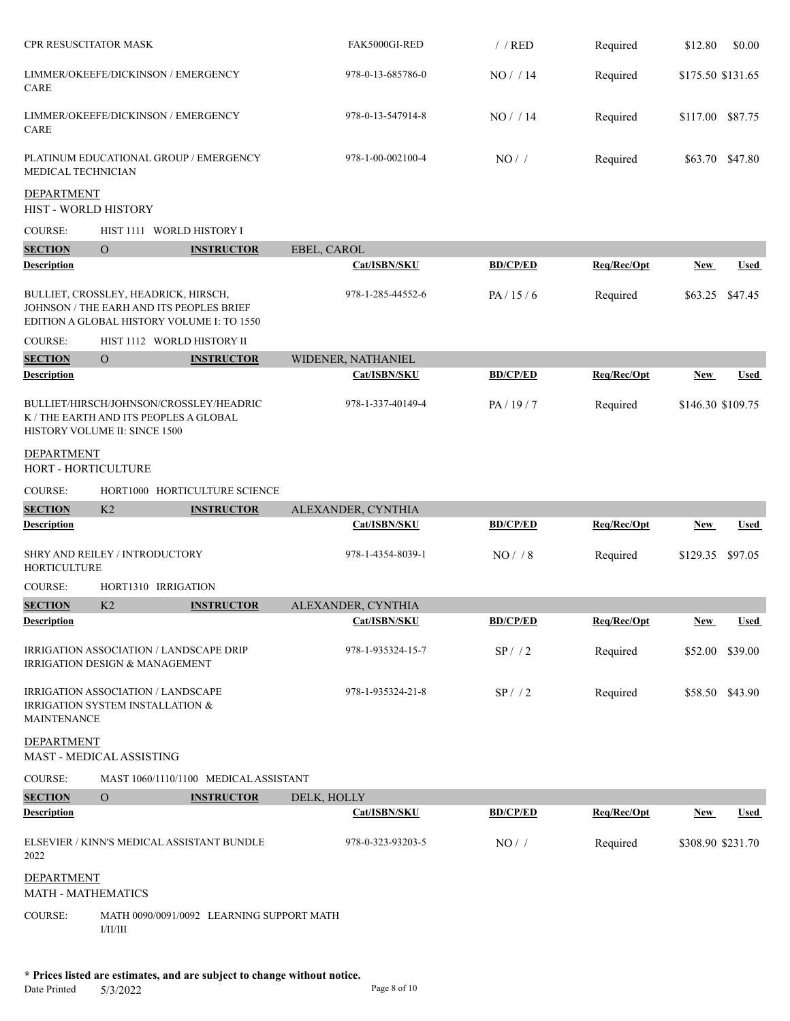| CPR RESUSCITATOR MASK                     |                                                                                                                                |                   | FAK5000GI-RED      | $/$ / RED       | Required    | \$12.80    | \$0.00            |
|-------------------------------------------|--------------------------------------------------------------------------------------------------------------------------------|-------------------|--------------------|-----------------|-------------|------------|-------------------|
| CARE                                      | LIMMER/OKEEFE/DICKINSON / EMERGENCY                                                                                            |                   | 978-0-13-685786-0  | NO / / 14       | Required    |            | \$175.50 \$131.65 |
| CARE                                      | LIMMER/OKEEFE/DICKINSON / EMERGENCY                                                                                            |                   | 978-0-13-547914-8  | NO/14           | Required    | \$117.00   | \$87.75           |
| MEDICAL TECHNICIAN                        | PLATINUM EDUCATIONAL GROUP / EMERGENCY                                                                                         |                   | 978-1-00-002100-4  | NO/             | Required    |            | \$63.70 \$47.80   |
| <b>DEPARTMENT</b><br>HIST - WORLD HISTORY |                                                                                                                                |                   |                    |                 |             |            |                   |
| COURSE:                                   | HIST 1111 WORLD HISTORY I                                                                                                      |                   |                    |                 |             |            |                   |
| <b>SECTION</b>                            | $\overline{O}$                                                                                                                 | <b>INSTRUCTOR</b> | EBEL, CAROL        |                 |             |            |                   |
| <b>Description</b>                        |                                                                                                                                |                   | Cat/ISBN/SKU       | <b>BD/CP/ED</b> | Req/Rec/Opt | New        | <b>Used</b>       |
|                                           | BULLIET, CROSSLEY, HEADRICK, HIRSCH,<br>JOHNSON / THE EARH AND ITS PEOPLES BRIEF<br>EDITION A GLOBAL HISTORY VOLUME I: TO 1550 |                   | 978-1-285-44552-6  | PA/15/6         | Required    |            | \$63.25 \$47.45   |
| <b>COURSE:</b>                            | HIST 1112 WORLD HISTORY II                                                                                                     |                   |                    |                 |             |            |                   |
| <b>SECTION</b>                            | $\overline{O}$                                                                                                                 | <b>INSTRUCTOR</b> | WIDENER, NATHANIEL |                 |             |            |                   |
| <b>Description</b>                        |                                                                                                                                |                   | Cat/ISBN/SKU       | <b>BD/CP/ED</b> | Req/Rec/Opt | <b>New</b> | <b>Used</b>       |
|                                           | BULLIET/HIRSCH/JOHNSON/CROSSLEY/HEADRIC<br>K / THE EARTH AND ITS PEOPLES A GLOBAL<br>HISTORY VOLUME II: SINCE 1500             |                   | 978-1-337-40149-4  | PA/19/7         | Required    |            | \$146.30 \$109.75 |
| <b>DEPARTMENT</b><br>HORT - HORTICULTURE  |                                                                                                                                |                   |                    |                 |             |            |                   |
| <b>COURSE:</b>                            | HORT1000 HORTICULTURE SCIENCE                                                                                                  |                   |                    |                 |             |            |                   |
| <b>SECTION</b>                            | K2                                                                                                                             | <b>INSTRUCTOR</b> | ALEXANDER, CYNTHIA |                 |             |            |                   |
| Description                               |                                                                                                                                |                   | Cat/ISBN/SKU       | <b>BD/CP/ED</b> | Req/Rec/Opt | New        | Used              |
| <b>HORTICULTURE</b>                       | SHRY AND REILEY / INTRODUCTORY                                                                                                 |                   | 978-1-4354-8039-1  | $NO/$ / 8       | Required    | \$129.35   | \$97.05           |
| <b>COURSE:</b>                            | HORT1310 IRRIGATION                                                                                                            |                   |                    |                 |             |            |                   |
| <b>SECTION</b>                            | K <sub>2</sub>                                                                                                                 | <b>INSTRUCTOR</b> | ALEXANDER, CYNTHIA |                 |             |            |                   |
| Description                               |                                                                                                                                |                   | Cat/ISBN/SKU       | <b>BD/CP/ED</b> | Req/Rec/Opt | <u>New</u> | <u>Used</u>       |
|                                           | IRRIGATION ASSOCIATION / LANDSCAPE DRIP<br><b>IRRIGATION DESIGN &amp; MANAGEMENT</b>                                           |                   | 978-1-935324-15-7  | SP/12           | Required    | \$52.00    | \$39.00           |
| <b>MAINTENANCE</b>                        | IRRIGATION ASSOCIATION / LANDSCAPE<br>IRRIGATION SYSTEM INSTALLATION &                                                         |                   | 978-1-935324-21-8  | SP/72           | Required    |            | \$58.50 \$43.90   |
| <b>DEPARTMENT</b>                         | MAST - MEDICAL ASSISTING                                                                                                       |                   |                    |                 |             |            |                   |
| COURSE:                                   | MAST 1060/1110/1100 MEDICAL ASSISTANT                                                                                          |                   |                    |                 |             |            |                   |
| <b>SECTION</b>                            | $\overline{O}$                                                                                                                 | <b>INSTRUCTOR</b> | DELK, HOLLY        |                 |             |            |                   |
| <b>Description</b>                        |                                                                                                                                |                   | Cat/ISBN/SKU       | <b>BD/CP/ED</b> | Req/Rec/Opt | <b>New</b> | <b>Used</b>       |
| 2022                                      | ELSEVIER / KINN'S MEDICAL ASSISTANT BUNDLE                                                                                     |                   | 978-0-323-93203-5  | NO/             | Required    |            | \$308.90 \$231.70 |
| <b>DEPARTMENT</b><br>MATH - MATHEMATICS   |                                                                                                                                |                   |                    |                 |             |            |                   |
| <b>COURSE:</b>                            | MATH 0090/0091/0092 LEARNING SUPPORT MATH<br>I/II/III                                                                          |                   |                    |                 |             |            |                   |
|                                           |                                                                                                                                |                   |                    |                 |             |            |                   |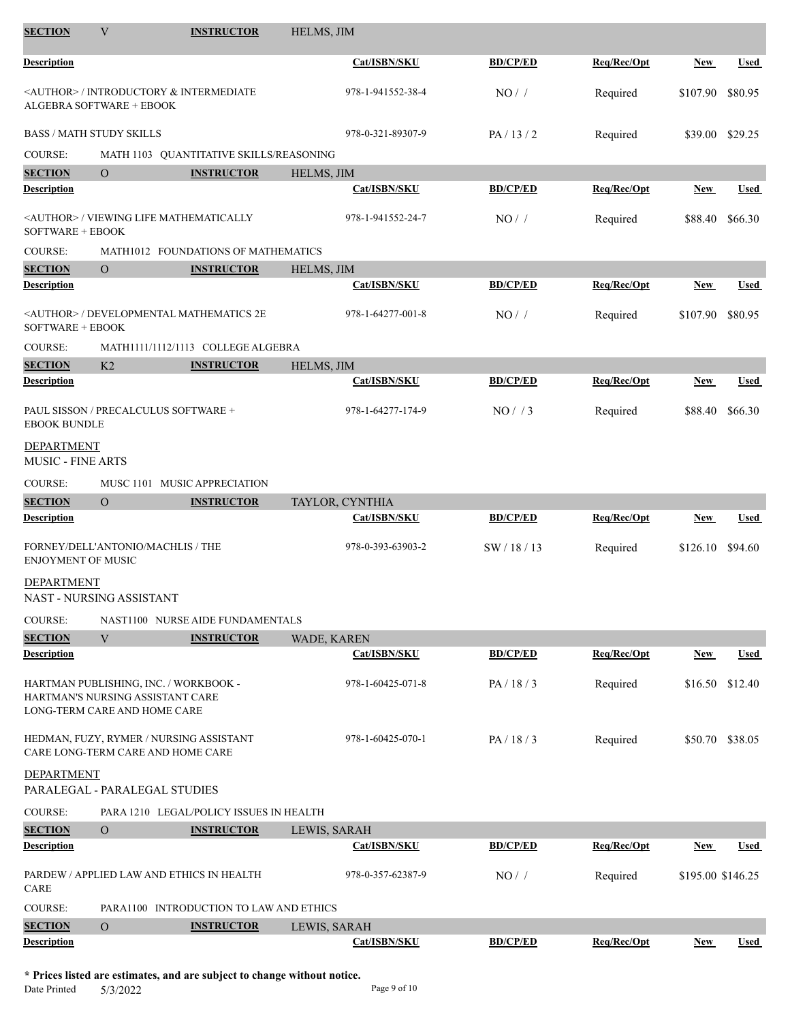| <b>SECTION</b>                         | V                                                                                                         | <b>INSTRUCTOR</b>                                   | HELMS, JIM        |                 |             |                   |                 |
|----------------------------------------|-----------------------------------------------------------------------------------------------------------|-----------------------------------------------------|-------------------|-----------------|-------------|-------------------|-----------------|
| <b>Description</b>                     |                                                                                                           |                                                     | Cat/ISBN/SKU      | <b>BD/CP/ED</b> | Req/Rec/Opt | New               | Used            |
|                                        | <b>ALGEBRA SOFTWARE + EBOOK</b>                                                                           | <author> / INTRODUCTORY &amp; INTERMEDIATE</author> | 978-1-941552-38-4 | NO/             | Required    | \$107.90          | \$80.95         |
|                                        | <b>BASS / MATH STUDY SKILLS</b>                                                                           |                                                     | 978-0-321-89307-9 | PA/13/2         | Required    |                   | \$39.00 \$29.25 |
| <b>COURSE:</b>                         |                                                                                                           | MATH 1103 QUANTITATIVE SKILLS/REASONING             |                   |                 |             |                   |                 |
| <b>SECTION</b>                         | $\overline{O}$                                                                                            | <b>INSTRUCTOR</b>                                   | HELMS, JIM        |                 |             |                   |                 |
| <b>Description</b>                     |                                                                                                           |                                                     | Cat/ISBN/SKU      | <b>BD/CP/ED</b> | Req/Rec/Opt | <b>New</b>        | <b>Used</b>     |
| <b>SOFTWARE + EBOOK</b>                |                                                                                                           | <author> / VIEWING LIFE MATHEMATICALLY</author>     | 978-1-941552-24-7 | NO/             | Required    | \$88.40           | \$66.30         |
| COURSE:                                |                                                                                                           | MATH1012 FOUNDATIONS OF MATHEMATICS                 |                   |                 |             |                   |                 |
| <b>SECTION</b>                         | $\overline{O}$                                                                                            | <b>INSTRUCTOR</b>                                   | HELMS, JIM        |                 |             |                   |                 |
| <b>Description</b>                     |                                                                                                           |                                                     | Cat/ISBN/SKU      | <b>BD/CP/ED</b> | Req/Rec/Opt | <b>New</b>        | <b>Used</b>     |
| SOFTWARE + EBOOK                       |                                                                                                           | <author> / DEVELOPMENTAL MATHEMATICS 2E</author>    | 978-1-64277-001-8 | NO/             | Required    | \$107.90          | \$80.95         |
| <b>COURSE:</b>                         |                                                                                                           | MATH1111/1112/1113 COLLEGE ALGEBRA                  |                   |                 |             |                   |                 |
| <b>SECTION</b>                         | K <sub>2</sub>                                                                                            | <b>INSTRUCTOR</b>                                   | HELMS, JIM        |                 |             |                   |                 |
| <b>Description</b>                     |                                                                                                           |                                                     | Cat/ISBN/SKU      | <b>BD/CP/ED</b> | Req/Rec/Opt | New               | Used            |
| <b>EBOOK BUNDLE</b>                    | PAUL SISSON / PRECALCULUS SOFTWARE +                                                                      |                                                     | 978-1-64277-174-9 | NO/ / 3         | Required    | \$88.40           | \$66.30         |
| DEPARTMENT<br><b>MUSIC - FINE ARTS</b> |                                                                                                           |                                                     |                   |                 |             |                   |                 |
| COURSE:                                |                                                                                                           | MUSC 1101 MUSIC APPRECIATION                        |                   |                 |             |                   |                 |
| <b>SECTION</b>                         | $\overline{O}$                                                                                            | <b>INSTRUCTOR</b>                                   | TAYLOR, CYNTHIA   |                 |             |                   |                 |
| <b>Description</b>                     |                                                                                                           |                                                     | Cat/ISBN/SKU      | <b>BD/CP/ED</b> | Req/Rec/Opt | New               | Used            |
| <b>ENJOYMENT OF MUSIC</b>              | FORNEY/DELL'ANTONIO/MACHLIS / THE                                                                         |                                                     | 978-0-393-63903-2 | SW/18/13        | Required    | \$126.10          | \$94.60         |
| DEPARTMENT                             | NAST - NURSING ASSISTANT                                                                                  |                                                     |                   |                 |             |                   |                 |
| <b>COURSE:</b>                         |                                                                                                           | NAST1100 NURSE AIDE FUNDAMENTALS                    |                   |                 |             |                   |                 |
| <b>SECTION</b>                         | $\ensuremath{\text{V}}$                                                                                   | <b>INSTRUCTOR</b>                                   | WADE, KAREN       |                 |             |                   |                 |
| Description                            |                                                                                                           |                                                     | Cat/ISBN/SKU      | <b>BD/CP/ED</b> | Req/Rec/Opt | New               | Used            |
|                                        | HARTMAN PUBLISHING, INC. / WORKBOOK -<br>HARTMAN'S NURSING ASSISTANT CARE<br>LONG-TERM CARE AND HOME CARE |                                                     | 978-1-60425-071-8 | PA/18/3         | Required    | \$16.50           | \$12.40         |
|                                        | CARE LONG-TERM CARE AND HOME CARE                                                                         | HEDMAN, FUZY, RYMER / NURSING ASSISTANT             | 978-1-60425-070-1 | PA/18/3         | Required    |                   | \$50.70 \$38.05 |
| DEPARTMENT                             | PARALEGAL - PARALEGAL STUDIES                                                                             |                                                     |                   |                 |             |                   |                 |
| COURSE:                                |                                                                                                           | PARA 1210 LEGAL/POLICY ISSUES IN HEALTH             |                   |                 |             |                   |                 |
| <b>SECTION</b>                         | $\mathbf{O}$                                                                                              | <b>INSTRUCTOR</b>                                   | LEWIS, SARAH      |                 |             |                   |                 |
| <b>Description</b>                     |                                                                                                           |                                                     | Cat/ISBN/SKU      | <b>BD/CP/ED</b> | Req/Rec/Opt | <b>New</b>        | Used            |
| CARE                                   |                                                                                                           | PARDEW / APPLIED LAW AND ETHICS IN HEALTH           | 978-0-357-62387-9 | NO/             | Required    | \$195.00 \$146.25 |                 |
| <b>COURSE:</b>                         |                                                                                                           | PARA1100 INTRODUCTION TO LAW AND ETHICS             |                   |                 |             |                   |                 |
| <b>SECTION</b>                         | $\mathbf{O}$                                                                                              | <b>INSTRUCTOR</b>                                   | LEWIS, SARAH      |                 |             |                   |                 |
| <b>Description</b>                     |                                                                                                           |                                                     | Cat/ISBN/SKU      | <b>BD/CP/ED</b> | Req/Rec/Opt | <b>New</b>        | Used            |

**\* Prices listed are estimates, and are subject to change without notice.**